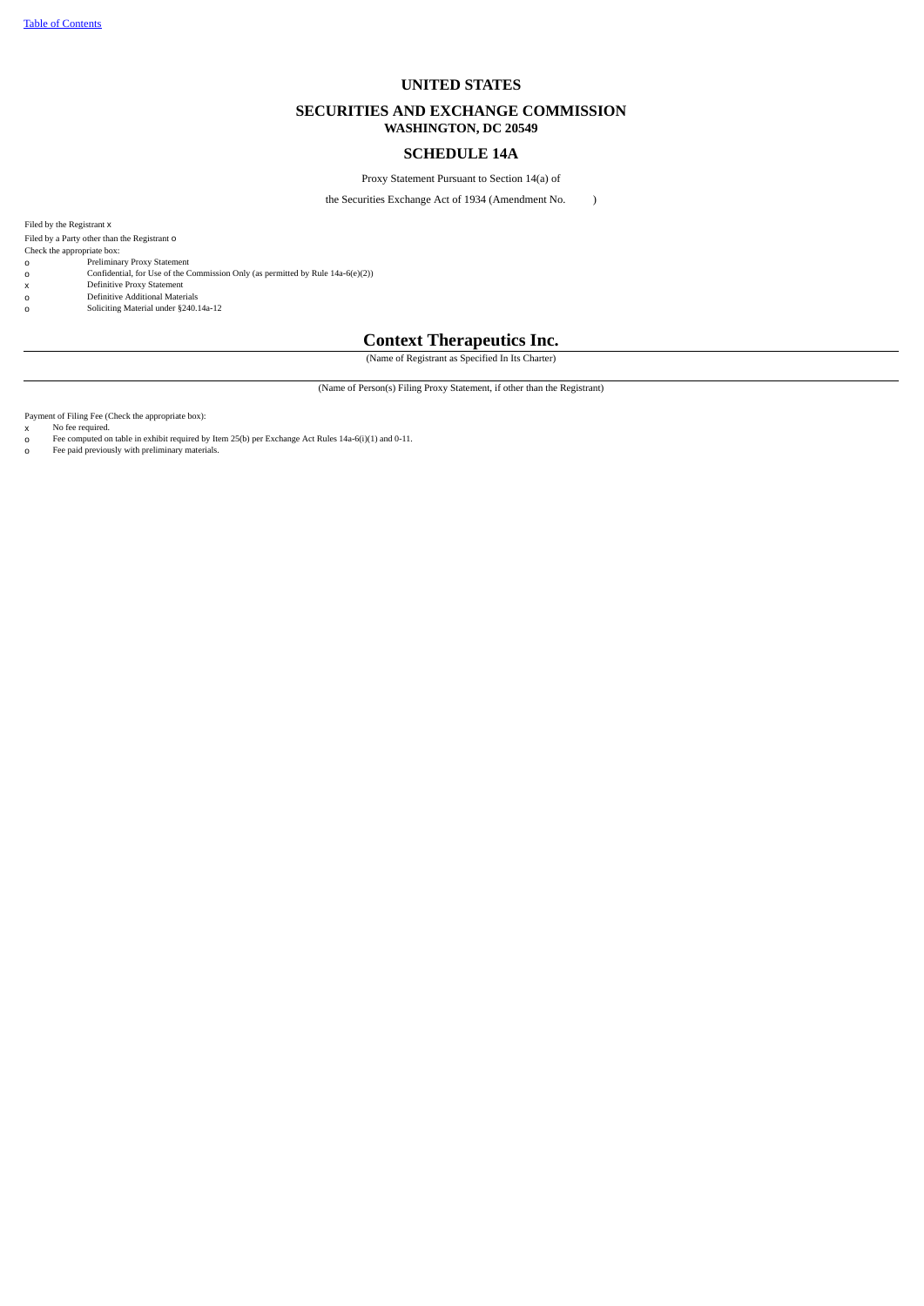# **UNITED STATES**

# **SECURITIES AND EXCHANGE COMMISSION WASHINGTON, DC 20549**

# **SCHEDULE 14A**

Proxy Statement Pursuant to Section 14(a) of

the Securities Exchange Act of 1934 (Amendment No. )

Filed by the Registrant x Filed by a Party other than the Registrant O

Check the appropriate box: o Preliminary Proxy Statement

o Confidential, for Use of the Commission Only (as permitted by Rule 14a-6(e)(2))

- 
- x Definitive Proxy Statement o Definitive Additional Materials
- o Soliciting Material under §240.14a-12

# **Context Therapeutics Inc.**

(Name of Registrant as Specified In Its Charter)

(Name of Person(s) Filing Proxy Statement, if other than the Registrant)

Payment of Filing Fee (Check the appropriate box):

x No fee required.<br>0 Fee computed or o Fee computed on table in exhibit required by Item 25(b) per Exchange Act Rules 14a-6(i)(1) and 0-11. o Fee paid previously with preliminary materials.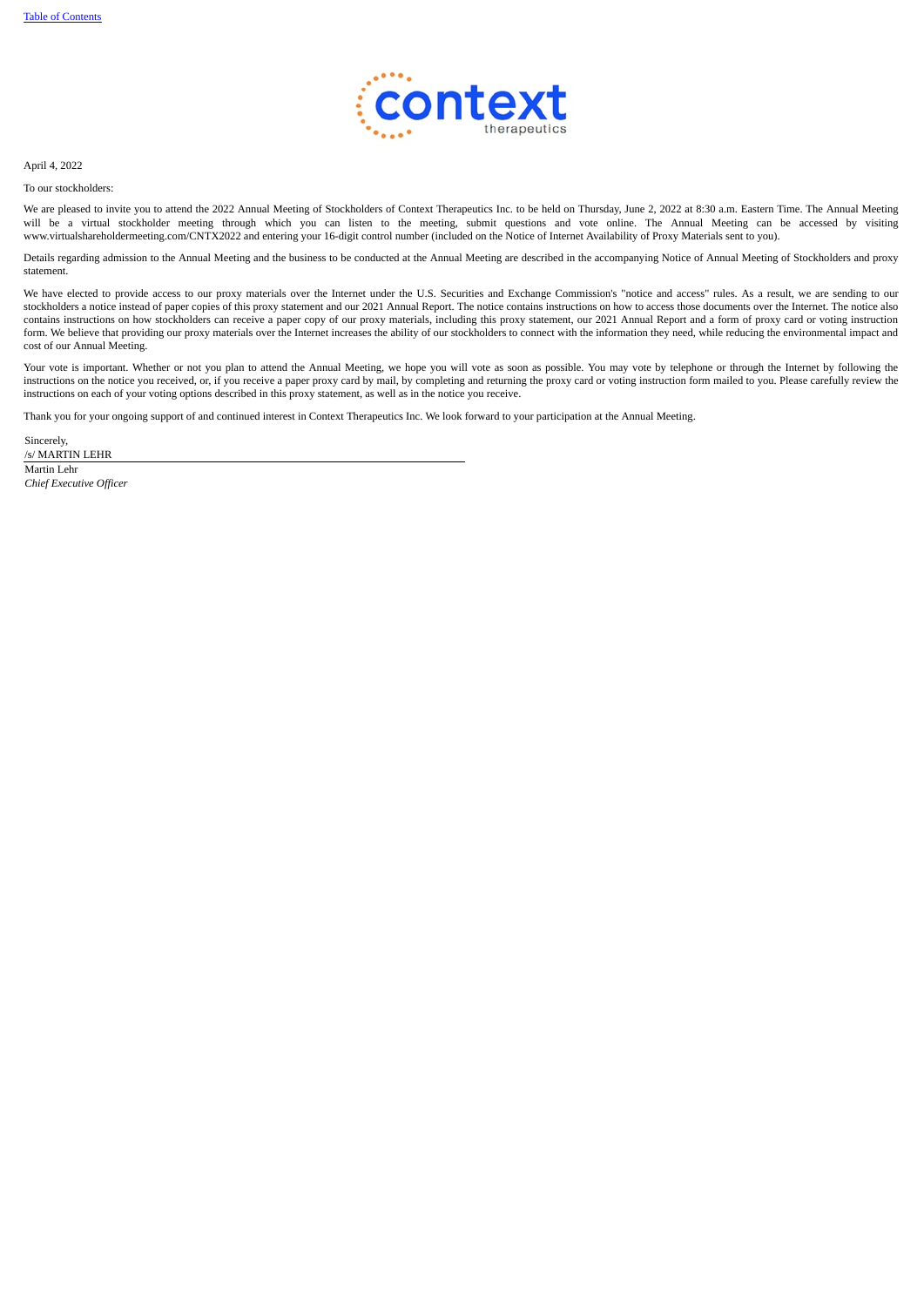

April 4, 2022

To our stockholders:

We are pleased to invite you to attend the 2022 Annual Meeting of Stockholders of Context Therapeutics Inc. to be held on Thursday, June 2, 2022 at 8:30 a.m. Eastern Time. The Annual Meeting will be a virtual stockholder meeting through which you can listen to the meeting, submit questions and vote online. The Annual Meeting can be accessed by visiting www.virtualshareholdermeeting.com/CNTX2022 and entering your 16-digit control number (included on the Notice of Internet Availability of Proxy Materials sent to you).

Details regarding admission to the Annual Meeting and the business to be conducted at the Annual Meeting are described in the accompanying Notice of Annual Meeting of Stockholders and proxy statement.

We have elected to provide access to our proxy materials over the Internet under the U.S. Securities and Exchange Commission's "notice and access" rules. As a result, we are sending to our stockholders a notice instead of paper copies of this proxy statement and our 2021 Annual Report. The notice contains instructions on how to access those documents over the Internet. The notice also contains instructions on how stockholders can receive a paper copy of our proxy materials, including this proxy statement, our 2021 Annual Report and a form of proxy card or voting instruction form. We believe that providing our proxy materials over the Internet increases the ability of our stockholders to connect with the information they need, while reducing the environmental impact and cost of our Annual Meeting.

Your vote is important. Whether or not you plan to attend the Annual Meeting, we hope you will vote as soon as possible. You may vote by telephone or through the Internet by following the instructions on the notice you received, or, if you receive a paper proxy card by mail, by completing and returning the proxy card or voting instruction form mailed to you. Please carefully review the instructions on each of your voting options described in this proxy statement, as well as in the notice you receive.

Thank you for your ongoing support of and continued interest in Context Therapeutics Inc. We look forward to your participation at the Annual Meeting.

Sincerely, /s/ MARTIN LEHR Martin Lehr

*Chief Executive Officer*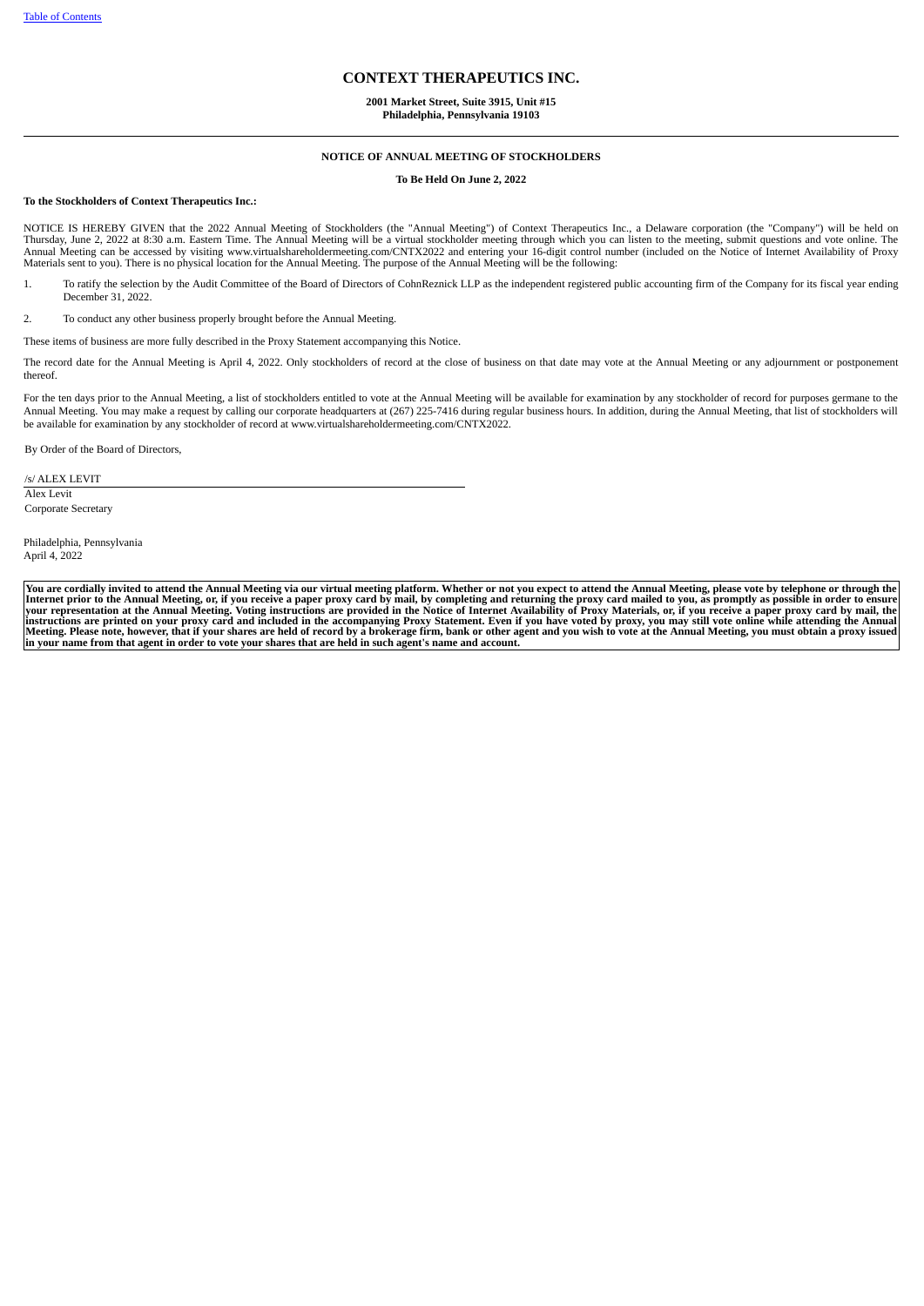# **CONTEXT THERAPEUTICS INC.**

# **2001 Market Street, Suite 3915, Unit #15 Philadelphia, Pennsylvania 19103**

#### **NOTICE OF ANNUAL MEETING OF STOCKHOLDERS**

**To Be Held On June 2, 2022**

# **To the Stockholders of Context Therapeutics Inc.:**

NOTICE IS HEREBY GIVEN that the 2022 Annual Meeting of Stockholders (the "Annual Meeting") of Context Therapeutics Inc., a Delaware corporation (the "Company") will be held on<br>Thursday, June 2, 2022 at 8:30 a.m. Eastern Ti Materials sent to you). There is no physical location for the Annual Meeting. The purpose of the Annual Meeting will be the following:

1. To ratify the selection by the Audit Committee of the Board of Directors of CohnReznick LLP as the independent registered public accounting firm of the Company for its fiscal year ending December 31, 2022.

2. To conduct any other business properly brought before the Annual Meeting.

These items of business are more fully described in the Proxy Statement accompanying this Notice.

The record date for the Annual Meeting is April 4, 2022. Only stockholders of record at the close of business on that date may vote at the Annual Meeting or any adjournment or postponement thereof.

For the ten days prior to the Annual Meeting, a list of stockholders entitled to vote at the Annual Meeting will be available for examination by any stockholder of record for purposes germane to the Annual Meeting. You may make a request by calling our corporate headquarters at (267) 225-7416 during regular business hours. In addition, during the Annual Meeting, that list of stockholders will be available for examination by any stockholder of record at www.virtualshareholdermeeting.com/CNTX2022.

By Order of the Board of Directors,

/s/ ALEX LEVIT Alex Levit Corporate Secretary

Philadelphia, Pennsylvania April 4, 2022

<span id="page-2-0"></span>You are cordially invited to attend the Annual Meeting via our virtual meeting platform. Whether or not you expect to attend the Annual Meeting, please vote by telephone or through the<br>Internet prior to the Annual Meeting, in your name from that agent in order to vote your shares that are held in such agent's name and account.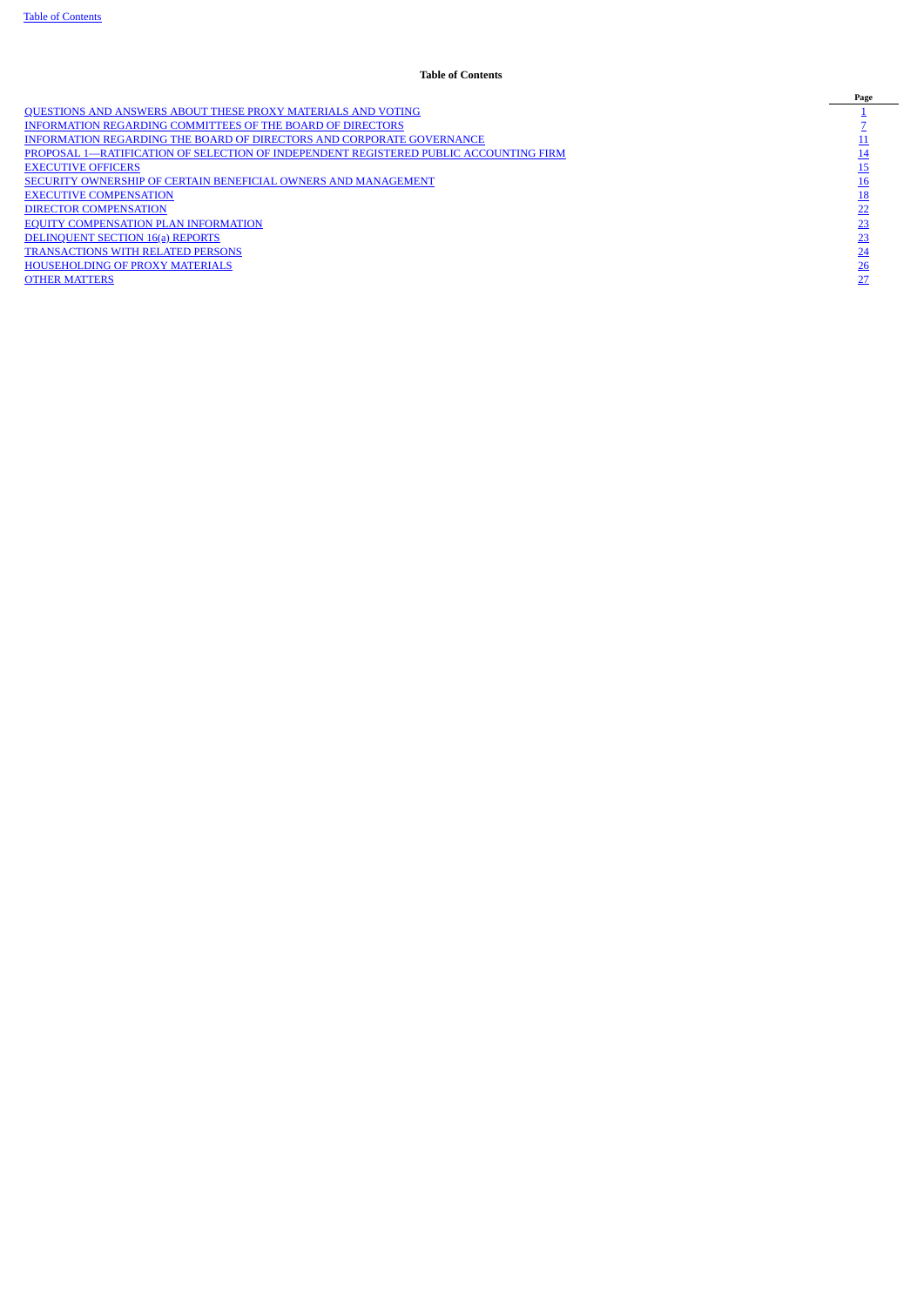# **Table of Contents**

<span id="page-3-0"></span>NEONATION SAND ANSWERS ABOUT THESE PROXY [MATERIALS](#page-3-0) AND VOTING<br>
NEORMATION REGARDING COMMITTEES OF THE BOARD OF DIRECTORS AND CORPORATE GOVERNANCE<br>
NEORMATION REGARDING THE BOARD OF DIRECTORS AND CORPORATE GOVERNANCE<br> [1](#page-3-0)9 PR [INFORMATION](#page-9-0) REGARDING COMMITTEES OF THE BOARD OF DIRECTORS [7](#page-9-0) [INFORMATION](#page-13-0) REGARDING THE BOARD OF DIRECTORS AND CORPORATE GOVERNANCE [PROPOSAL](#page-16-0) [1—RATIFICATION](#page-16-0) OF SELECTION OF INDEPENDENT REGISTERED PUBLIC ACCOUNTING FIRM [14](#page-16-0) **[EXECUTIVE](#page-17-0) OFFICERS** SECURITY OWNERSHIP OF CERTAIN BENEFICIAL OWNERS AND [MANAGEMENT](#page-18-0) EXECUTIVE [COMPENSATION](#page-20-0) DIRECTOR [COMPENSATION](#page-24-0) EQUITY [COMPENSATION](#page-26-0) PLAN INFORMATION [DELINQUENT](#page-26-1) SECTION 16(a) REPORTS [TRANSACTIONS](#page-26-2) WITH RELATED PERSONS [HOUSEHOLDING](#page-29-0) OF PROXY MATERIALS [26](#page-29-0) **OTHER [MATTERS](#page-29-1)**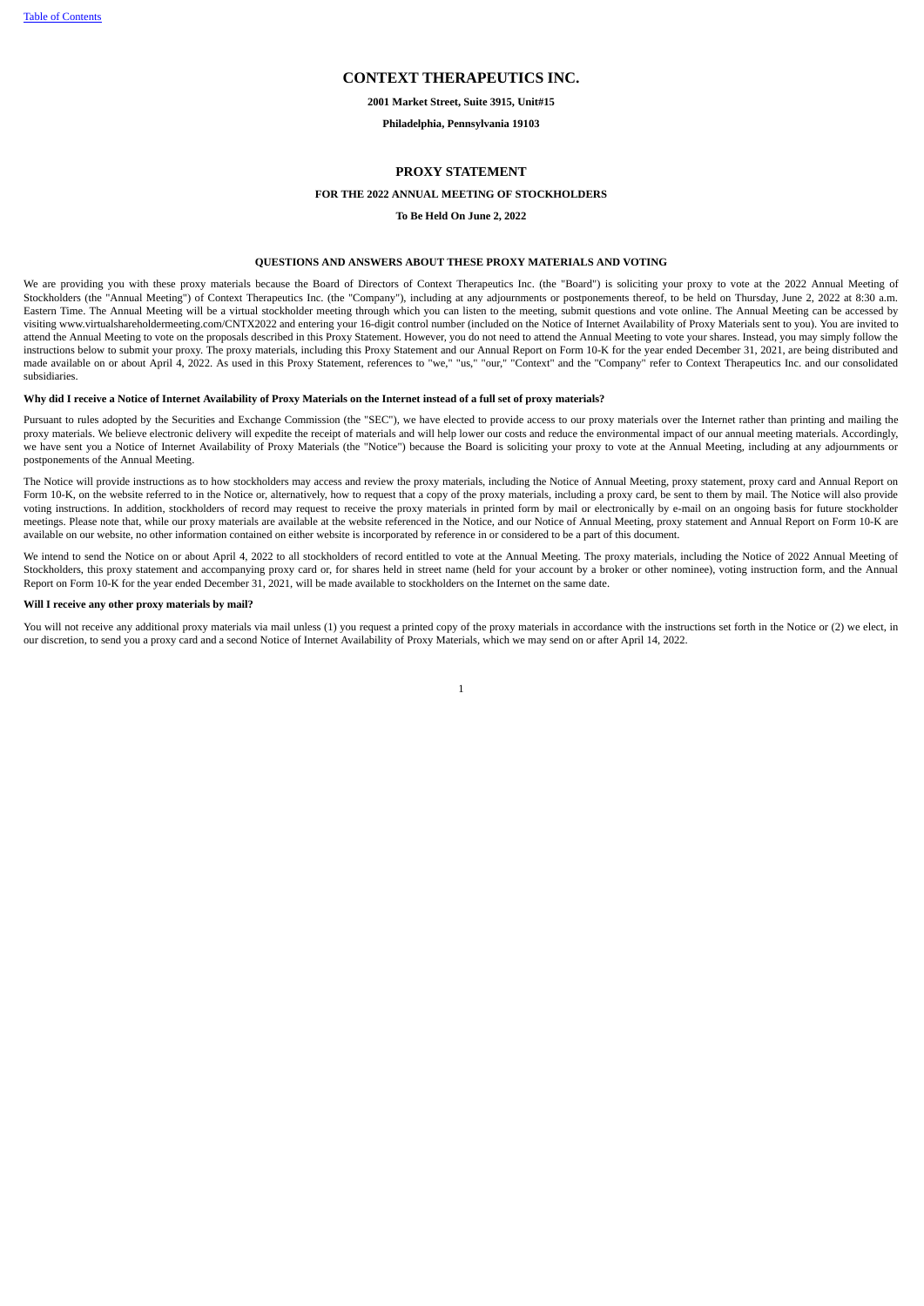# **CONTEXT THERAPEUTICS INC.**

**2001 Market Street, Suite 3915, Unit#15**

#### **Philadelphia, Pennsylvania 19103**

# **PROXY STATEMENT**

# **FOR THE 2022 ANNUAL MEETING OF STOCKHOLDERS**

**To Be Held On June 2, 2022**

# **QUESTIONS AND ANSWERS ABOUT THESE PROXY MATERIALS AND VOTING**

We are providing you with these proxy materials because the Board of Directors of Context Therapeutics Inc. (the "Board") is soliciting your proxy to vote at the 2022 Annual Meeting of Stockholders (the "Annual Meeting") of Context Therapeutics Inc. (the "Company"), including at any adjournments or postponements thereof, to be held on Thursday, June 2, 2022 at 8:30 a.m. Eastern Time. The Annual Meeting will be a virtual stockholder meeting through which you can listen to the meeting, submit questions and vote online. The Annual Meeting can be accessed by visiting www.virtualshareholdermeeting.com/CNTX2022 and entering your 16-digit control number (included on the Notice of Internet Availability of Proxy Materials sent to you). You are invited to attend the Annual Meeting to vote on the proposals described in this Proxy Statement. However, you do not need to attend the Annual Meeting to yote your shares. Instead, you may simply follow the instructions below to submit your proxy. The proxy materials, including this Proxy Statement and our Annual Report on Form 10-K for the year ended December 31, 2021, are being distributed and made available on or about April 4, 2022. As used in this Proxy Statement, references to "we," "us," "our," "Context" and the "Company" refer to Context Therapeutics Inc. and our consolidated subsidiaries.

# Why did I receive a Notice of Internet Availability of Proxy Materials on the Internet instead of a full set of proxy materials?

Pursuant to rules adopted by the Securities and Exchange Commission (the "SEC"), we have elected to provide access to our proxy materials over the Internet rather than printing and mailing the proxy materials. We believe electronic delivery will expedite the receipt of materials and will help lower our costs and reduce the environmental impact of our annual meeting materials. Accordingly, we have sent you a Notice of Internet Availability of Proxy Materials (the "Notice") because the Board is soliciting your proxy to vote at the Annual Meeting, including at any adjournments or postponements of the Annual Meeting.

The Notice will provide instructions as to how stockholders may access and review the proxy materials, including the Notice of Annual Meeting, proxy statement, proxy card and Annual Report on Form 10-K, on the website referred to in the Notice or, alternatively, how to request that a copy of the proxy materials, including a proxy card, be sent to them by mail. The Notice will also provide voting instructions. In addition, stockholders of record may request to receive the proxy materials in printed form by mail or electronically by e-mail on an ongoing basis for future stockholder meetings. Please note that, while our proxy materials are available at the website referenced in the Notice, and our Notice of Annual Meeting, proxy statement and Annual Report on Form 10-K are available on our website, no other information contained on either website is incorporated by reference in or considered to be a part of this document.

We intend to send the Notice on or about April 4, 2022 to all stockholders of record entitled to vote at the Annual Meeting. The proxy materials, including the Notice of 2022 Annual Meeting of Stockholders, this proxy statement and accompanying proxy card or, for shares held in street name (held for your account by a broker or other nominee), voting instruction form, and the Annual Report on Form 10-K for the year ended December 31, 2021, will be made available to stockholders on the Internet on the same date.

# **Will I receive any other proxy materials by mail?**

You will not receive any additional proxy materials via mail unless (1) you request a printed copy of the proxy materials in accordance with the instructions set forth in the Notice or (2) we elect, in our discretion, to send you a proxy card and a second Notice of Internet Availability of Proxy Materials, which we may send on or after April 14, 2022.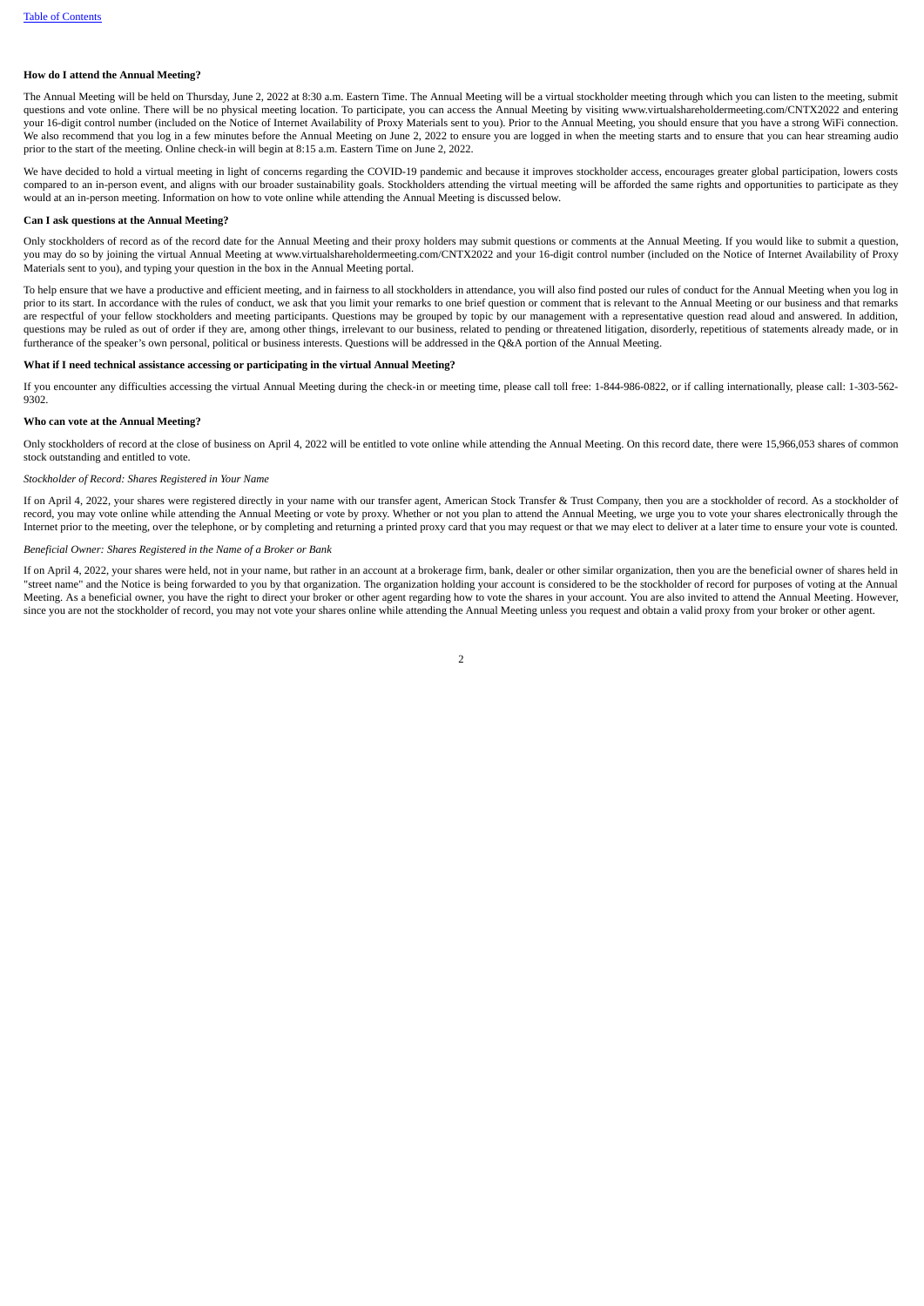## **How do I attend the Annual Meeting?**

The Annual Meeting will be held on Thursday, June 2, 2022 at 8:30 a.m. Eastern Time. The Annual Meeting will be a virtual stockholder meeting through which you can listen to the meeting, submit questions and vote online. There will be no physical meeting location. To participate, you can access the Annual Meeting by visiting www.virtualshareholdermeeting.com/CNTX2022 and entering your 16-digit control number (included on the Notice of Internet Availability of Proxy Materials sent to you). Prior to the Annual Meeting, you should ensure that you have a strong WiFi connection. We also recommend that you log in a few minutes before the Annual Meeting on June 2, 2022 to ensure you are logged in when the meeting starts and to ensure that you can hear streaming audio prior to the start of the meeting. Online check-in will begin at 8:15 a.m. Eastern Time on June 2, 2022.

We have decided to hold a virtual meeting in light of concerns regarding the COVID-19 pandemic and because it improves stockholder access, encourages greater global participation, lowers costs compared to an in-person event, and aligns with our broader sustainability goals. Stockholders attending the virtual meeting will be afforded the same rights and opportunities to participate as they would at an in-person meeting. Information on how to vote online while attending the Annual Meeting is discussed below.

#### **Can I ask questions at the Annual Meeting?**

Only stockholders of record as of the record date for the Annual Meeting and their proxy holders may submit questions or comments at the Annual Meeting. If you would like to submit a question, you may do so by joining the virtual Annual Meeting at www.virtualshareholdermeeting.com/CNTX2022 and your 16-digit control number (included on the Notice of Internet Availability of Proxy Materials sent to you), and typing your question in the box in the Annual Meeting portal.

To help ensure that we have a productive and efficient meeting, and in fairness to all stockholders in attendance, you will also find posted our rules of conduct for the Annual Meeting when you log in prior to its start. In accordance with the rules of conduct, we ask that you limit your remarks to one brief question or comment that is relevant to the Annual Meeting or our business and that remarks are respectful of your fellow stockholders and meeting participants. Questions may be grouped by topic by our management with a representative question read aloud and answered. In addition, questions may be ruled as out of order if they are, among other things, irrelevant to our business, related to pending or threatened litigation, disorderly, repetitious of statements already made, or in furtherance of the speaker's own personal, political or business interests. Questions will be addressed in the Q&A portion of the Annual Meeting.

# **What if I need technical assistance accessing or participating in the virtual Annual Meeting?**

If you encounter any difficulties accessing the virtual Annual Meeting during the check-in or meeting time, please call toll free: 1-844-986-0822, or if calling internationally, please call: 1-303-562-9302.

#### **Who can vote at the Annual Meeting?**

Only stockholders of record at the close of business on April 4, 2022 will be entitled to vote online while attending the Annual Meeting. On this record date, there were 15,966,053 shares of common stock outstanding and entitled to vote.

## *Stockholder of Record: Shares Registered in Your Name*

If on April 4, 2022, your shares were registered directly in your name with our transfer agent, American Stock Transfer & Trust Company, then you are a stockholder of record. As a stockholder of record, you may vote online while attending the Annual Meeting or vote by proxy. Whether or not you plan to attend the Annual Meeting, we urge you to vote your shares electronically through the Internet prior to the meeting, over the telephone, or by completing and returning a printed proxy card that you may request or that we may elect to deliver at a later time to ensure your vote is counted.

### *Beneficial Owner: Shares Registered in the Name of a Broker or Bank*

If on April 4, 2022, your shares were held, not in your name, but rather in an account at a brokerage firm, bank, dealer or other similar organization, then you are the beneficial owner of shares held in "street name" and the Notice is being forwarded to you by that organization. The organization holding your account is considered to be the stockholder of record for purposes of voting at the Annual Meeting. As a beneficial owner, you have the right to direct your broker or other agent regarding how to vote the shares in your account. You are also invited to attend the Annual Meeting. However, since you are not the stockholder of record, you may not vote your shares online while attending the Annual Meeting unless you request and obtain a valid proxy from your broker or other agent.

 $\overline{2}$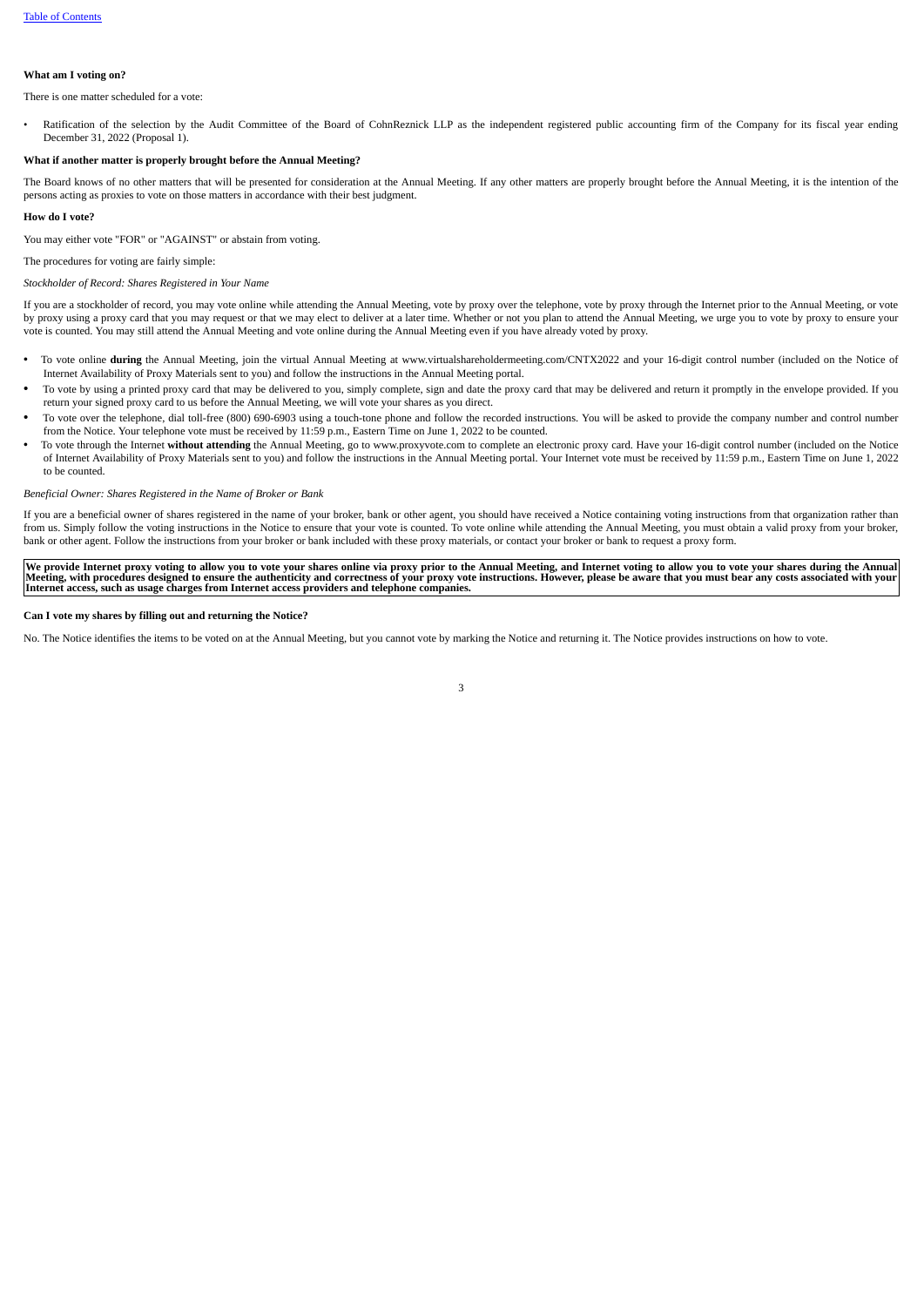# **What am I voting on?**

There is one matter scheduled for a vote:

Ratification of the selection by the Audit Committee of the Board of CohnReznick LLP as the independent registered public accounting firm of the Company for its fiscal year ending December 31, 2022 (Proposal 1).

# **What if another matter is properly brought before the Annual Meeting?**

The Board knows of no other matters that will be presented for consideration at the Annual Meeting. If any other matters are properly brought before the Annual Meeting, it is the intention of the persons acting as proxies to vote on those matters in accordance with their best judgment.

#### **How do I vote?**

You may either vote "FOR" or "AGAINST" or abstain from voting.

The procedures for voting are fairly simple:

#### *Stockholder of Record: Shares Registered in Your Name*

If you are a stockholder of record, you may vote online while attending the Annual Meeting, vote by proxy over the telephone, vote by proxy through the Internet prior to the Annual Meeting, or vote by proxy using a proxy card that you may request or that we may elect to deliver at a later time. Whether or not you plan to attend the Annual Meeting, we urge you to vote by proxy to ensure your vote is counted. You may still attend the Annual Meeting and vote online during the Annual Meeting even if you have already voted by proxy.

- To vote online **during** the Annual Meeting, join the virtual Annual Meeting at www.virtualshareholdermeeting.com/CNTX2022 and your 16-digit control number (included on the Notice of Internet Availability of Proxy Materials sent to you) and follow the instructions in the Annual Meeting portal.
- To vote by using a printed proxy card that may be delivered to you, simply complete, sign and date the proxy card that may be delivered and return it promptly in the envelope provided. If you return your signed proxy card to us before the Annual Meeting, we will vote your shares as you direct.
- To vote over the telephone, dial toll-free (800) 690-6903 using a touch-tone phone and follow the recorded instructions. You will be asked to provide the company number and control number from the Notice. Your telephone vote must be received by 11:59 p.m., Eastern Time on June 1, 2022 to be counted.
- To vote through the Internet **without attending** the Annual Meeting, go to www.proxyvote.com to complete an electronic proxy card. Have your 16-digit control number (included on the Notice of Internet Availability of Proxy Materials sent to you) and follow the instructions in the Annual Meeting portal. Your Internet vote must be received by 11:59 p.m., Eastern Time on June 1, 2022 to be counted.

#### *Beneficial Owner: Shares Registered in the Name of Broker or Bank*

If you are a beneficial owner of shares registered in the name of your broker, bank or other agent, you should have received a Notice containing voting instructions from that organization rather than from us. Simply follow the voting instructions in the Notice to ensure that your vote is counted. To vote online while attending the Annual Meeting, you must obtain a valid proxy from your broker, bank or other agent. Follow the instructions from your broker or bank included with these proxy materials, or contact your broker or bank to request a proxy form.

We provide Internet proxy voting to allow you to vote your shares online via proxy prior to the Annual Meeting, and Internet voting to allow you to vote your shares during the Annual<br>Meeting, with procedures designed to en

#### **Can I vote my shares by filling out and returning the Notice?**

No. The Notice identifies the items to be voted on at the Annual Meeting, but you cannot vote by marking the Notice and returning it. The Notice provides instructions on how to vote.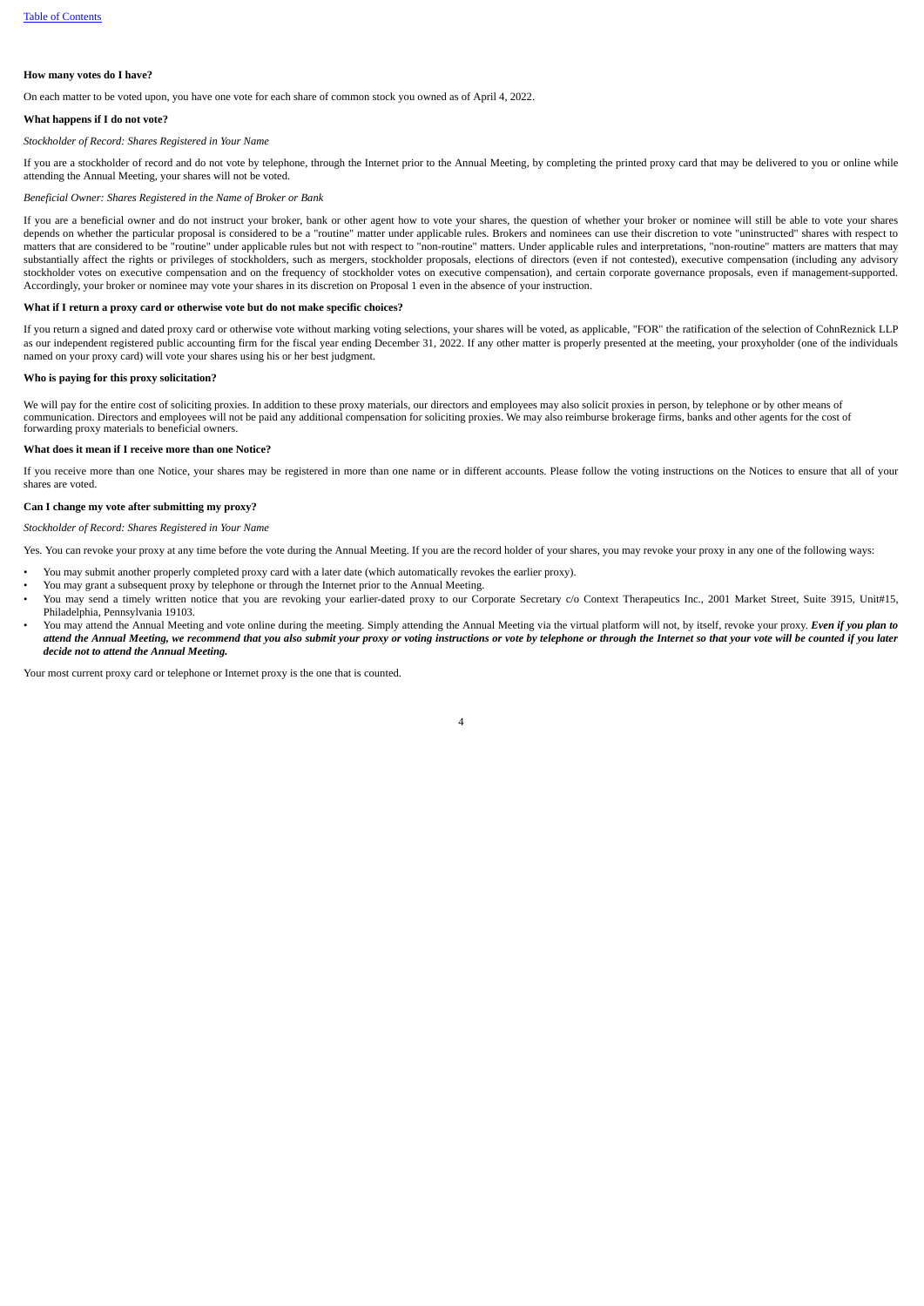# **How many votes do I have?**

On each matter to be voted upon, you have one vote for each share of common stock you owned as of April 4, 2022.

#### **What happens if I do not vote?**

#### *Stockholder of Record: Shares Registered in Your Name*

If you are a stockholder of record and do not vote by telephone, through the Internet prior to the Annual Meeting, by completing the printed proxy card that may be delivered to you or online while attending the Annual Meeting, your shares will not be voted.

#### *Beneficial Owner: Shares Registered in the Name of Broker or Bank*

If you are a beneficial owner and do not instruct your broker, bank or other agent how to vote your shares, the question of whether your broker or nominee will still be able to vote your shares depends on whether the particular proposal is considered to be a "routine" matter under applicable rules. Brokers and nominees can use their discretion to vote "uninstructed" shares with respect to matters that are considered to be "routine" under applicable rules but not with respect to "non-routine" matters. Under applicable rules and interpretations, "non-routine" matters are matters that may substantially affect the rights or privileges of stockholders, such as mergers, stockholder proposals, elections of directors (even if not contested), executive compensation (including any advisory stockholder votes on executive compensation and on the frequency of stockholder votes on executive compensation), and certain corporate governance proposals, even if management-supported. Accordingly, your broker or nominee may vote your shares in its discretion on Proposal 1 even in the absence of your instruction.

#### **What if I return a proxy card or otherwise vote but do not make specific choices?**

If you return a signed and dated proxy card or otherwise vote without marking voting selections, your shares will be voted, as applicable, "FOR" the ratification of the selection of CohnReznick LLP as our independent registered public accounting firm for the fiscal year ending December 31, 2022. If any other matter is properly presented at the meeting, your proxyholder (one of the individuals named on your proxy card) will vote your shares using his or her best judgment.

### **Who is paying for this proxy solicitation?**

We will pay for the entire cost of soliciting proxies. In addition to these proxy materials, our directors and employees may also solicit proxies in person, by telephone or by other means of communication. Directors and employees will not be paid any additional compensation for soliciting proxies. We may also reimburse brokerage firms, banks and other agents for the cost of forwarding proxy materials to beneficial owners.

# **What does it mean if I receive more than one Notice?**

If you receive more than one Notice, your shares may be registered in more than one name or in different accounts. Please follow the voting instructions on the Notices to ensure that all of your shares are voted.

### **Can I change my vote after submitting my proxy?**

*Stockholder of Record: Shares Registered in Your Name*

Yes. You can revoke your proxy at any time before the vote during the Annual Meeting. If you are the record holder of your shares, you may revoke your proxy in any one of the following ways:

- You may submit another properly completed proxy card with a later date (which automatically revokes the earlier proxy).
- You may grant a subsequent proxy by telephone or through the Internet prior to the Annual Meeting.
- You may send a timely written notice that you are revoking your earlier-dated proxy to our Corporate Secretary c/o Context Therapeutics Inc., 2001 Market Street, Suite 3915, Unit#15, Philadelphia, Pennsylvania 19103.
- You may attend the Annual Meeting and vote online during the meeting. Simply attending the Annual Meeting via the virtual platform will not, by itself, revoke your proxy. Even if you plan to attend the Annual Meeting, we recommend that you also submit your proxy or voting instructions or vote by telephone or through the Internet so that your vote will be counted if you later *decide not to attend the Annual Meeting.*

Your most current proxy card or telephone or Internet proxy is the one that is counted.

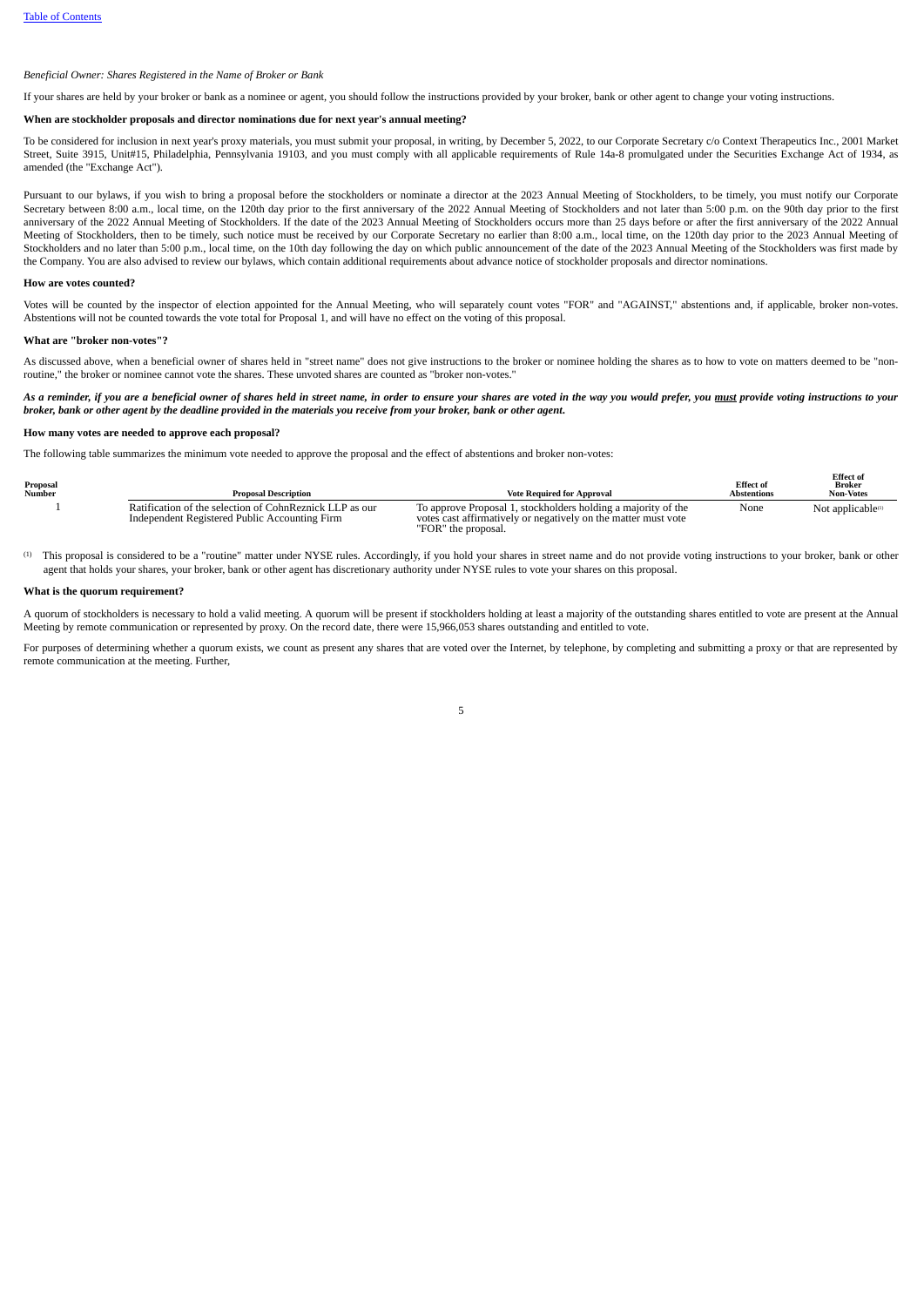# *Beneficial Owner: Shares Registered in the Name of Broker or Bank*

If your shares are held by your broker or bank as a nominee or agent, you should follow the instructions provided by your broker, bank or other agent to change your voting instructions.

#### **When are stockholder proposals and director nominations due for next year's annual meeting?**

To be considered for inclusion in next year's proxy materials, you must submit your proposal, in writing, by December 5, 2022, to our Corporate Secretary c/o Context Therapeutics Inc., 2001 Market Street, Suite 3915, Unit#15, Philadelphia, Pennsylvania 19103, and you must comply with all applicable requirements of Rule 14a-8 promulgated under the Securities Exchange Act of 1934, as amended (the "Exchange Act").

Pursuant to our bylaws, if you wish to bring a proposal before the stockholders or nominate a director at the 2023 Annual Meeting of Stockholders, to be timely, you must notify our Corporate Secretary between 8:00 a.m., local time, on the 120th day prior to the first anniversary of the 2022 Annual Meeting of Stockholders and not later than 5:00 p.m. on the 90th day prior to the first anniversary of the 2022 Annual Meeting of Stockholders. If the date of the 2023 Annual Meeting of Stockholders occurs more than 25 days before or after the first anniversary of the 2022 Annual Meeting of Stockholders, then to be timely, such notice must be received by our Corporate Secretary no earlier than 8:00 a.m., local time, on the 120th day prior to the 2023 Annual Meeting of Stockholders and no later than 5:00 p.m., local time, on the 10th day following the day on which public announcement of the date of the 2023 Annual Meeting of the Stockholders was first made by the Company. You are also advised to review our bylaws, which contain additional requirements about advance notice of stockholder proposals and director nominations.

#### **How are votes counted?**

Votes will be counted by the inspector of election appointed for the Annual Meeting, who will separately count votes "FOR" and "AGAINST," abstentions and, if applicable, broker non-votes. Abstentions will not be counted towards the vote total for Proposal 1, and will have no effect on the voting of this proposal.

#### **What are "broker non-votes"?**

As discussed above, when a beneficial owner of shares held in "street name" does not give instructions to the broker or nominee holding the shares as to how to vote on matters deemed to be "nonroutine," the broker or nominee cannot vote the shares. These unvoted shares are counted as "broker non-votes."

# As a reminder, if you are a beneficial owner of shares held in street name, in order to ensure your shares are voted in the way you would prefer, you <u>must</u> provide voting instructions to your broker, bank or other agent by the deadline provided in the materials you receive from your broker, bank or other agent.

# **How many votes are needed to approve each proposal?**

The following table summarizes the minimum vote needed to approve the proposal and the effect of abstentions and broker non-votes:

| Proposal<br>Number | <b>Proposal Description</b>                                                                              | <b>Vote Required for Approval</b>                                                                                                                      | <b>Effect</b> of<br><b>Abstentions</b> | ---------<br>Broker<br><b>Non-Votes</b> |
|--------------------|----------------------------------------------------------------------------------------------------------|--------------------------------------------------------------------------------------------------------------------------------------------------------|----------------------------------------|-----------------------------------------|
|                    | Ratification of the selection of CohnReznick LLP as our<br>Independent Registered Public Accounting Firm | To approve Proposal 1, stockholders holding a majority of the<br>votes cast affirmatively or negatively on the matter must vote<br>"FOR" the proposal. | None                                   | Not applicable <sup>(1)</sup>           |

**B***Effect* of

This proposal is considered to be a "routine" matter under NYSE rules. Accordingly, if you hold your shares in street name and do not provide voting instructions to your broker, bank or other (1) agent that holds your shares, your broker, bank or other agent has discretionary authority under NYSE rules to vote your shares on this proposal.

#### **What is the quorum requirement?**

A quorum of stockholders is necessary to hold a valid meeting. A quorum will be present if stockholders holding at least a majority of the outstanding shares entitled to vote are present at the Annual Meeting by remote communication or represented by proxy. On the record date, there were 15,966,053 shares outstanding and entitled to vote.

For purposes of determining whether a quorum exists, we count as present any shares that are voted over the Internet, by telephone, by completing and submitting a proxy or that are represented by remote communication at the meeting. Further,

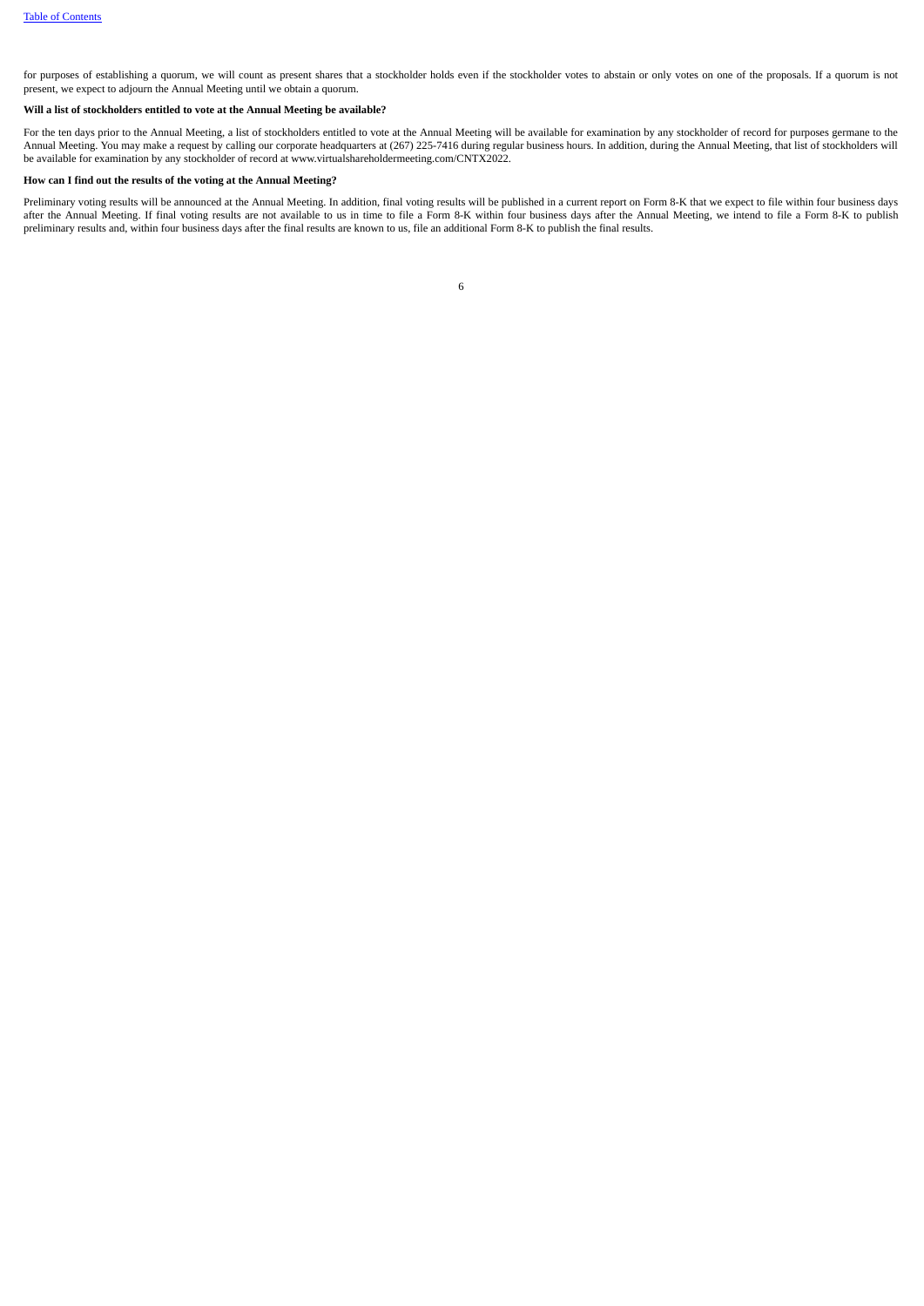for purposes of establishing a quorum, we will count as present shares that a stockholder holds even if the stockholder votes to abstain or only votes on one of the proposals. If a quorum is not present, we expect to adjourn the Annual Meeting until we obtain a quorum.

# **Will a list of stockholders entitled to vote at the Annual Meeting be available?**

For the ten days prior to the Annual Meeting, a list of stockholders entitled to vote at the Annual Meeting will be available for examination by any stockholder of record for purposes germane to the Annual Meeting. You may make a request by calling our corporate headquarters at (267) 225-7416 during regular business hours. In addition, during the Annual Meeting, that list of stockholders will annual Meeting, that list be available for examination by any stockholder of record at www.virtualshareholdermeeting.com/CNTX2022.

# **How can I find out the results of the voting at the Annual Meeting?**

<span id="page-9-0"></span>Preliminary voting results will be announced at the Annual Meeting. In addition, final voting results will be published in a current report on Form 8-K that we expect to file within four business days after the Annual Meeting. If final voting results are not available to us in time to file a Form 8-K within four business days after the Annual Meeting, we intend to file a Form 8-K to publish preliminary results and, within four business days after the final results are known to us, file an additional Form 8-K to publish the final results.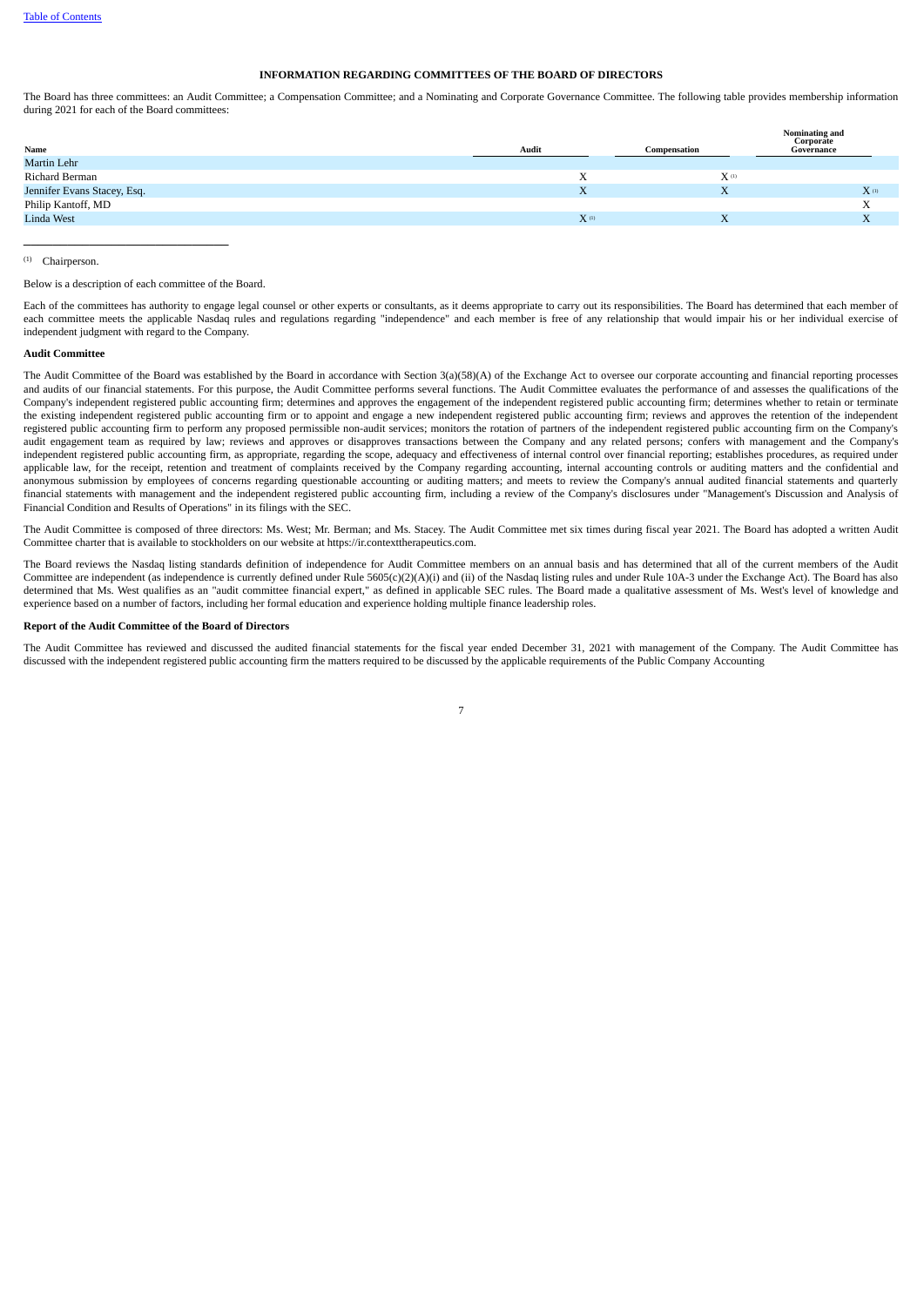# **INFORMATION REGARDING COMMITTEES OF THE BOARD OF DIRECTORS**

The Board has three committees: an Audit Committee; a Compensation Committee; and a Nominating and Corporate Governance Committee. The following table provides membership information during 2021 for each of the Board committees:

|                             |           |              | <b>Nominating and</b><br>Corporate |
|-----------------------------|-----------|--------------|------------------------------------|
| Name                        | Audit     | Compensation | Governance                         |
| Martin Lehr                 |           |              |                                    |
| Richard Berman              | A         | $X^{(1)}$    |                                    |
| Jennifer Evans Stacey, Esq. | X         | X            | $X$ <sup>(1)</sup>                 |
| Philip Kantoff, MD          |           |              | X                                  |
| Linda West                  | $X^{(1)}$ | X            | A                                  |
|                             |           |              |                                    |

Chairperson. (1)

#### Below is a description of each committee of the Board.

\_\_\_\_\_\_\_\_\_\_\_\_\_\_\_\_\_\_\_\_\_\_\_\_\_\_\_\_

Each of the committees has authority to engage legal counsel or other experts or consultants, as it deems appropriate to carry out its responsibilities. The Board has determined that each member of each committee meets the applicable Nasdaq rules and regulations regarding "independence" and each member is free of any relationship that would impair his or her individual exercise of independent judgment with regard to the Company.

# **Audit Committee**

The Audit Committee of the Board was established by the Board in accordance with Section 3(a)(58)(A) of the Exchange Act to oversee our corporate accounting and financial reporting processes and audits of our financial statements. For this purpose, the Audit Committee performs several functions. The Audit Committee evaluates the performance of and assesses the qualifications of the Company's independent registered public accounting firm; determines and approves the engagement of the independent registered public accounting firm; determines whether to retain or terminate the existing independent registered public accounting firm or to appoint and engage a new independent registered public accounting firm; reviews and approves the retention of the independent registered public accounting firm to perform any proposed permissible non-audit services; monitors the rotation of partners of the independent registered public accounting firm on the Company's audit engagement team as required by law; reviews and approves or disapproves transactions between the Company and any related persons; confers with management and the Company's independent registered public accounting firm, as appropriate, regarding the scope, adequacy and effectiveness of internal control over financial reporting; establishes procedures, as required under applicable law, for the receipt, retention and treatment of complaints received by the Company regarding accounting, internal accounting controls or auditing matters and the confidential and anonymous submission by employees of concerns regarding questionable accounting or auditing matters; and meets to review the Company's annual audited financial statements and quarterly financial statements with management and the independent registered public accounting firm, including a review of the Company's disclosures under "Management's Discussion and Analysis of Financial Condition and Results of Operations" in its filings with the SEC.

The Audit Committee is composed of three directors: Ms. West; Mr. Berman; and Ms. Stacey. The Audit Committee met six times during fiscal year 2021. The Board has adopted a written Audit Committee charter that is available to stockholders on our website at https://ir.contexttherapeutics.com.

The Board reviews the Nasdaq listing standards definition of independence for Audit Committee members on an annual basis and has determined that all of the current members of the Audit Committee are independent (as independence is currently defined under Rule 5605(c)(2)(A)(i) and (ii) of the Nasdaq listing rules and under Rule 10A-3 under the Exchange Act). The Board has also determined that Ms. West qualifies as an "audit committee financial expert," as defined in applicable SEC rules. The Board made a qualitative assessment of Ms. West's level of knowledge and experience based on a number of factors, including her formal education and experience holding multiple finance leadership roles.

#### **Report of the Audit Committee of the Board of Directors**

The Audit Committee has reviewed and discussed the audited financial statements for the fiscal year ended December 31, 2021 with management of the Company. The Audit Committee has discussed with the independent registered public accounting firm the matters required to be discussed by the applicable requirements of the Public Company Accounting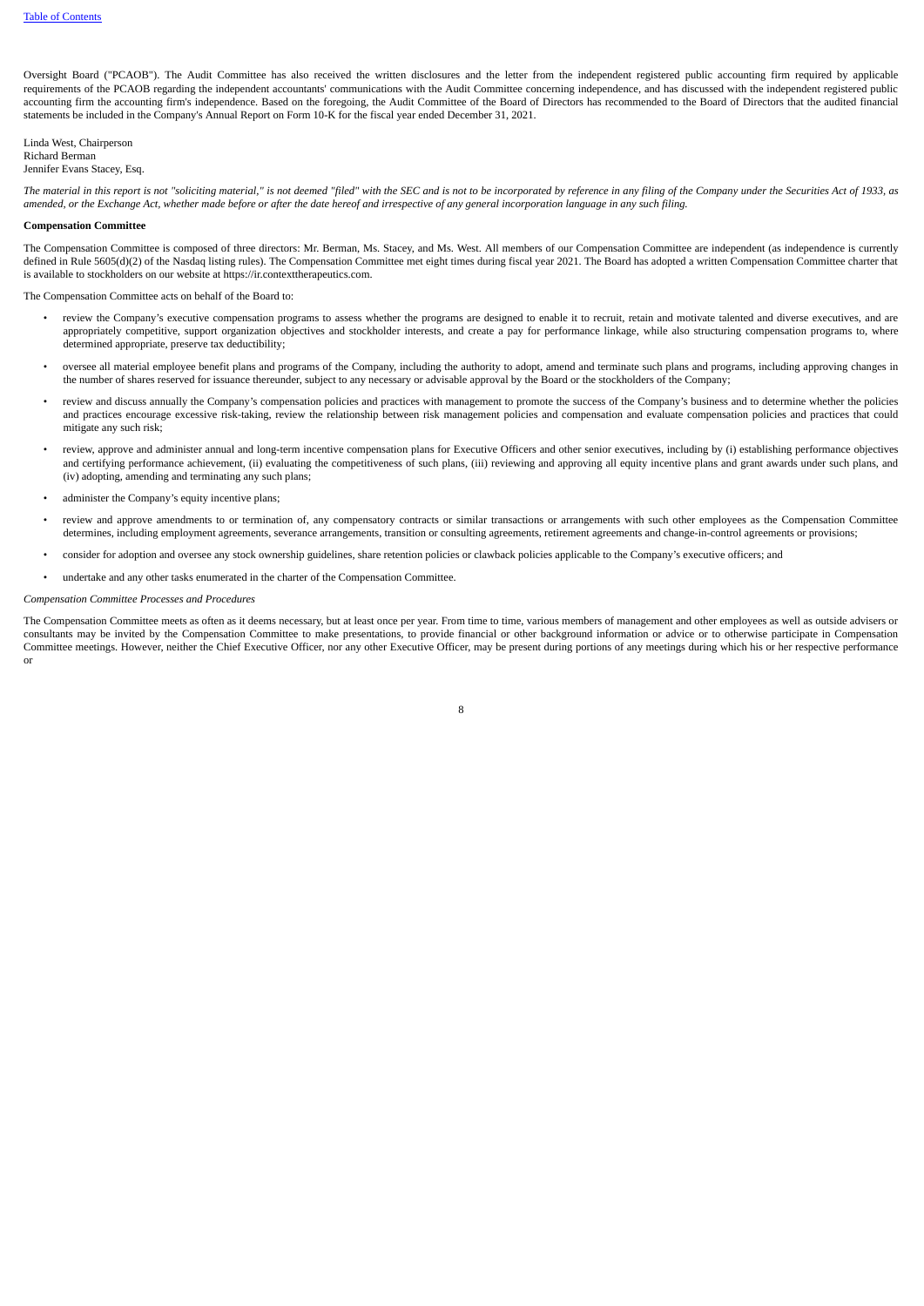Oversight Board ("PCAOB"). The Audit Committee has also received the written disclosures and the letter from the independent registered public accounting firm required by applicable requirements of the PCAOB regarding the independent accountants' communications with the Audit Committee concerning independence, and has discussed with the independent registered public accounting firm the accounting firm's independence. Based on the foregoing, the Audit Committee of the Board of Directors has recommended to the Board of Directors that the audited financial statements be included in the Company's Annual Report on Form 10-K for the fiscal year ended December 31, 2021.

Linda West, Chairperson Richard Berman Jennifer Evans Stacey, Esq.

The material in this report is not "soliciting material," is not deemed "filed" with the SEC and is not to be incorporated by reference in any filing of the Company under the Securities Act of 1933, as amended, or the Exchange Act, whether made before or after the date hereof and irrespective of any general incorporation language in any such filing.

#### **Compensation Committee**

The Compensation Committee is composed of three directors: Mr. Berman, Ms. Stacey, and Ms. West. All members of our Compensation Committee are independent (as independence is currently defined in Rule 5605(d)(2) of the Nasdaq listing rules). The Compensation Committee met eight times during fiscal year 2021. The Board has adopted a written Compensation Committee charter that is available to stockholders on our website at https://ir.contexttherapeutics.com.

The Compensation Committee acts on behalf of the Board to:

- review the Company's executive compensation programs to assess whether the programs are designed to enable it to recruit, retain and motivate talented and diverse executives, and are appropriately competitive, support organization objectives and stockholder interests, and create a pay for performance linkage, while also structuring compensation programs to, where determined appropriate, preserve tax deductibility;
- oversee all material employee benefit plans and programs of the Company, including the authority to adopt, amend and terminate such plans and programs, including approving changes in the number of shares reserved for issuance thereunder, subject to any necessary or advisable approval by the Board or the stockholders of the Company;
- review and discuss annually the Company's compensation policies and practices with management to promote the success of the Company's business and to determine whether the policies and practices encourage excessive risk-taking, review the relationship between risk management policies and compensation and evaluate compensation policies and practices that could mitigate any such risk;
- review, approve and administer annual and long-term incentive compensation plans for Executive Officers and other senior executives, including by (i) establishing performance objectives and certifying performance achievement, (ii) evaluating the competitiveness of such plans, (iii) reviewing and approving all equity incentive plans and grant awards under such plans, and (iv) adopting, amending and terminating any such plans;
- administer the Company's equity incentive plans;
- review and approve amendments to or termination of, any compensatory contracts or similar transactions or arrangements with such other employees as the Compensation Committee determines, including employment agreements, severance arrangements, transition or consulting agreements, retirement agreements and change-in-control agreements or provisions;
- consider for adoption and oversee any stock ownership guidelines, share retention policies or clawback policies applicable to the Company's executive officers; and
- undertake and any other tasks enumerated in the charter of the Compensation Committee.

#### *Compensation Committee Processes and Procedures*

The Compensation Committee meets as often as it deems necessary, but at least once per year. From time to time, various members of management and other employees as well as outside advisers or consultants may be invited by the Compensation Committee to make presentations, to provide financial or other background information or advice or to otherwise participate in Compensation Committee meetings. However, neither the Chief Executive Officer, nor any other Executive Officer, may be present during portions of any meetings during which his or her respective performance or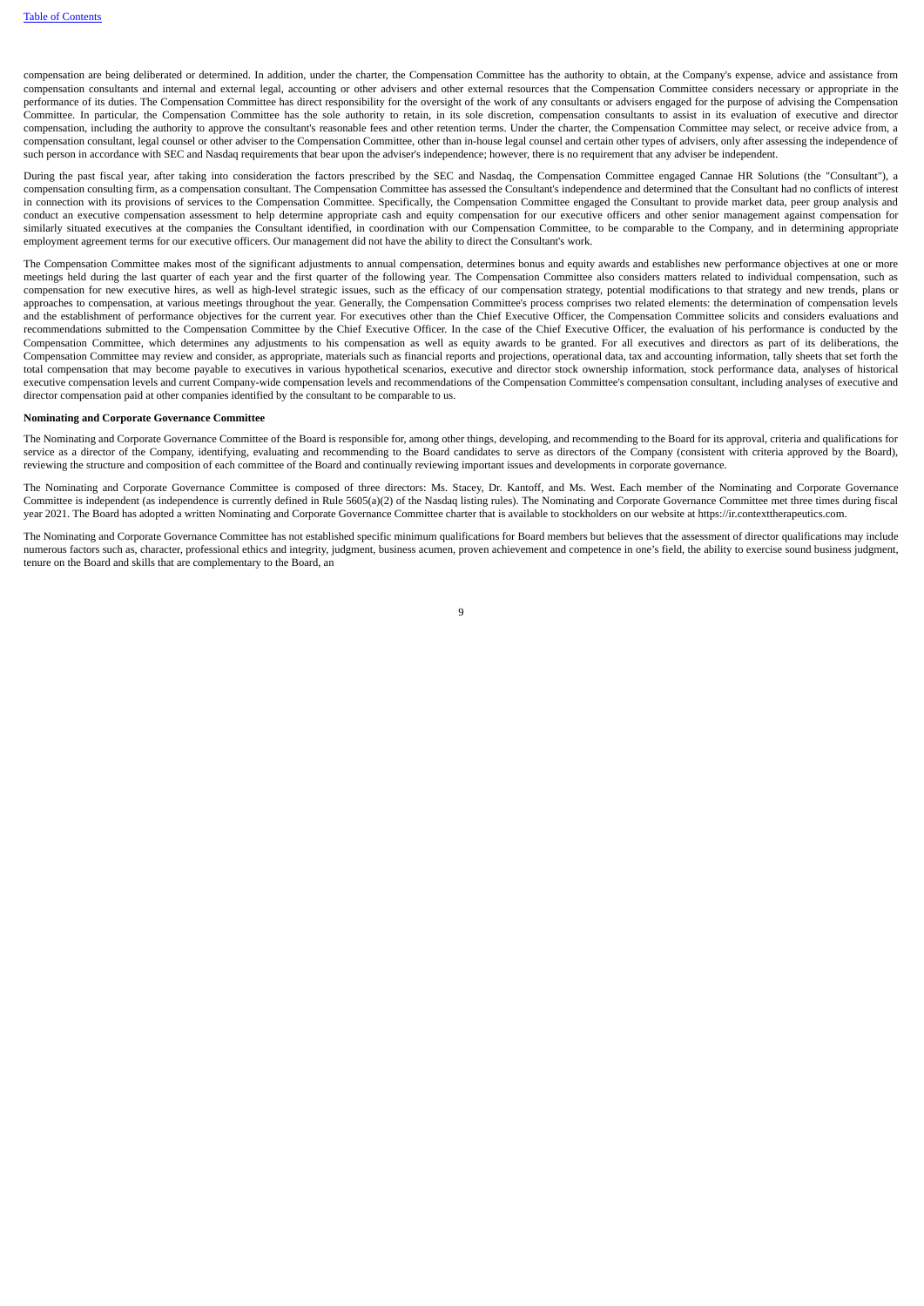compensation are being deliberated or determined. In addition, under the charter, the Compensation Committee has the authority to obtain, at the Company's expense, advice and assistance from compensation consultants and internal and external legal, accounting or other advisers and other external resources that the Compensation Committee considers necessary or appropriate in the performance of its duties. The Compensation Committee has direct responsibility for the oversight of the work of any consultants or advisers engaged for the purpose of advising the Compensation Committee. In particular, the Compensation Committee has the sole authority to retain, in its sole discretion, compensation consultants to assist in its evaluation of executive and director compensation, including the authority to approve the consultant's reasonable fees and other retention terms. Under the charter, the Compensation Committee may select, or receive advice from, a compensation consultant, legal counsel or other adviser to the Compensation Committee, other than in-house legal counsel and certain other types of advisers, only after assessing the independence of such person in accordance with SEC and Nasdaq requirements that bear upon the adviser's independence; however, there is no requirement that any adviser be independent.

During the past fiscal year, after taking into consideration the factors prescribed by the SEC and Nasdaq, the Compensation Committee engaged Cannae HR Solutions (the "Consultant"), a compensation consulting firm, as a compensation consultant. The Compensation Committee has assessed the Consultant's independence and determined that the Consultant had no conflicts of interest in connection with its provisions of services to the Compensation Committee. Specifically, the Compensation Committee engaged the Consultant to provide market data, peer group analysis and conduct an executive compensation assessment to help determine appropriate cash and equity compensation for our executive officers and other senior management against compensation for similarly situated executives at the companies the Consultant identified, in coordination with our Compensation Committee, to be comparable to the Company, and in determining appropriate employment agreement terms for our executive officers. Our management did not have the ability to direct the Consultant's work.

The Compensation Committee makes most of the significant adjustments to annual compensation, determines bonus and equity awards and establishes new performance objectives at one or more meetings held during the last quarter of each year and the first quarter of the following year. The Compensation Committee also considers matters related to individual compensation, such as compensation for new executive hires, as well as high-level strategic issues, such as the efficacy of our compensation strategy, potential modifications to that strategy and new trends, plans or approaches to compensation, at various meetings throughout the year. Generally, the Compensation Committee's process comprises two related elements: the determination of compensation levels and the establishment of performance objectives for the current year. For executives other than the Chief Executive Officer, the Compensation Committee solicits and considers evaluations and recommendations submitted to the Compensation Committee by the Chief Executive Officer. In the case of the Chief Executive Officer, the evaluation of his performance is conducted by the Compensation Committee, which determines any adjustments to his compensation as well as equity awards to be granted. For all executives and directors as part of its deliberations, the Compensation Committee may review and consider, as appropriate, materials such as financial reports and projections, operational data, tax and accounting information, tally sheets that set forth the total compensation that may become payable to executives in various hypothetical scenarios, executive and director stock ownership information, stock performance data, analyses of historical executive compensation levels and current Company-wide compensation levels and recommendations of the Compensation Committee's compensation consultant, including analyses of executive and director compensation paid at other companies identified by the consultant to be comparable to us.

#### **Nominating and Corporate Governance Committee**

The Nominating and Corporate Governance Committee of the Board is responsible for, among other things, developing, and recommending to the Board for its approval, criteria and qualifications for service as a director of the Company, identifying, evaluating and recommending to the Board candidates to serve as directors of the Company (consistent with criteria approved by the Board), reviewing the structure and composition of each committee of the Board and continually reviewing important issues and developments in corporate governance.

The Nominating and Corporate Governance Committee is composed of three directors: Ms. Stacey, Dr. Kantoff, and Ms. West. Each member of the Nominating and Corporate Governance Committee is independent (as independence is currently defined in Rule 5605(a)(2) of the Nasdaq listing rules). The Nominating and Corporate Governance Committee met three times during fiscal year 2021. The Board has adopted a written Nominating and Corporate Governance Committee charter that is available to stockholders on our website at https://ir.contexttherapeutics.com.

The Nominating and Corporate Governance Committee has not established specific minimum qualifications for Board members but believes that the assessment of director qualifications may include numerous factors such as, character, professional ethics and integrity, judgment, business acumen, proven achievement and competence in one's field, the ability to exercise sound business judgment, tenure on the Board and skills that are complementary to the Board, an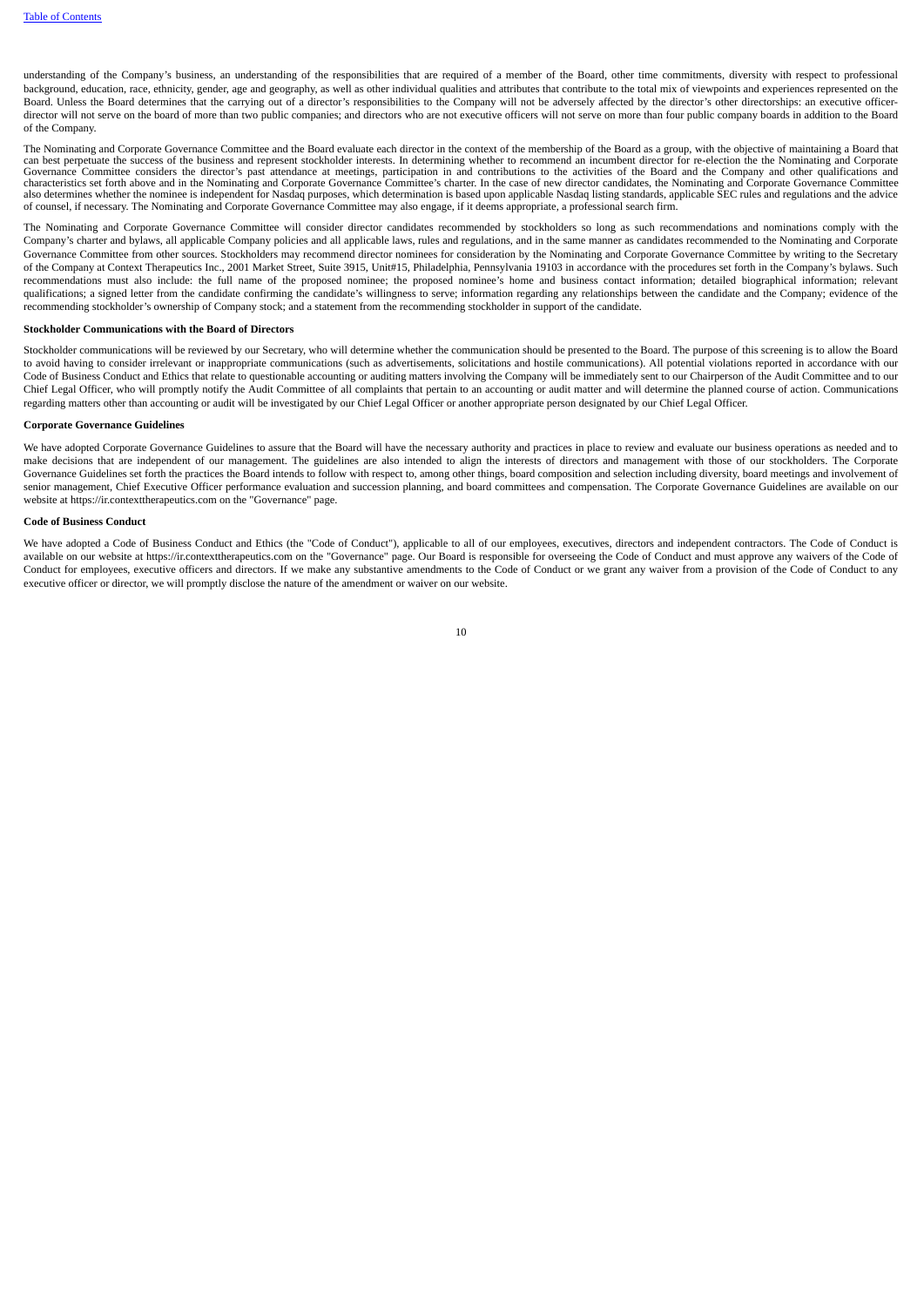understanding of the Company's business, an understanding of the responsibilities that are required of a member of the Board, other time commitments, diversity with respect to professional background, education, race, ethnicity, gender, age and geography, as well as other individual qualities and attributes that contribute to the total mix of viewpoints and experiences represented on the Board. Unless the Board determines that the carrying out of a director's responsibilities to the Company will not be adversely affected by the director's other directorships: an executive officerdirector will not serve on the board of more than two public companies; and directors who are not executive officers will not serve on more than four public company boards in addition to the Board of the Company.

The Nominating and Corporate Governance Committee and the Board evaluate each director in the context of the membership of the Board as a group, with the objective of maintaining a Board that can best perpetuate the success of the business and represent stockholder interests. In determining whether to recommend an incumbent director for re-election the the Nominating and Corporate Governance Committee considers the director's past attendance at meetings, participation in and contributions to the activities of the Board and the Company and other qualifications and<br>characteristics set forth above and also determines whether the nominee is independent for Nasdaq purposes, which determination is based upon applicable Nasdaq listing standards, applicable SEC rules and regulations and the advice of counsel, if necessary. The Nominating and Corporate Governance Committee may also engage, if it deems appropriate, a professional search firm.

The Nominating and Corporate Governance Committee will consider director candidates recommended by stockholders so long as such recommendations and nominations comply with the Company's charter and bylaws, all applicable Company policies and all applicable laws, rules and regulations, and in the same manner as candidates recommended to the Nominating and Corporate Governance Committee from other sources. Stockholders may recommend director nominees for consideration by the Nominating and Corporate Governance Committee by writing to the Secretary of the Company at Context Therapeutics Inc., 2001 Market Street, Suite 3915, Unit#15, Philadelphia, Pennsylvania 19103 in accordance with the procedures set forth in the Company's bylaws. Such recommendations must also include: the full name of the proposed nominee; the proposed nominee's home and business contact information; detailed biographical information; relevant qualifications; a signed letter from the candidate confirming the candidate's willingness to serve; information regarding any relationships between the candidate and the Company; evidence of the recommending stockholder's ownership of Company stock; and a statement from the recommending stockholder in support of the candidate.

#### **Stockholder Communications with the Board of Directors**

Stockholder communications will be reviewed by our Secretary, who will determine whether the communication should be presented to the Board. The purpose of this screening is to allow the Board to avoid having to consider irrelevant or inappropriate communications (such as advertisements, solicitations and hostile communications). All potential violations reported in accordance with our Code of Business Conduct and Ethics that relate to questionable accounting or auditing matters involving the Company will be immediately sent to our Chairperson of the Audit Committee and to our Chief Legal Officer, who will promptly notify the Audit Committee of all complaints that pertain to an accounting or audit matter and will determine the planned course of action. Communications regarding matters other than accounting or audit will be investigated by our Chief Legal Officer or another appropriate person designated by our Chief Legal Officer.

#### **Corporate Governance Guidelines**

We have adopted Corporate Governance Guidelines to assure that the Board will have the necessary authority and practices in place to review and evaluate our business operations as needed and to make decisions that are independent of our management. The guidelines are also intended to align the interests of directors and management with those of our stockholders. The Corporate Governance Guidelines set forth the practices the Board intends to follow with respect to, among other things, board composition and selection including diversity, board meetings and involvement of senior management, Chief Executive Officer performance evaluation and succession planning, and board committees and compensation. The Corporate Governance Guidelines are available on our website at https://ir.contexttherapeutics.com on the "Governance" page.

#### **Code of Business Conduct**

<span id="page-13-0"></span>We have adopted a Code of Business Conduct and Ethics (the "Code of Conduct"), applicable to all of our employees, executives, directors and independent contractors. The Code of Conduct is available on our website at https://ir.contexttherapeutics.com on the "Governance" page. Our Board is responsible for overseeing the Code of Conduct and must approve any waivers of the Code of Conduct for employees, executive officers and directors. If we make any substantive amendments to the Code of Conduct or we grant any waiver from a provision of the Code of Conduct to any conduct to any substantive amendme executive officer or director, we will promptly disclose the nature of the amendment or waiver on our website.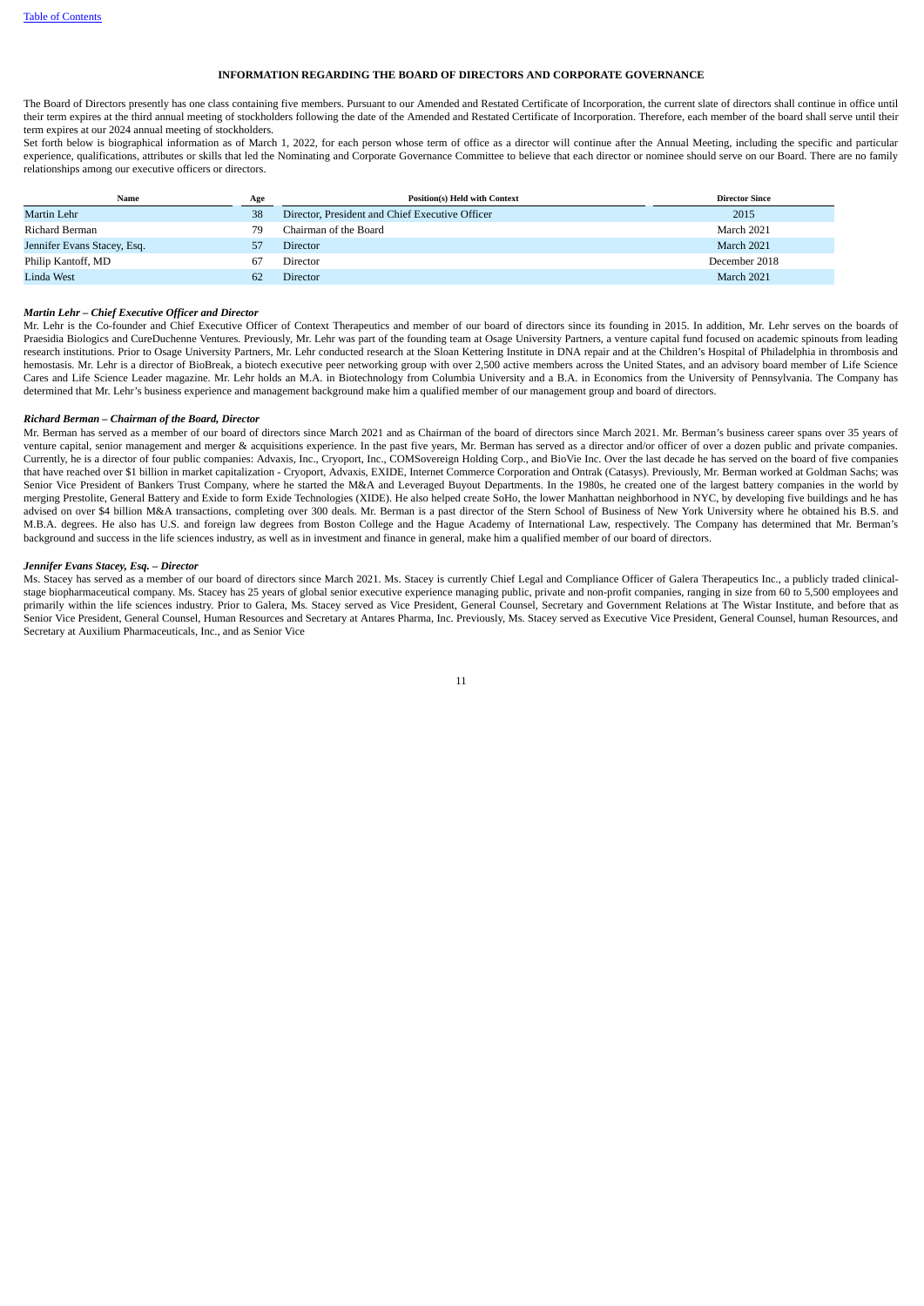# **INFORMATION REGARDING THE BOARD OF DIRECTORS AND CORPORATE GOVERNANCE**

The Board of Directors presently has one class containing five members. Pursuant to our Amended and Restated Certificate of Incorporation, the current slate of directors shall continue in office until their term expires at the third annual meeting of stockholders following the date of the Amended and Restated Certificate of Incorporation. Therefore, each member of the board shall serve until their term expires at our 2024 annual meeting of stockholders.

Set forth below is biographical information as of March 1, 2022, for each person whose term of office as a director will continue after the Annual Meeting, including the specific and particular experience, qualifications, attributes or skills that led the Nominating and Corporate Governance Committee to believe that each director or nominee should serve on our Board. There are no family relationships among our executive officers or directors.

| Name                        | Age | <b>Position(s) Held with Context</b>            | <b>Director Since</b> |
|-----------------------------|-----|-------------------------------------------------|-----------------------|
| Martin Lehr                 | 38  | Director, President and Chief Executive Officer | 2015                  |
| Richard Berman              | 79  | Chairman of the Board                           | March 2021            |
| Jennifer Evans Stacey, Esq. |     | <b>Director</b>                                 | March 2021            |
| Philip Kantoff, MD          | 67  | Director                                        | December 2018         |
| <b>Linda West</b>           | 62  | <b>Director</b>                                 | March 2021            |

# *Martin Lehr – Chief Executive Officer and Director*

Mr. Lehr is the Co-founder and Chief Executive Officer of Context Therapeutics and member of our board of directors since its founding in 2015. In addition, Mr. Lehr serves on the boards of Praesidia Biologics and CureDuchenne Ventures. Previously, Mr. Lehr was part of the founding team at Osage University Partners, a venture capital fund focused on academic spinouts from leading research institutions. Prior to Osage University Partners, Mr. Lehr conducted research at the Sloan Kettering Institute in DNA repair and at the Children's Hospital of Philadelphia in thrombosis and hemostasis. Mr. Lehr is a director of BioBreak, a biotech executive peer networking group with over 2,500 active members across the United States, and an advisory board member of Life Science Cares and Life Science Leader magazine. Mr. Lehr holds an M.A. in Biotechnology from Columbia University and a B.A. in Economics from the University of Pennsylvania. The Company has determined that Mr. Lehr's business experience and management background make him a qualified member of our management group and board of directors.

#### *Richard Berman – Chairman of the Board, Director*

Mr. Berman has served as a member of our board of directors since March 2021 and as Chairman of the board of directors since March 2021. Mr. Berman's business career spans over 35 years of venture capital, senior management and merger & acquisitions experience. In the past five years, Mr. Berman has served as a director and/or officer of over a dozen public and private companies. Currently, he is a director of four public companies: Advaxis, Inc., Cryoport, Inc., COMSovereign Holding Corp., and BioVie Inc. Over the last decade he has served on the board of five companies that have reached over \$1 billion in market capitalization - Cryoport, Advaxis, EXIDE, Internet Commerce Corporation and Ontrak (Catasys). Previously, Mr. Berman worked at Goldman Sachs; was Senior Vice President of Bankers Trust Company, where he started the M&A and Leveraged Buyout Departments. In the 1980s, he created one of the largest battery companies in the world by merging Prestolite, General Battery and Exide to form Exide Technologies (XIDE). He also helped create SoHo, the lower Manhattan neighborhood in NYC, by developing five buildings and he has advised on over \$4 billion M&A transactions, completing over 300 deals. Mr. Berman is a past director of the Stern School of Business of New York University where he obtained his B.S. and M.B.A. degrees. He also has U.S. and foreign law degrees from Boston College and the Hague Academy of International Law, respectively. The Company has determined that Mr. Berman's background and success in the life sciences industry, as well as in investment and finance in general, make him a qualified member of our board of directors.

# *Jennifer Evans Stacey, Esq. – Director*

Ms. Stacey has served as a member of our board of directors since March 2021. Ms. Stacey is currently Chief Legal and Compliance Officer of Galera Therapeutics Inc., a publicly traded clinicalstage biopharmaceutical company. Ms. Stacey has 25 years of global senior executive experience managing public, private and non-profit companies, ranging in size from 60 to 5,500 employees and primarily within the life sciences industry. Prior to Galera, Ms. Stacey served as Vice President, General Counsel, Secretary and Government Relations at The Wistar Institute, and before that as .<br>Senior Vice President, General Counsel, Human Resources and Secretary at Antares Pharma, Inc. Previously, Ms. Stacey served as Executive Vice President, General Counsel, human Resources, and Secretary at Auxilium Pharmaceuticals, Inc., and as Senior Vice

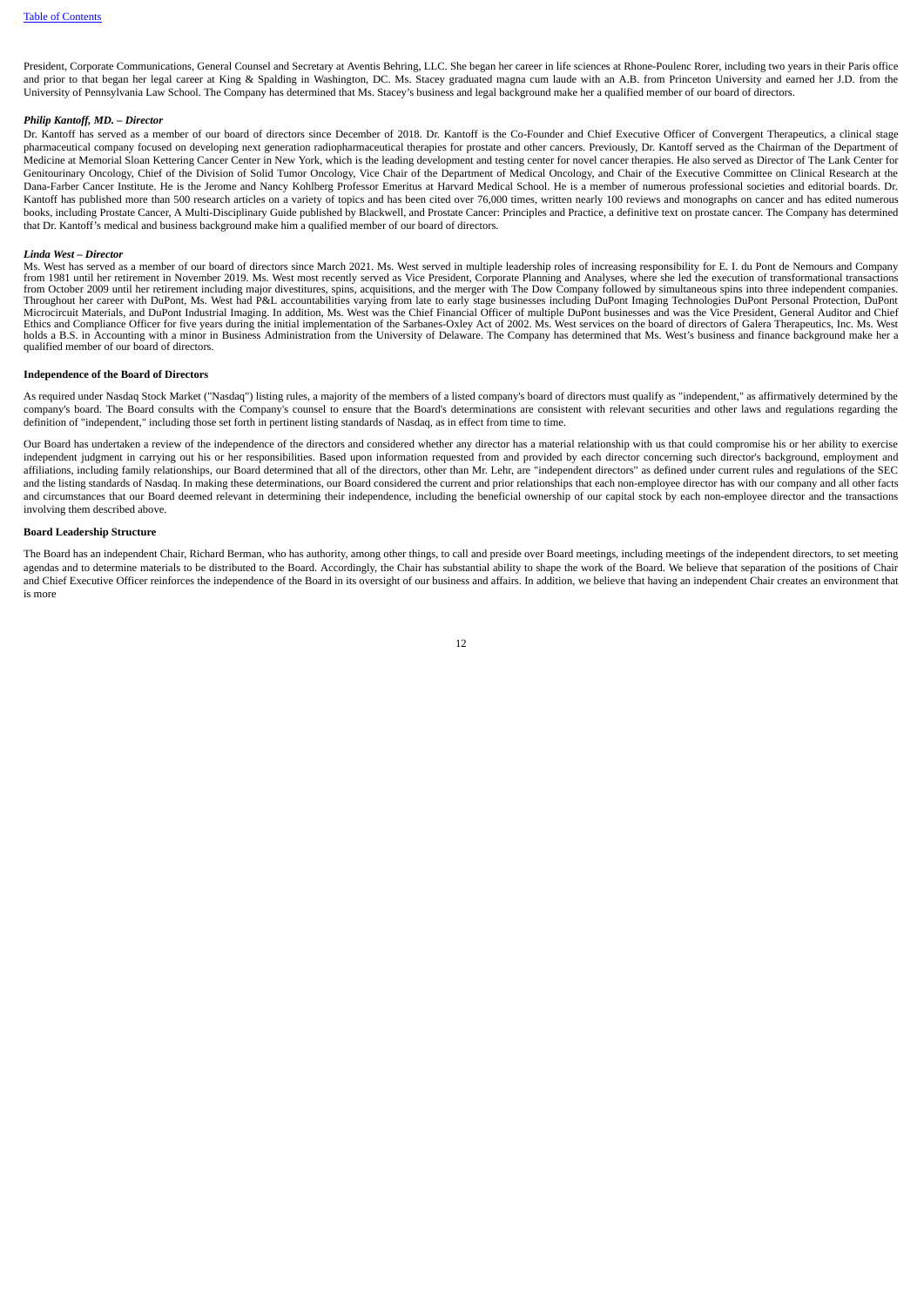President, Corporate Communications, General Counsel and Secretary at Aventis Behring, LLC. She began her career in life sciences at Rhone-Poulenc Rorer, including two years in their Paris office and prior to that began her legal career at King & Spalding in Washington, DC. Ms. Stacey graduated magna cum laude with an A.B. from Princeton University and earned her J.D. from the University of Pennsylvania Law School. The Company has determined that Ms. Stacey's business and legal background make her a qualified member of our board of directors.

#### *Philip Kantoff, MD. – Director*

Dr. Kantoff has served as a member of our board of directors since December of 2018. Dr. Kantoff is the Co-Founder and Chief Executive Officer of Convergent Therapeutics, a clinical stage pharmaceutical company focused on developing next generation radiopharmaceutical therapies for prostate and other cancers. Previously, Dr. Kantoff served as the Chairman of the Department of Medicine at Memorial Sloan Kettering Cancer Center in New York, which is the leading development and testing center for novel cancer therapies. He also served as Director of The Lank Center for Genitourinary Oncology, Chief of the Division of Solid Tumor Oncology, Vice Chair of the Department of Medical Oncology, and Chair of the Executive Committee on Clinical Research at the Dana-Farber Cancer Institute. He is the Jerome and Nancy Kohlberg Professor Emeritus at Harvard Medical School. He is a member of numerous professional societies and editorial boards. Dr. Kantoff has published more than 500 research articles on a variety of topics and has been cited over 76,000 times, written nearly 100 reviews and monographs on cancer and has edited numerous books, including Prostate Cancer, A Multi-Disciplinary Guide published by Blackwell, and Prostate Cancer: Principles and Practice, a definitive text on prostate cancer. The Company has determined that Dr. Kantoff's medical and business background make him a qualified member of our board of directors.

#### *Linda West – Director*

Ms. West has served as a member of our board of directors since March 2021. Ms. West served in multiple leadership roles of increasing responsibility for E. I. du Pont de Nemours and Company from 1981 until her retirement in November 2019. Ms. West most recently served as Vice President, Corporate Planning and Analyses, where she led the execution of transformational transactions from October 2009 until her retirement including major divestitures, spins, acquisitions, and the merger with The Dow Company followed by simultaneous spins into three independent companies.<br>Throughout her career with DuPo Microcircuit Materials, and DuPont Industrial Imaging. In addition, Ms. West was the Chief Financial Officer of multiple DuPont businesses and was the Vice President, General Auditor and Chief Ethics and Compliance Officer for five years during the initial implementation of the Sarbanes-Oxley Act of 2002. Ms. West services on the board of directors of Galera Therapeutics, Inc. Ms. West<br>holds a B.S. in Accounting qualified member of our board of directors.

#### **Independence of the Board of Directors**

As required under Nasdaq Stock Market ("Nasdaq") listing rules, a majority of the members of a listed company's board of directors must qualify as "independent," as affirmatively determined by the company's board. The Board consults with the Company's counsel to ensure that the Board's determinations are consistent with relevant securities and other laws and regulations regarding the definition of "independent," including those set forth in pertinent listing standards of Nasdaq, as in effect from time to time.

Our Board has undertaken a review of the independence of the directors and considered whether any director has a material relationship with us that could compromise his or her ability to exercise independent judgment in carrying out his or her responsibilities. Based upon information requested from and provided by each director concerning such director's background, employment and affiliations, including family relationships, our Board determined that all of the directors, other than Mr. Lehr, are "independent directors" as defined under current rules and regulations of the SEC and the listing standards of Nasdaq. In making these determinations, our Board considered the current and prior relationships that each non-employee director has with our company and all other facts and circumstances that our Board deemed relevant in determining their independence, including the beneficial ownership of our capital stock by each non-employee director and the transactions involving them described above.

#### **Board Leadership Structure**

The Board has an independent Chair, Richard Berman, who has authority, among other things, to call and preside over Board meetings, including meetings of the independent directors, to set meeting agendas and to determine materials to be distributed to the Board. Accordingly, the Chair has substantial ability to shape the work of the Board. We believe that separation of the positions of Chair and Chief Executive Officer reinforces the independence of the Board in its oversight of our business and affairs. In addition, we believe that having an independent Chair creates an environment that is more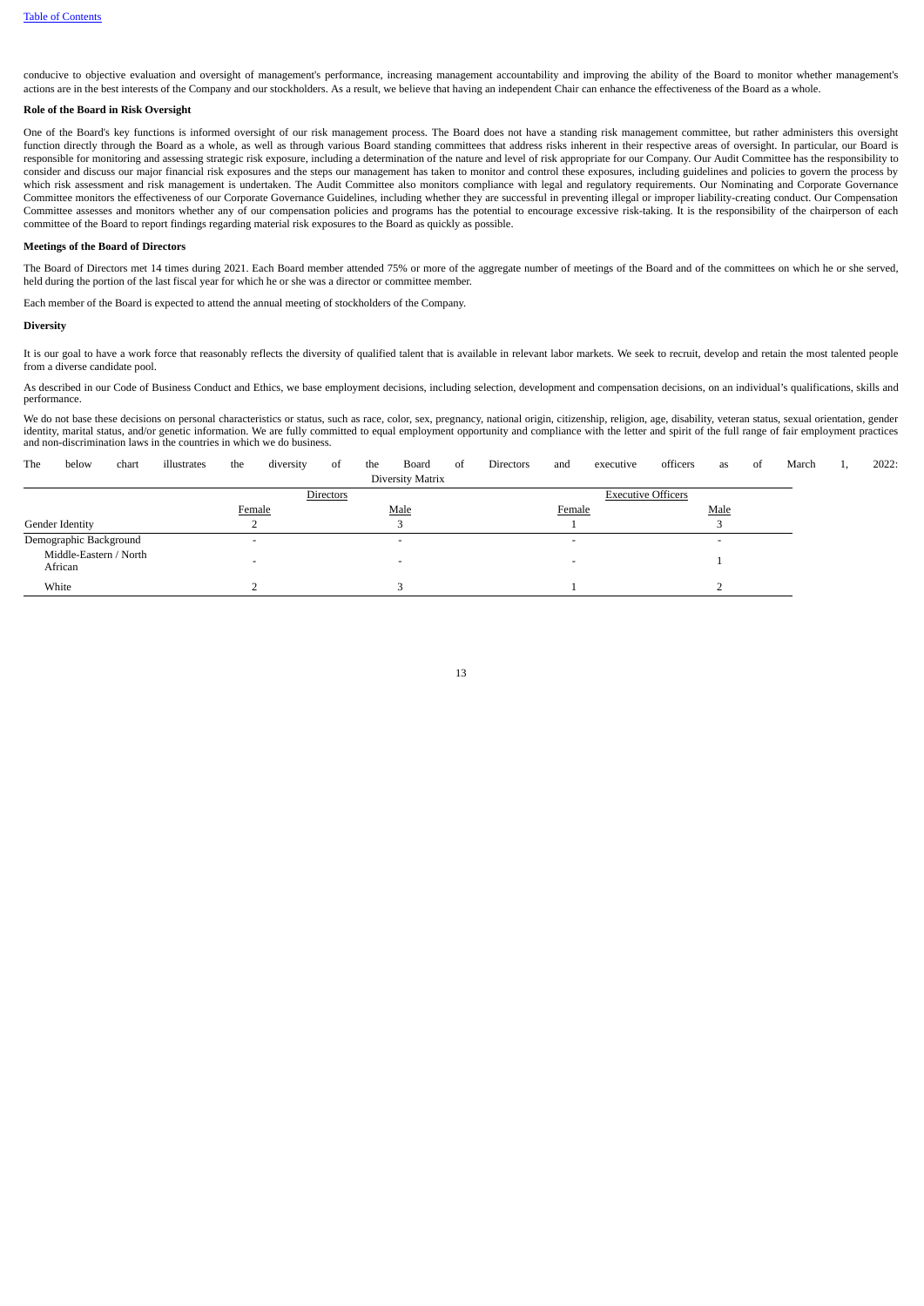conducive to objective evaluation and oversight of management's performance, increasing management accountability and improving the ability of the Board to monitor whether management's actions are in the best interests of the Company and our stockholders. As a result, we believe that having an independent Chair can enhance the effectiveness of the Board as a whole.

# **Role of the Board in Risk Oversight**

One of the Board's key functions is informed oversight of our risk management process. The Board does not have a standing risk management committee, but rather administers this oversight function directly through the Board as a whole, as well as through various Board standing committees that address risks inherent in their respective areas of oversight. In particular, our Board is responsible for monitoring and assessing strategic risk exposure, including a determination of the nature and level of risk appropriate for our Company. Our Audit Committee has the responsibility to consider and discuss our major financial risk exposures and the steps our management has taken to monitor and control these exposures, including guidelines and policies to govern the process by which risk assessment and risk management is undertaken. The Audit Committee also monitors compliance with legal and regulatory requirements. Our Nominating and Corporate Governance Committee monitors the effectiveness of our Corporate Governance Guidelines, including whether they are successful in preventing illegal or improper liability-creating conduct. Our Compensation Committee assesses and monitors whether any of our compensation policies and programs has the potential to encourage excessive risk-taking. It is the responsibility of the chairperson of each committee of the Board to report findings regarding material risk exposures to the Board as quickly as possible.

## **Meetings of the Board of Directors**

The Board of Directors met 14 times during 2021. Each Board member attended 75% or more of the aggregate number of meetings of the Board and of the committees on which he or she served, held during the portion of the last fiscal year for which he or she was a director or committee member.

Each member of the Board is expected to attend the annual meeting of stockholders of the Company.

#### **Diversity**

It is our goal to have a work force that reasonably reflects the diversity of qualified talent that is available in relevant labor markets. We seek to recruit, develop and retain the most talented people from a diverse candidate pool.

As described in our Code of Business Conduct and Ethics, we base employment decisions, including selection, development and compensation decisions, on an individual's qualifications, skills and performance.

We do not base these decisions on personal characteristics or status, such as race, color, sex, pregnancy, national origin, citizenship, religion, age, disability, veteran status, sexual orientation, gender<br>identity, marit and non-discrimination laws in the countries in which we do business.

<span id="page-16-0"></span>

| The | below                             | chart | illustrates | the                      | diversity | of               | the | Board                    | -of | Directors | and    | executive                 | officers | as   | of | March | <b>1,</b> | 2022: |
|-----|-----------------------------------|-------|-------------|--------------------------|-----------|------------------|-----|--------------------------|-----|-----------|--------|---------------------------|----------|------|----|-------|-----------|-------|
|     |                                   |       |             |                          |           |                  |     | Diversity Matrix         |     |           |        |                           |          |      |    |       |           |       |
|     |                                   |       |             |                          |           | <b>Directors</b> |     |                          |     |           |        | <b>Executive Officers</b> |          |      |    |       |           |       |
|     |                                   |       |             | Female                   |           |                  |     | Male                     |     |           | Female |                           |          | Male |    |       |           |       |
|     | Gender Identity                   |       |             |                          |           |                  |     |                          |     |           |        |                           |          |      |    |       |           |       |
|     | Demographic Background            |       |             | $\overline{\phantom{0}}$ |           |                  |     | $\overline{\phantom{0}}$ |     |           |        |                           |          | -    |    |       |           |       |
|     | Middle-Eastern / North<br>African |       |             |                          |           |                  |     | $\overline{\phantom{0}}$ |     |           |        |                           |          |      |    |       |           |       |
|     | White                             |       |             |                          |           |                  |     |                          |     |           |        |                           |          |      |    |       |           |       |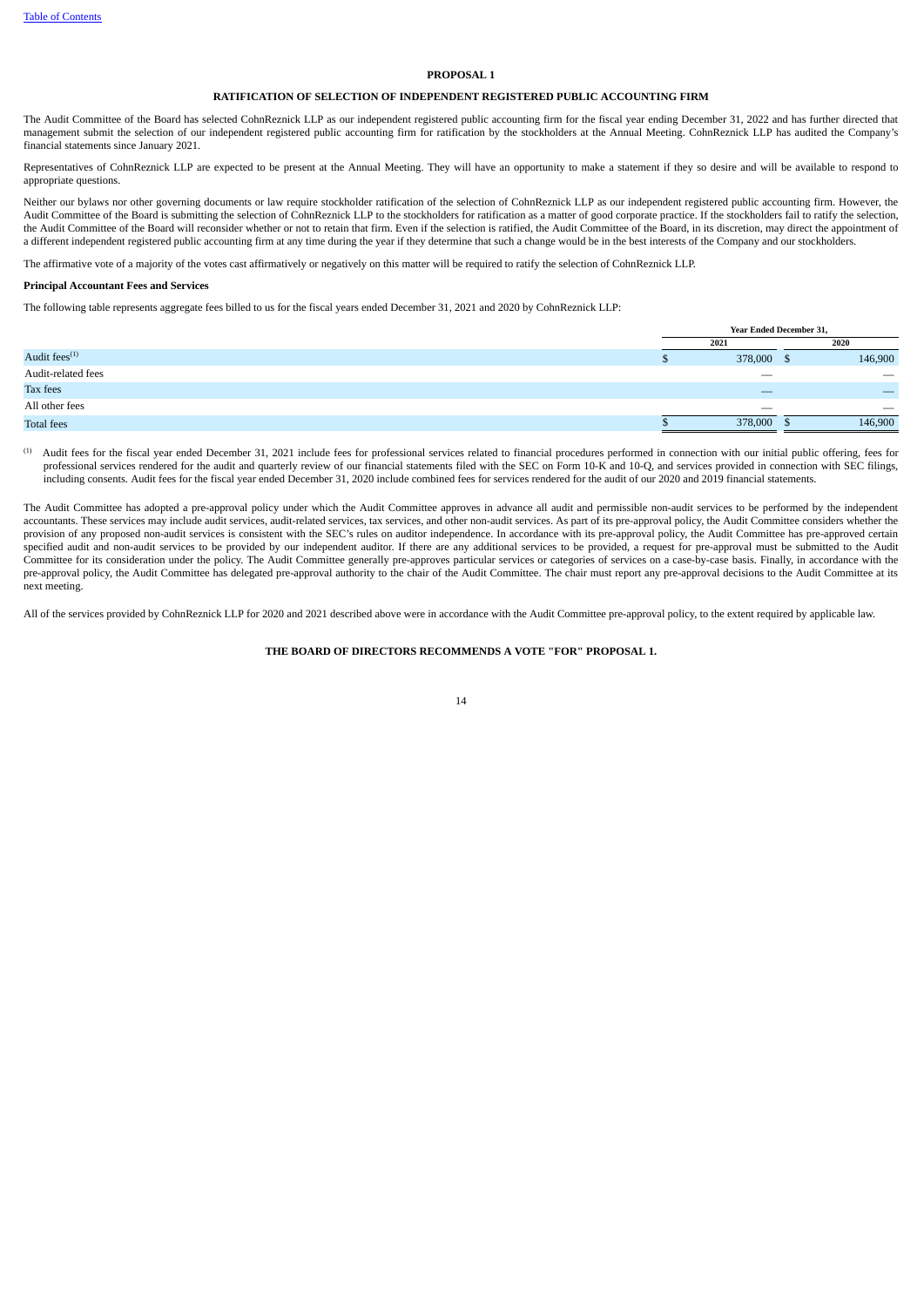# **PROPOSAL 1**

# **RATIFICATION OF SELECTION OF INDEPENDENT REGISTERED PUBLIC ACCOUNTING FIRM**

The Audit Committee of the Board has selected CohnReznick LLP as our independent registered public accounting firm for the fiscal year ending December 31, 2022 and has further directed that management submit the selection of our independent registered public accounting firm for ratification by the stockholders at the Annual Meeting. CohnReznick LLP has audited the Company's financial statements since January 2021.

Representatives of CohnReznick LLP are expected to be present at the Annual Meeting. They will have an opportunity to make a statement if they so desire and will be available to respond to appropriate questions.

Neither our bylaws nor other governing documents or law require stockholder ratification of the selection of CohnReznick LLP as our independent registered public accounting firm. However, the Audit Committee of the Board is submitting the selection of CohnReznick LLP to the stockholders for ratification as a matter of good corporate practice. If the stockholders fail to ratify the selection, the Audit Committee of the Board will reconsider whether or not to retain that firm. Even if the selection is ratified, the Audit Committee of the Board, in its discretion, may direct the appointment of a different independent registered public accounting firm at any time during the year if they determine that such a change would be in the best interests of the Company and our stockholders.

The affirmative vote of a majority of the votes cast affirmatively or negatively on this matter will be required to ratify the selection of CohnReznick LLP.

#### **Principal Accountant Fees and Services**

The following table represents aggregate fees billed to us for the fiscal years ended December 31, 2021 and 2020 by CohnReznick LLP:

| Year Ended December 31, |         |  |                          |
|-------------------------|---------|--|--------------------------|
|                         | 2021    |  | 2020                     |
| хB                      | 378,000 |  | 146,900                  |
|                         | __      |  | __                       |
|                         | _       |  | __                       |
|                         | --      |  | $\overline{\phantom{a}}$ |
|                         | 378,000 |  | 146,900                  |
|                         |         |  |                          |

Audit fees for the fiscal year ended December 31, 2021 include fees for professional services related to financial procedures performed in connection with our initial public offering, fees for professional services rendered for the audit and quarterly review of our financial statements filed with the SEC on Form 10-K and 10-Q, and services provided in connection with SEC filings, including consents. Audit fees for the fiscal year ended December 31, 2020 include combined fees for services rendered for the audit of our 2020 and 2019 financial statements. (1)

The Audit Committee has adopted a pre-approval policy under which the Audit Committee approves in advance all audit and permissible non-audit services to be performed by the independent accountants. These services may include audit services, audit-related services, tax services, and other non-audit services. As part of its pre-approval policy, the Audit Committee considers whether the provision of any proposed non-audit services is consistent with the SEC's rules on auditor independence. In accordance with its pre-approval policy, the Audit Committee has pre-approved certain specified audit and non-audit services to be provided by our independent auditor. If there are any additional services to be provided, a request for pre-approval must be submitted to the Audit Committee for its consideration under the policy. The Audit Committee generally pre-approves particular services or categories of services on a case-by-case basis. Finally, in accordance with the pre-approval policy, the Audit Committee has delegated pre-approval authority to the chair of the Audit Committee. The chair must report any pre-approval decisions to the Audit Committee at its next meeting.

<span id="page-17-0"></span>All of the services provided by CohnReznick LLP for 2020 and 2021 described above were in accordance with the Audit Committee pre-approval policy, to the extent required by applicable law.

# **THE BOARD OF DIRECTORS RECOMMENDS A VOTE "FOR" PROPOSAL 1.**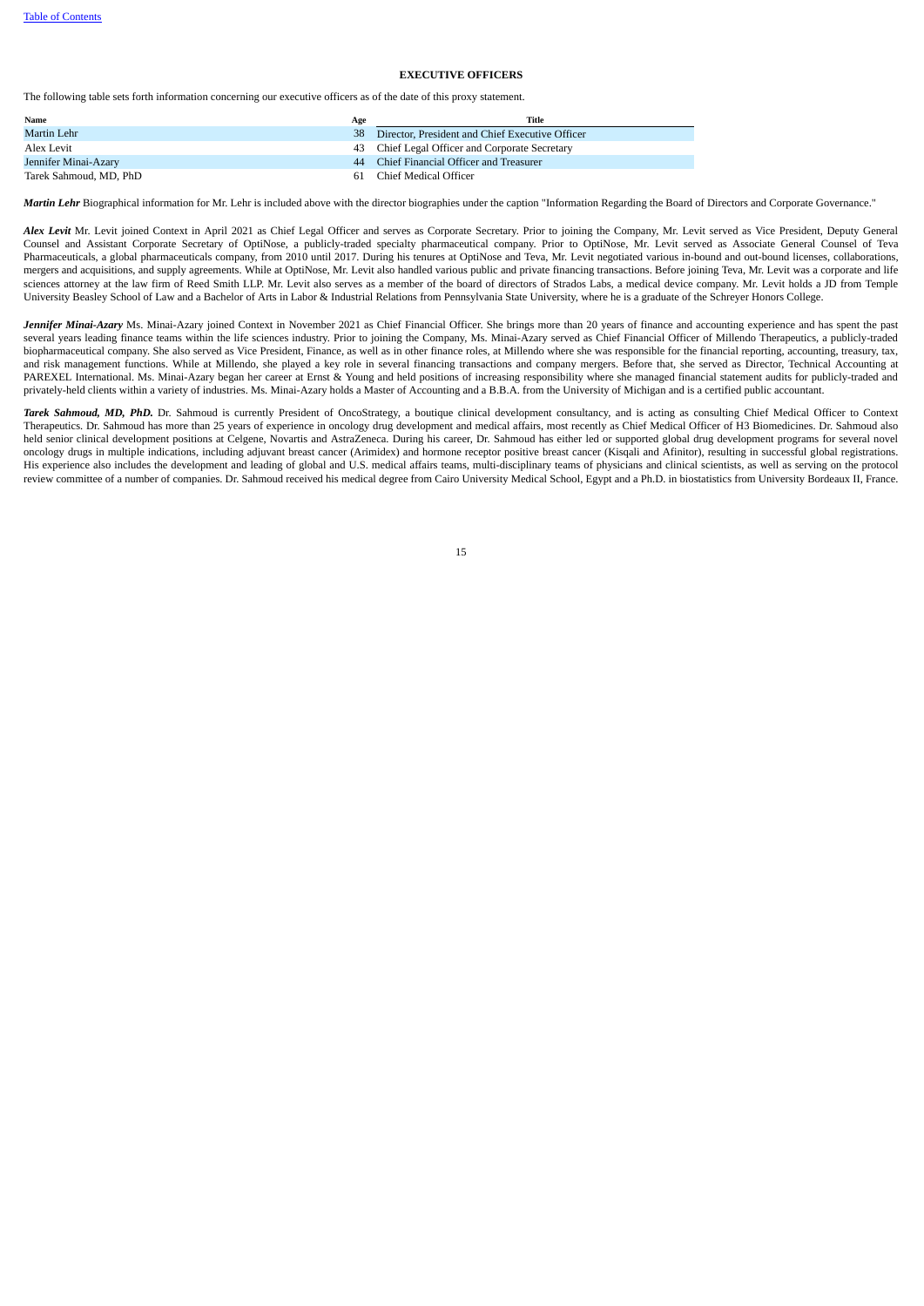# **EXECUTIVE OFFICERS**

The following table sets forth information concerning our executive officers as of the date of this proxy statement.

| Name                   | Age | Title                                              |
|------------------------|-----|----------------------------------------------------|
| Martin Lehr            |     | 38 Director, President and Chief Executive Officer |
| Alex Levit             |     | 43 Chief Legal Officer and Corporate Secretary     |
| Jennifer Minai-Azary   |     | 44 Chief Financial Officer and Treasurer           |
| Tarek Sahmoud, MD, PhD |     | 61 Chief Medical Officer                           |

*Martin Lehr* Biographical information for Mr. Lehr is included above with the director biographies under the caption "Information Regarding the Board of Directors and Corporate Governance."

Alex Levit Mr. Levit joined Context in April 2021 as Chief Legal Officer and serves as Corporate Secretary. Prior to joining the Company, Mr. Levit served as Vice President, Deputy General Counsel and Assistant Corporate Secretary of OptiNose, a publicly-traded specialty pharmaceutical company. Prior to OptiNose, Mr. Levit served as Associate General Counsel of Teva Pharmaceuticals, a global pharmaceuticals company, from 2010 until 2017. During his tenures at OptiNose and Teva, Mr. Levit negotiated various in-bound and out-bound licenses, collaborations, mergers and acquisitions, and supply agreements. While at OptiNose, Mr. Levit also handled various public and private financing transactions. Before joining Teva, Mr. Levit was a corporate and life sciences attorney at the law firm of Reed Smith LLP. Mr. Levit also serves as a member of the board of directors of Strados Labs, a medical device company. Mr. Levit holds a JD from Temple University Beasley School of Law and a Bachelor of Arts in Labor & Industrial Relations from Pennsylvania State University, where he is a graduate of the Schreyer Honors College.

Jennifer Minai-Azary Ms. Minai-Azary joined Context in November 2021 as Chief Financial Officer. She brings more than 20 years of finance and accounting experience and has spent the past several years leading finance teams within the life sciences industry. Prior to joining the Company, Ms. Minai-Azary served as Chief Financial Officer of Millendo Therapeutics, a publicly-traded biopharmaceutical company. She also served as Vice President, Finance, as well as in other finance roles, at Millendo where she was responsible for the financial reporting, accounting, treasury, tax, and risk management functions. While at Millendo, she played a key role in several financing transactions and company mergers. Before that, she served as Director, Technical Accounting at PAREXEL International. Ms. Minai-Azary began her career at Ernst & Young and held positions of increasing responsibility where she managed financial statement audits for publicly-traded and privately-held clients within a variety of industries. Ms. Minai-Azary holds a Master of Accounting and a B.B.A. from the University of Michigan and is a certified public accountant.

<span id="page-18-0"></span>*Tarek Sahmoud, MD, PhD.* Dr. Sahmoud is currently President of OncoStrategy, a boutique clinical development consultancy, and is acting as consulting Chief Medical Officer to Context Therapeutics. Dr. Sahmoud has more than 25 years of experience in oncology drug development and medical affairs, most recently as Chief Medical Officer of H3 Biomedicines. Dr. Sahmoud also held senior clinical development positions at Celgene, Novartis and AstraZeneca. During his career, Dr. Sahmoud has either led or supported global drug development programs for several novel oncology drugs in multiple indications, including adjuvant breast cancer (Arimidex) and hormone receptor positive breast cancer (Kisqali and Afinitor), resulting in successful global registrations. His experience also includes the development and leading of global and U.S. medical affairs teams, multi-disciplinary teams of physicians and clinical scientists, as well as serving on the protocol review committee of a number of companies. Dr. Sahmoud received his medical degree from Cairo University Medical School, Egypt and a Ph.D. in biostatistics from University Bordeaux II, France.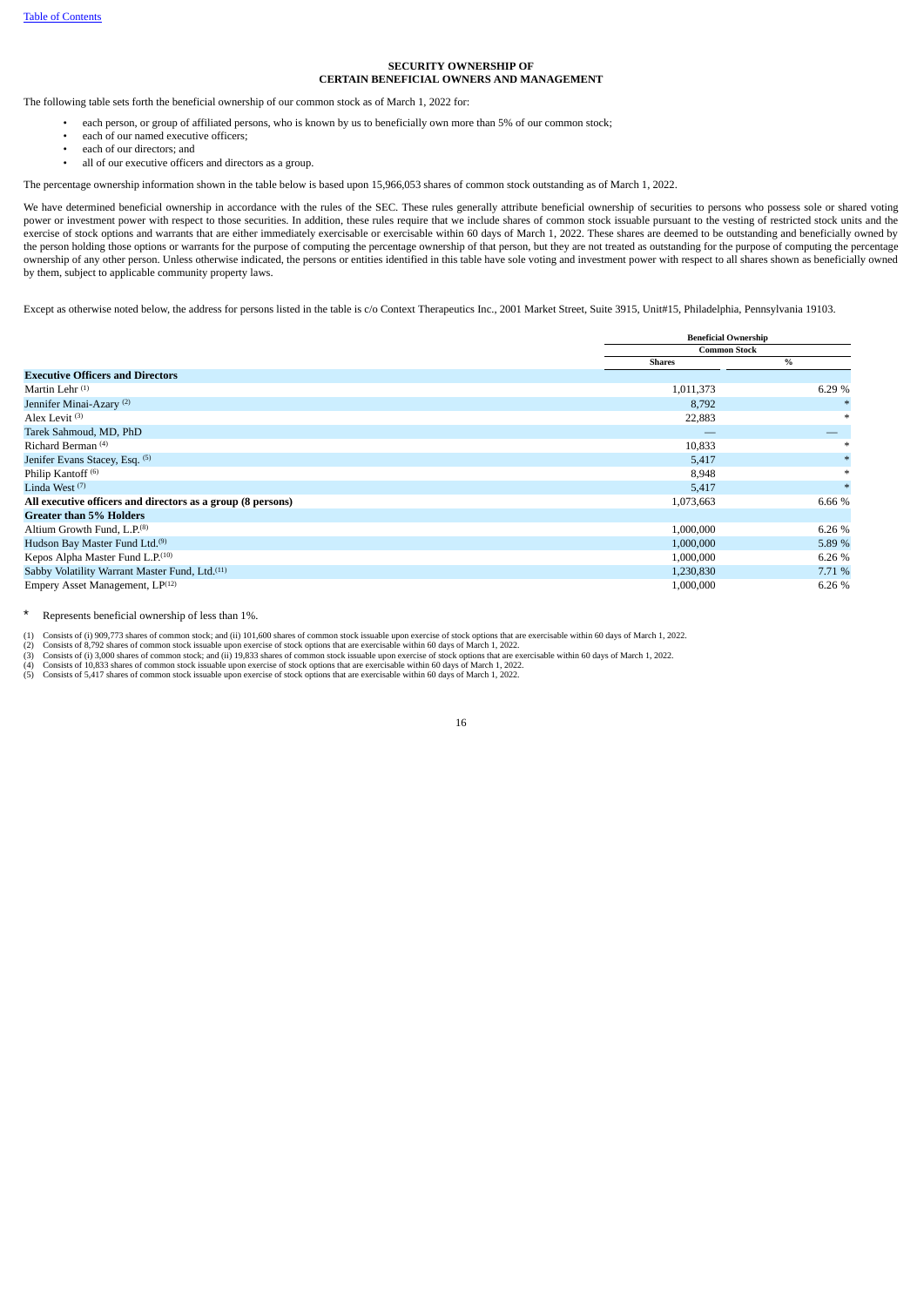# **SECURITY OWNERSHIP OF CERTAIN BENEFICIAL OWNERS AND MANAGEMENT**

The following table sets forth the beneficial ownership of our common stock as of March 1, 2022 for:

- each person, or group of affiliated persons, who is known by us to beneficially own more than 5% of our common stock;
- each of our named executive officers:
- each of our directors; and
- all of our executive officers and directors as a group.

The percentage ownership information shown in the table below is based upon 15,966,053 shares of common stock outstanding as of March 1, 2022.

We have determined beneficial ownership in accordance with the rules of the SEC. These rules generally attribute beneficial ownership of securities to persons who possess sole or shared voting power or investment power with respect to those securities. In addition, these rules require that we include shares of common stock issuable pursuant to the vesting of restricted stock units and the exercise of stock options and warrants that are either immediately exercisable or exercisable within 60 days of March 1, 2022. These shares are deemed to be outstanding and beneficially owned by the person holding those options or warrants for the purpose of computing the percentage ownership of that person, but they are not treated as outstanding for the purpose of computing the percentage ownership of any other person. Unless otherwise indicated, the persons or entities identified in this table have sole voting and investment power with respect to all shares shown as beneficially owned by them, subject to applicable community property laws.

Except as otherwise noted below, the address for persons listed in the table is c/o Context Therapeutics Inc., 2001 Market Street, Suite 3915, Unit#15, Philadelphia, Pennsylvania 19103.

|                                                             | <b>Beneficial Ownership</b> |        |
|-------------------------------------------------------------|-----------------------------|--------|
|                                                             | <b>Common Stock</b>         |        |
|                                                             | <b>Shares</b>               | %      |
| <b>Executive Officers and Directors</b>                     |                             |        |
| Martin Lehr <sup>(1)</sup>                                  | 1,011,373                   | 6.29 % |
| Jennifer Minai-Azary <sup>(2)</sup>                         | 8,792                       |        |
| Alex Levit <sup>(3)</sup>                                   | 22,883                      |        |
| Tarek Sahmoud, MD, PhD                                      | __                          |        |
| Richard Berman <sup>(4)</sup>                               | 10,833                      |        |
| Jenifer Evans Stacey, Esq. (5)                              | 5,417                       |        |
| Philip Kantoff <sup>(6)</sup>                               | 8,948                       |        |
| Linda West $(7)$                                            | 5,417                       |        |
| All executive officers and directors as a group (8 persons) | 1,073,663                   | 6.66 % |
| <b>Greater than 5% Holders</b>                              |                             |        |
| Altium Growth Fund, L.P. <sup>(8)</sup>                     | 1,000,000                   | 6.26 % |
| Hudson Bay Master Fund Ltd. <sup>(9)</sup>                  | 1,000,000                   | 5.89 % |
| Kepos Alpha Master Fund L.P.(10)                            | 1,000,000                   | 6.26%  |
| Sabby Volatility Warrant Master Fund, Ltd. <sup>(11)</sup>  | 1,230,830                   | 7.71 % |
| Empery Asset Management, LP <sup>(12)</sup>                 | 1,000,000                   | 6.26%  |

\* Represents beneficial ownership of less than 1%.

(1) Consists of (i) 909,773 shares of common stock; and (ii) 101,600 shares of common stock issuable upon exercise of stock options that are exercisable within 60 days of March 1, 2022.

(2) Consists of 8,792 shares of common stock issuable upon exercise of stock options that are exercisable within 60 days of March 1, 2022.<br>(3) Consists of (i) 3,000 shares of common stock; and (ii) 19,833 shares of common

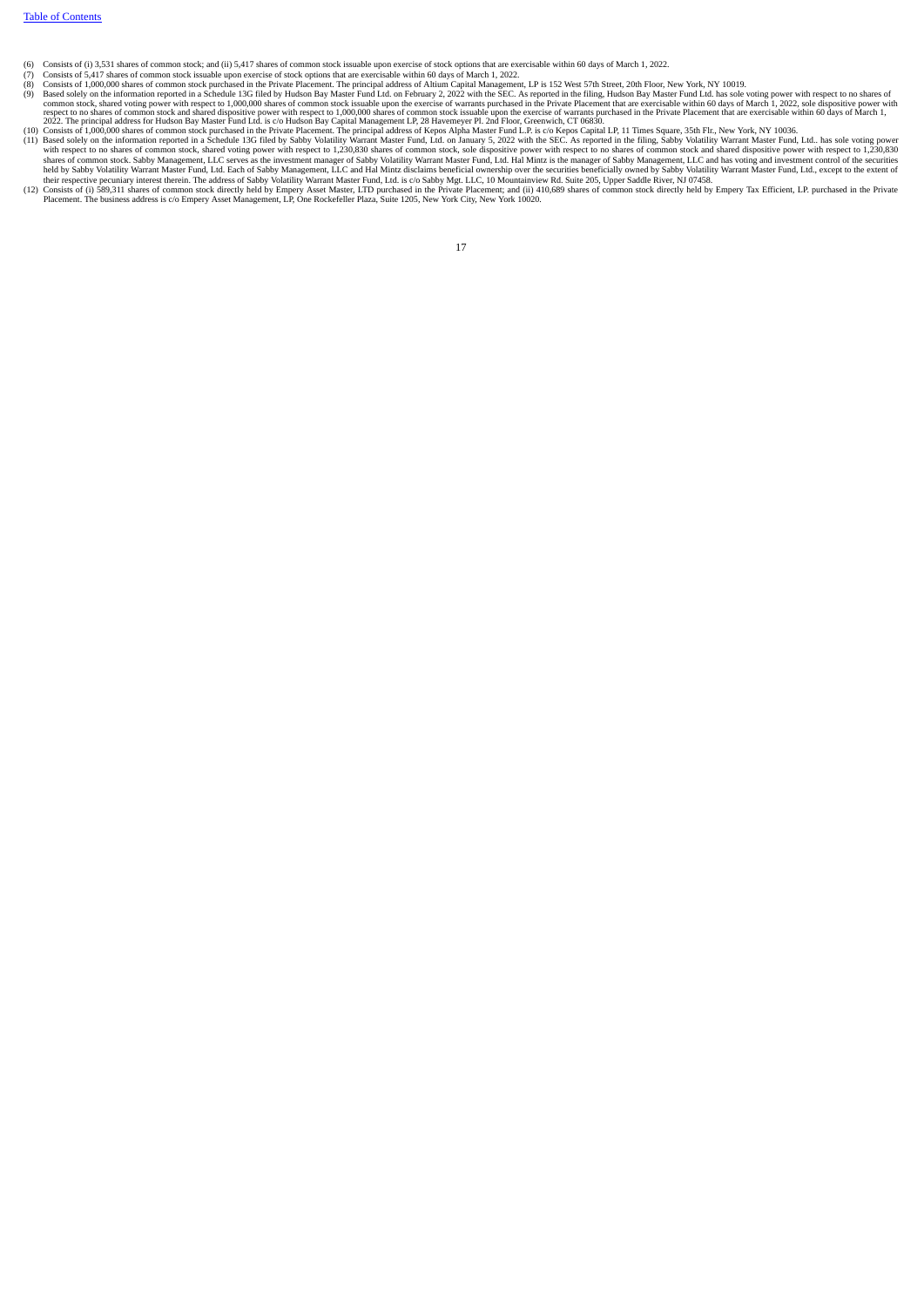- 
- 
- (6) Consists of (i) 3,531 shares of common stock; and (ii) 5,417 shares of common stock issuable upon exercise of stock options that are exercisable within 60 days of March 1, 2022.<br>(8) Consists of 5,417 ones for common st
- 
- with respect to no shares of common stock, shared voting power with respect to 1,230,830 shares of common stock, sole dispositive power with respect to no shares of common stock and shared dispositive power with respect to
- <span id="page-20-0"></span>(12) Consists of (i) 589,311 shares of common stock directly held by Empery Asset Master, LTD purchased in the Private Placement; and (ii) 410,689 shares of common stock directly held by Empery Tax Efficient, LP. purchased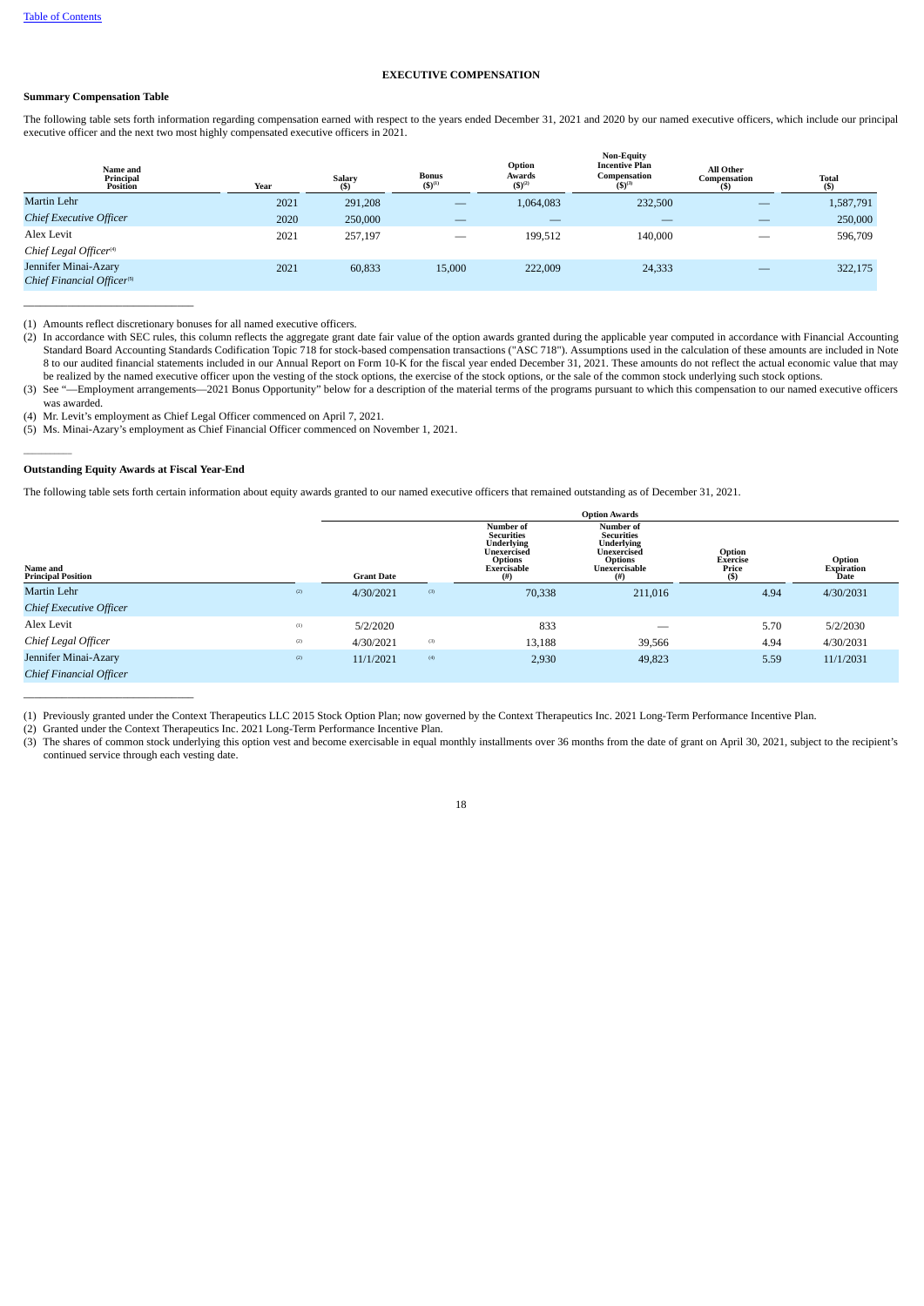# **EXECUTIVE COMPENSATION**

# **Summary Compensation Table**

\_\_\_\_\_\_\_\_\_\_\_\_\_\_\_\_\_\_\_\_\_\_\_\_\_\_\_\_\_\_\_

The following table sets forth information regarding compensation earned with respect to the years ended December 31, 2021 and 2020 by our named executive officers, which include our principal executive officer and the next two most highly compensated executive officers in 2021.

| Name and<br>Principal<br>Position                              | Year | Salary<br>$($ \$) | <b>Bonus</b><br>$(S)^{(1)}$ | Option<br>Awards<br>$(5)^{(2)}$ | <b>Non-Equity</b><br><b>Incentive Plan</b><br>Compensation<br>$(5)^{(3)}$ | All Other<br>Compensation<br>(S) | <b>Total</b><br>$($ \$ $)$ |
|----------------------------------------------------------------|------|-------------------|-----------------------------|---------------------------------|---------------------------------------------------------------------------|----------------------------------|----------------------------|
| Martin Lehr                                                    | 2021 | 291,208           |                             | 1,064,083                       | 232,500                                                                   |                                  | 1,587,791                  |
| Chief Executive Officer                                        | 2020 | 250,000           | $\overline{\phantom{a}}$    | $\sim$                          | $\overline{\phantom{a}}$                                                  | $\overline{\phantom{a}}$         | 250,000                    |
| Alex Levit                                                     | 2021 | 257,197           | $\overline{\phantom{a}}$    | 199,512                         | 140,000                                                                   |                                  | 596,709                    |
| Chief Legal Officer <sup>(4)</sup>                             |      |                   |                             |                                 |                                                                           |                                  |                            |
| Jennifer Minai-Azary<br>Chief Financial Officer <sup>(5)</sup> | 2021 | 60,833            | 15,000                      | 222,009                         | 24,333                                                                    |                                  | 322,175                    |

(1) Amounts reflect discretionary bonuses for all named executive officers.

(2) In accordance with SEC rules, this column reflects the aggregate grant date fair value of the option awards granted during the applicable year computed in accordance with Financial Accounting (2) In accordance with Fin Standard Board Accounting Standards Codification Topic 718 for stock-based compensation transactions ("ASC 718"). Assumptions used in the calculation of these amounts are included in Note 8 to our audited financial statements included in our Annual Report on Form 10-K for the fiscal year ended December 31, 2021. These amounts do not reflect the actual economic value that may be realized by the named executive officer upon the vesting of the stock options, the exercise of the stock options, or the sale of the common stock underlying such stock options.

(3) See "—Employment arrangements—2021 Bonus Opportunity" below for a description of the material terms of the programs pursuant to which this compensation to our named executive officers was awarded.

(4) Mr. Levit's employment as Chief Legal Officer commenced on April 7, 2021.

(5) Ms. Minai-Azary's employment as Chief Financial Officer commenced on November 1, 2021.

# **Outstanding Equity Awards at Fiscal Year-End**

 $\mathcal{L}=\mathcal{L}$ 

The following table sets forth certain information about equity awards granted to our named executive officers that remained outstanding as of December 31, 2021.

|                                       |     |                   |     |                                                                                                          | <b>Option Awards</b>                                                                                   |                                            |                                     |
|---------------------------------------|-----|-------------------|-----|----------------------------------------------------------------------------------------------------------|--------------------------------------------------------------------------------------------------------|--------------------------------------------|-------------------------------------|
| Name and<br><b>Principal Position</b> |     | <b>Grant Date</b> |     | Number of<br><b>Securities</b><br>Underlying<br>Unexercised<br><b>Options</b><br>Exercisable<br>$^{(#)}$ | Number of<br><b>Securities</b><br>Underlying<br>Unexercised<br><b>Options</b><br>Unexercisable<br>(# ) | Option<br><b>Exercise</b><br>Price<br>(\$) | <b>Option</b><br>Expiration<br>Date |
| Martin Lehr                           | (2) | 4/30/2021         | (3) | 70,338                                                                                                   | 211,016                                                                                                | 4.94                                       | 4/30/2031                           |
| Chief Executive Officer               |     |                   |     |                                                                                                          |                                                                                                        |                                            |                                     |
| Alex Levit                            | (1) | 5/2/2020          |     | 833                                                                                                      | $\overline{\phantom{a}}$                                                                               | 5.70                                       | 5/2/2030                            |
| Chief Legal Officer                   | (2) | 4/30/2021         | (3) | 13,188                                                                                                   | 39,566                                                                                                 | 4.94                                       | 4/30/2031                           |
| Jennifer Minai-Azary                  | (2) | 11/1/2021         | (4) | 2,930                                                                                                    | 49,823                                                                                                 | 5.59                                       | 11/1/2031                           |
| <b>Chief Financial Officer</b>        |     |                   |     |                                                                                                          |                                                                                                        |                                            |                                     |

 $\overline{\phantom{a}}$  , where  $\overline{\phantom{a}}$  , where  $\overline{\phantom{a}}$  ,  $\overline{\phantom{a}}$  ,  $\overline{\phantom{a}}$  ,  $\overline{\phantom{a}}$  ,  $\overline{\phantom{a}}$  ,  $\overline{\phantom{a}}$  ,  $\overline{\phantom{a}}$  ,  $\overline{\phantom{a}}$  ,  $\overline{\phantom{a}}$  ,  $\overline{\phantom{a}}$  ,  $\overline{\phantom{a}}$  ,  $\overline{\phantom{a}}$  ,  $\overline{\phantom{a}}$  ,

(2) Granted under the Context Therapeutics Inc. 2021 Long-Term Performance Incentive Plan.

(3) The shares of common stock underlying this option vest and become exercisable in equal monthly installments over 36 months from the date of grant on April 30, 2021, subject to the recipient's continued service through each vesting date.

<sup>(1)</sup> Previously granted under the Context Therapeutics LLC 2015 Stock Option Plan; now governed by the Context Therapeutics Inc. 2021 Long-Term Performance Incentive Plan.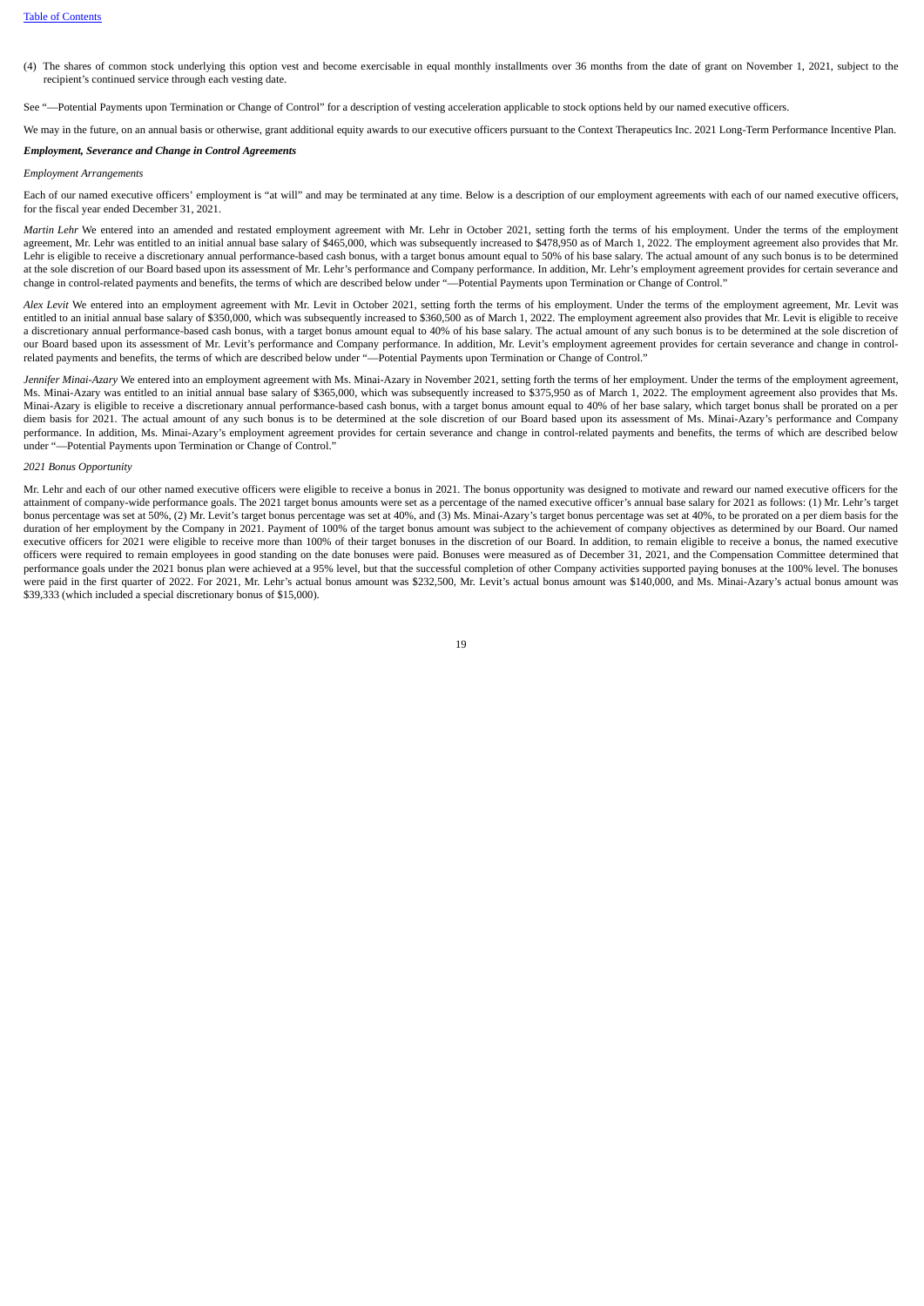(4) The shares of common stock underlying this option vest and become exercisable in equal monthly installments over 36 months from the date of grant on November 1, 2021, subject to the recipient's continued service through each vesting date.

See "—Potential Payments upon Termination or Change of Control" for a description of vesting acceleration applicable to stock options held by our named executive officers.

We may in the future, on an annual basis or otherwise, grant additional equity awards to our executive officers pursuant to the Context Therapeutics Inc. 2021 Long-Term Performance Incentive Plan.

# *Employment, Severance and Change in Control Agreements*

#### *Employment Arrangements*

Each of our named executive officers' employment is "at will" and may be terminated at any time. Below is a description of our employment agreements with each of our named executive officers, for the fiscal year ended December 31, 2021.

*Martin Lehr* We entered into an amended and restated employment agreement with Mr. Lehr in October 2021, setting forth the terms of his employment. Under the terms of the employment agreement, Mr. Lehr was entitled to an initial annual base salary of \$465,000, which was subsequently increased to \$478,950 as of March 1, 2022. The employment agreement also provides that Mr. Lehr is eligible to receive a discretionary annual performance-based cash bonus, with a target bonus amount equal to 50% of his base salary. The actual amount of any such bonus is to be determined at the sole discretion of our Board based upon its assessment of Mr. Lehr's performance and Company performance. In addition, Mr. Lehr's employment agreement provides for certain severance and change in control-related payments and benefits, the terms of which are described below under "—Potential Payments upon Termination or Change of Control."

*Alex Levit* We entered into an employment agreement with Mr. Levit in October 2021, setting forth the terms of his employment. Under the terms of the employment agreement, Mr. Levit was entitled to an initial annual base salary of \$350,000, which was subsequently increased to \$360,500 as of March 1, 2022. The employment agreement also provides that Mr. Levit is eligible to receive a discretionary annual performance-based cash bonus, with a target bonus amount equal to 40% of his base salary. The actual amount of any such bonus is to be determined at the sole discretion of our Board based upon its assessment of Mr. Levit's performance and Company performance. In addition, Mr. Levit's employment agreement provides for certain severance and change in controlrelated payments and benefits, the terms of which are described below under "—Potential Payments upon Termination or Change of Control."

*Jennifer Minai-Azary* We entered into an employment agreement with Ms. Minai-Azary in November 2021, setting forth the terms of her employment. Under the terms of the employment agreement, Ms. Minai-Azary was entitled to an initial annual base salary of \$365,000, which was subsequently increased to \$375,950 as of March 1, 2022. The employment agreement also provides that Ms. Minai-Azary is eligible to receive a discretionary annual performance-based cash bonus, with a target bonus amount equal to 40% of her base salary, which target bonus shall be prorated on a per diem basis for 2021. The actual amount of any such bonus is to be determined at the sole discretion of our Board based upon its assessment of Ms. Minai-Azary's performance and Company performance. In addition, Ms. Minai-Azary's employment agreement provides for certain severance and change in control-related payments and benefits, the terms of which are described below under "—Potential Payments upon Termination or Change of Control."

# *2021 Bonus Opportunity*

Mr. Lehr and each of our other named executive officers were eligible to receive a bonus in 2021. The bonus opportunity was designed to motivate and reward our named executive officers for the attainment of company-wide performance goals. The 2021 target bonus amounts were set as a percentage of the named executive officer's annual base salary for 2021 as follows: (1) Mr. Lehr's target bonus percentage was set at 50%, (2) Mr. Levit's target bonus percentage was set at 40%, and (3) Ms. Minai-Azary's target bonus percentage was set at 40%, to be prorated on a per diem basis for the duration of her employment by the Company in 2021. Payment of 100% of the target bonus amount was subject to the achievement of company objectives as determined by our Board. Our named executive officers for 2021 were eligible to receive more than 100% of their target bonuses in the discretion of our Board. In addition, to remain eligible to receive a bonus, the named executive officers were required to remain employees in good standing on the date bonuses were paid. Bonuses were measured as of December 31, 2021, and the Compensation Committee determined that performance goals under the 2021 bonus plan were achieved at a 95% level, but that the successful completion of other Company activities supported paying bonuses at the 100% level. The bonuses were paid in the first quarter of 2022. For 2021, Mr. Lehr's actual bonus amount was \$232,500, Mr. Levit's actual bonus amount was \$140,000, and Ms. Minai-Azary's actual bonus amount was \$39,333 (which included a special discretionary bonus of \$15,000).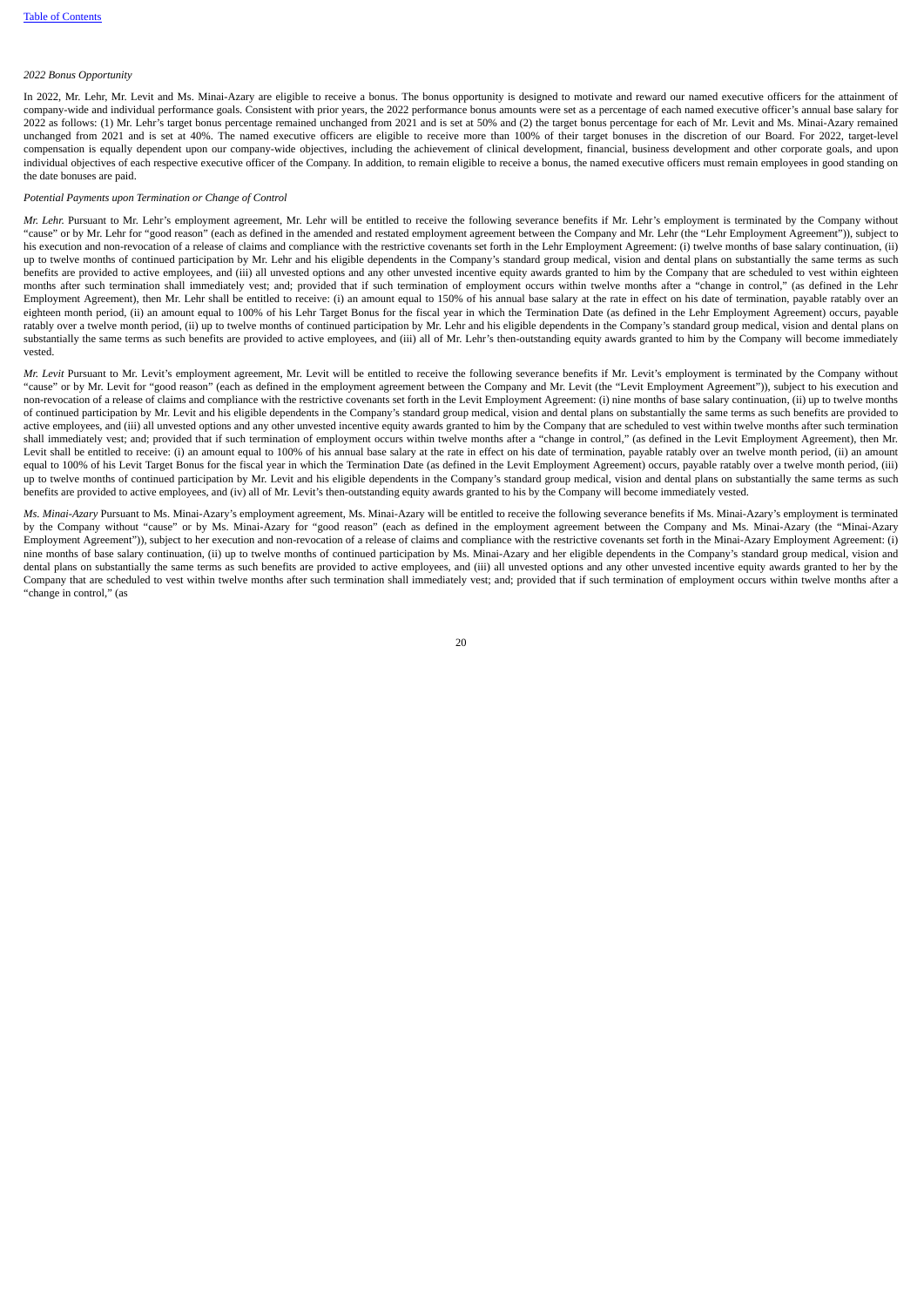#### *2022 Bonus Opportunity*

In 2022, Mr. Lehr, Mr. Levit and Ms. Minai-Azary are eligible to receive a bonus. The bonus opportunity is designed to motivate and reward our named executive officers for the attainment of company-wide and individual performance goals. Consistent with prior years, the 2022 performance bonus amounts were set as a percentage of each named executive officer's annual base salary for 2022 as follows: (1) Mr. Lehr's target bonus percentage remained unchanged from 2021 and is set at 50% and (2) the target bonus percentage for each of Mr. Levit and Ms. Minai-Azary remained unchanged from 2021 and is set at 40%. The named executive officers are eligible to receive more than 100% of their target bonuses in the discretion of our Board. For 2022, target-level compensation is equally dependent upon our company-wide objectives, including the achievement of clinical development, financial, business development and other corporate goals, and upon individual objectives of each respective executive officer of the Company. In addition, to remain eligible to receive a bonus, the named executive officers must remain employees in good standing on the date bonuses are paid.

# *Potential Payments upon Termination or Change of Control*

*Mr. Lehr.* Pursuant to Mr. Lehr's employment agreement, Mr. Lehr will be entitled to receive the following severance benefits if Mr. Lehr's employment is terminated by the Company without "cause" or by Mr. Lehr for "good reason" (each as defined in the amended and restated employment agreement between the Company and Mr. Lehr (the "Lehr Employment Agreement")), subject to his execution and non-revocation of a release of claims and compliance with the restrictive covenants set forth in the Lehr Employment Agreement: (i) twelve months of base salary continuation, (ii) up to twelve months of continued participation by Mr. Lehr and his eligible dependents in the Company's standard group medical, vision and dental plans on substantially the same terms as such benefits are provided to active employees, and (iii) all unvested options and any other unvested incentive equity awards granted to him by the Company that are scheduled to vest within eighteen months after such termination shall immediately vest; and; provided that if such termination of employment occurs within twelve months after a "change in control," (as defined in the Lehr Employment Agreement), then Mr. Lehr shall be entitled to receive: (i) an amount equal to 150% of his annual base salary at the rate in effect on his date of termination, payable ratably over an eighteen month period, (ii) an amount equal to 100% of his Lehr Target Bonus for the fiscal year in which the Termination Date (as defined in the Lehr Employment Agreement) occurs, payable ratably over a twelve month period, (ii) up to twelve months of continued participation by Mr. Lehr and his eligible dependents in the Company's standard group medical, vision and dental plans on substantially the same terms as such benefits are provided to active employees, and (iii) all of Mr. Lehr's then-outstanding equity awards granted to him by the Company will become immediately vested.

*Mr. Levit* Pursuant to Mr. Levit's employment agreement, Mr. Levit will be entitled to receive the following severance benefits if Mr. Levit's employment is terminated by the Company without "cause" or by Mr. Levit for "good reason" (each as defined in the employment agreement between the Company and Mr. Levit (the "Levit Employment Agreement")), subject to his execution and non-revocation of a release of claims and compliance with the restrictive covenants set forth in the Levit Employment Agreement: (i) nine months of base salary continuation, (ii) up to twelve months of continued participation by Mr. Levit and his eligible dependents in the Company's standard group medical, vision and dental plans on substantially the same terms as such benefits are provided to active employees, and (iii) all unvested options and any other unvested incentive equity awards granted to him by the Company that are scheduled to vest within twelve months after such termination shall immediately vest; and; provided that if such termination of employment occurs within twelve months after a "change in control," (as defined in the Levit Employment Agreement), then Mr. Levit shall be entitled to receive: (i) an amount equal to 100% of his annual base salary at the rate in effect on his date of termination, payable ratably over an twelve month period, (ii) an amount equal to 100% of his Levit Target Bonus for the fiscal year in which the Termination Date (as defined in the Levit Employment Agreement) occurs, payable ratably over a twelve month period, (iii) up to twelve months of continued participation by Mr. Levit and his eligible dependents in the Company's standard group medical, vision and dental plans on substantially the same terms as such benefits are provided to active employees, and (iv) all of Mr. Levit's then-outstanding equity awards granted to his by the Company will become immediately vested.

*Ms. Minai-Azary* Pursuant to Ms. Minai-Azary's employment agreement, Ms. Minai-Azary will be entitled to receive the following severance benefits if Ms. Minai-Azary's employment is terminated by the Company without "cause" or by Ms. Minai-Azary for "good reason" (each as defined in the employment agreement between the Company and Ms. Minai-Azary (the "Minai-Azary Employment Agreement")), subject to her execution and non-revocation of a release of claims and compliance with the restrictive covenants set forth in the Minai-Azary Employment Agreement: (i) nine months of base salary continuation, (ii) up to twelve months of continued participation by Ms. Minai-Azary and her eligible dependents in the Company's standard group medical, vision and dental plans on substantially the same terms as such benefits are provided to active employees, and (iii) all unvested options and any other unvested incentive equity awards granted to her by the Company that are scheduled to vest within twelve months after such termination shall immediately vest; and; provided that if such termination of employment occurs within twelve months after a "change in control," (as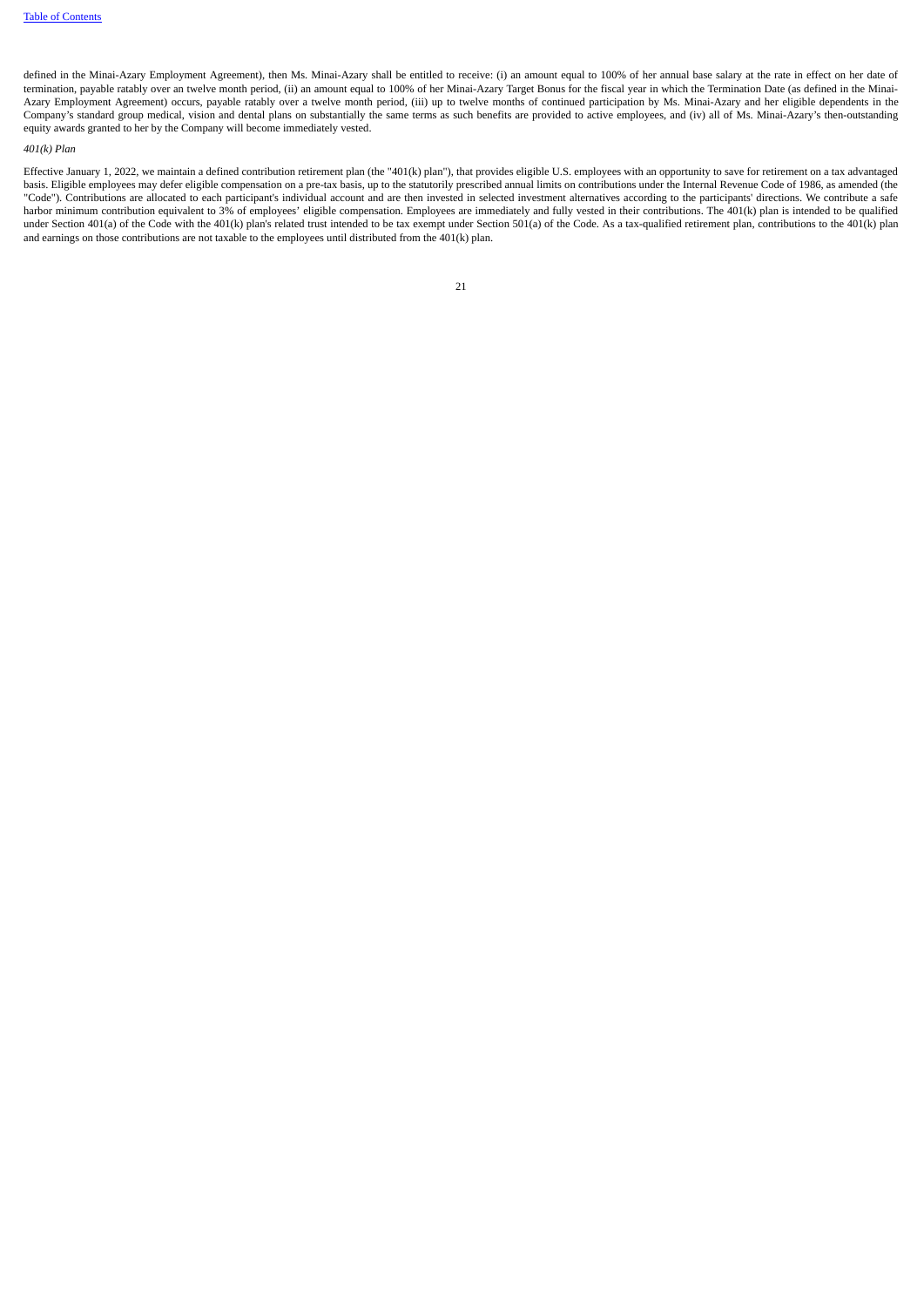defined in the Minai-Azary Employment Agreement), then Ms. Minai-Azary shall be entitled to receive: (i) an amount equal to 100% of her annual base salary at the rate in effect on her date of termination, payable ratably over an twelve month period, (ii) an amount equal to 100% of her Minai-Azary Target Bonus for the fiscal year in which the Termination Date (as defined in the Minai-Azary Employment Agreement) occurs, payable ratably over a twelve month period, (iii) up to twelve months of continued participation by Ms. Minai-Azary and her eligible dependents in the Company's standard group medical, vision and dental plans on substantially the same terms as such benefits are provided to active employees, and (iv) all of Ms. Minai-Azary's then-outstanding equity awards granted to her by the Company will become immediately vested.

### *401(k) Plan*

<span id="page-24-0"></span>Effective January 1, 2022, we maintain a defined contribution retirement plan (the "401(k) plan"), that provides eligible U.S. employees with an opportunity to save for retirement on a tax advantaged basis. Eligible employees may defer eligible compensation on a pre-tax basis, up to the statutorily prescribed annual limits on contributions under the Internal Revenue Code of 1986, as amended (the "Code"). Contributions are allocated to each participant's individual account and are then invested in selected investment alternatives according to the participants' directions. We contribute a safe harbor minimum contribution equivalent to 3% of employees' eligible compensation. Employees are immediately and fully vested in their contributions. The 401(k) plan is intended to be qualified under Section 401(a) of the Code with the 401(k) plan's related trust intended to be tax exempt under Section 501(a) of the Code. As a tax-qualified retirement plan, contributions to the 401(k) plan and earnings on those contributions are not taxable to the employees until distributed from the 401(k) plan.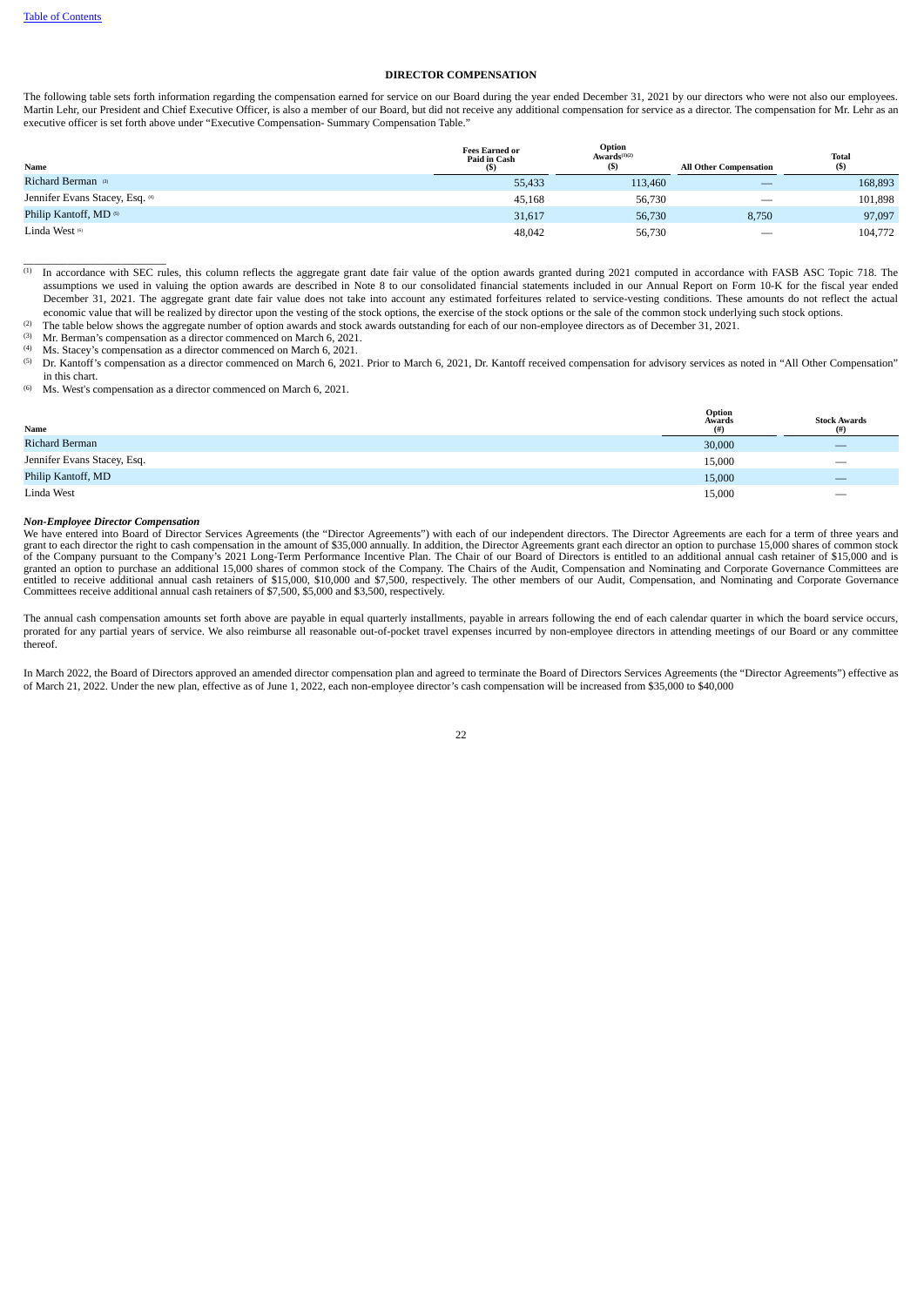#### **DIRECTOR COMPENSATION**

The following table sets forth information regarding the compensation earned for service on our Board during the year ended December 31, 2021 by our directors who were not also our employees. Martin Lehr, our President and Chief Executive Officer, is also a member of our Board, but did not receive any additional compensation for service as a director. The compensation for Mr. Lehr as an executive officer is set forth above under "Executive Compensation- Summary Compensation Table."

| Name                            | <b>Fees Earned or</b><br>Paid in Cash<br>(S) | Option<br>Awards <sup>(1)(2)</sup><br>$($)$ | <b>All Other Compensation</b> | <b>Total</b><br>(S) |
|---------------------------------|----------------------------------------------|---------------------------------------------|-------------------------------|---------------------|
| Richard Berman <sup>(3)</sup>   | 55,433                                       | 113,460                                     | $\overline{\phantom{a}}$      | 168,893             |
| Jennifer Evans Stacey, Esq. (4) | 45,168                                       | 56,730                                      | $\overline{\phantom{m}}$      | 101,898             |
| Philip Kantoff, MD ®            | 31,617                                       | 56,730                                      | 8,750                         | 97,097              |
| Linda West (6)                  | 48,042                                       | 56,730                                      | $\overline{\phantom{0}}$      | 104,772             |

 $^{(1)}$  In accordance with SEC rules, this column reflects the aggregate grant date fair value of the option awards granted during 2021 computed in accordance with FASB ASC Topic 718. The assumptions we used in valuing the option awards are described in Note 8 to our consolidated financial statements included in our Annual Report on Form 10-K for the fiscal year ended December 31, 2021. The aggregate grant date fair value does not take into account any estimated forfeitures related to service-vesting conditions. These amounts do not reflect the actual economic value that will be realized by director upon the vesting of the stock options, the exercise of the stock options or the sale of the common stock underlying such stock options.

The table below shows the aggregate number of option awards and stock awards outstanding for each of our non-employee directors as of December 31, 2021.  $(2)$ 

Mr. Berman's compensation as a director commenced on March 6, 2021. (3)

Ms. Stacey's compensation as a director commenced on March 6, 2021. (4)

Dr. Kantoff's compensation as a director commenced on March 6, 2021. Prior to March 6, 2021, Dr. Kantoff received compensation for advisory services as noted in "All Other Compensation" in this chart. (5)

Ms. West's compensation as a director commenced on March 6, 2021. (6)

| Name                        | Option<br>Awards<br>(#) | <b>Stock Awards</b><br>(#)      |
|-----------------------------|-------------------------|---------------------------------|
| Richard Berman              | 30,000                  | $\overline{\phantom{a}}$        |
| Jennifer Evans Stacey, Esq. | 15,000                  | $\hspace{0.1mm}-\hspace{0.1mm}$ |
| Philip Kantoff, MD          | 15,000                  | $\qquad \qquad \longleftarrow$  |
| Linda West                  | 15,000                  |                                 |

#### *Non-Employee Director Compensation*

 $\frac{1}{2}$  ,  $\frac{1}{2}$  ,  $\frac{1}{2}$  ,  $\frac{1}{2}$  ,  $\frac{1}{2}$  ,  $\frac{1}{2}$  ,  $\frac{1}{2}$  ,  $\frac{1}{2}$  ,  $\frac{1}{2}$  ,  $\frac{1}{2}$  ,  $\frac{1}{2}$  ,  $\frac{1}{2}$  ,  $\frac{1}{2}$  ,  $\frac{1}{2}$  ,  $\frac{1}{2}$  ,  $\frac{1}{2}$  ,  $\frac{1}{2}$  ,  $\frac{1}{2}$  ,  $\frac{1$ 

We have entered into Board of Director Services Agreements (the "Director Agreements") with each of our independent directors. The Director Agreements are each for a term of three years and<br>grant to each director the right granted an option to purchase an additional 15,000 shares of common stock of the Company. The Chairs of the Audit, Compensation and Nominating and Corporate Governance Committees are<br>entitled to receive additional annual c Committees receive additional annual cash retainers of \$7,500, \$5,000 and \$3,500, respectively.

The annual cash compensation amounts set forth above are payable in equal quarterly installments, payable in arrears following the end of each calendar quarter in which the board service occurs, prorated for any partial years of service. We also reimburse all reasonable out-of-pocket travel expenses incurred by non-employee directors in attending meetings of our Board or any committee thereof.

In March 2022, the Board of Directors approved an amended director compensation plan and agreed to terminate the Board of Directors Services Agreements (the "Director Agreements") effective as of March 21, 2022. Under the new plan, effective as of June 1, 2022, each non-employee director's cash compensation will be increased from \$35,000 to \$40,000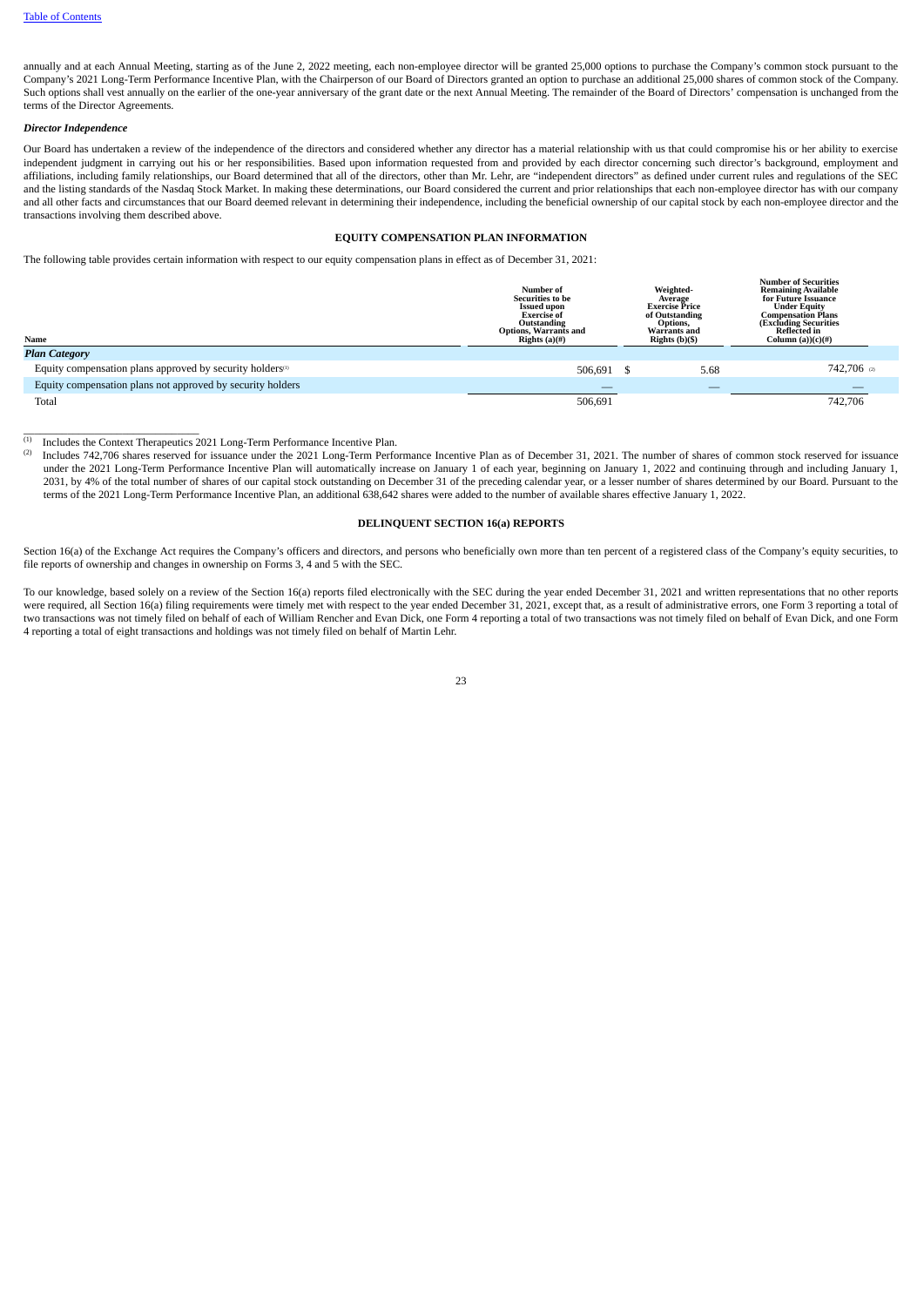annually and at each Annual Meeting, starting as of the June 2, 2022 meeting, each non-employee director will be granted 25,000 options to purchase the Company's common stock pursuant to the Company's 2021 Long-Term Performance Incentive Plan, with the Chairperson of our Board of Directors granted an option to purchase an additional 25,000 shares of common stock of the Company. Such options shall vest annually on the earlier of the one-year anniversary of the grant date or the next Annual Meeting. The remainder of the Board of Directors' compensation is unchanged from the terms of the Director Agreements.

# *Director Independence*

Our Board has undertaken a review of the independence of the directors and considered whether any director has a material relationship with us that could compromise his or her ability to exercise independent judgment in carrying out his or her responsibilities. Based upon information requested from and provided by each director concerning such director's background, employment and affiliations, including family relationships, our Board determined that all of the directors, other than Mr. Lehr, are "independent directors" as defined under current rules and regulations of the SEC and the listing standards of the Nasdaq Stock Market. In making these determinations, our Board considered the current and prior relationships that each non-employee director has with our company and all other facts and circumstances that our Board deemed relevant in determining their independence, including the beneficial ownership of our capital stock by each non-employee director and the transactions involving them described above.

# **EQUITY COMPENSATION PLAN INFORMATION**

<span id="page-26-0"></span>The following table provides certain information with respect to our equity compensation plans in effect as of December 31, 2021:

| Name                                                                  | Number of<br><b>Securities to be</b><br><b>Issued upon</b><br><b>Exercise of</b><br>Outstanding<br><b>Options, Warrants and</b><br>Rights $(a)(#)$ | Weighted-<br>Average<br><b>Exercise Price</b><br>of Outstanding<br>Options,<br><b>Warrants and</b><br>Rights $(b)(\$)$ | <b>Number of Securities</b><br><b>Remaining Available</b><br>for Future Issuance<br><b>Under Equity</b><br><b>Compensation Plans</b><br>(Excluding Securities<br><b>Reflected in</b><br>Column (a)) $(c)(#)$ |  |
|-----------------------------------------------------------------------|----------------------------------------------------------------------------------------------------------------------------------------------------|------------------------------------------------------------------------------------------------------------------------|--------------------------------------------------------------------------------------------------------------------------------------------------------------------------------------------------------------|--|
| <b>Plan Category</b>                                                  |                                                                                                                                                    |                                                                                                                        |                                                                                                                                                                                                              |  |
| Equity compensation plans approved by security holders <sup>(1)</sup> | 506.691                                                                                                                                            | 5.68                                                                                                                   | 742,706 @                                                                                                                                                                                                    |  |
| Equity compensation plans not approved by security holders            |                                                                                                                                                    |                                                                                                                        |                                                                                                                                                                                                              |  |
| Total                                                                 | 506.691                                                                                                                                            |                                                                                                                        | 742.706                                                                                                                                                                                                      |  |

 $(1)$  Includes the Context Therapeutics 2021 Long-Term Performance Incentive Plan.

 $\overline{\phantom{a}}$  ,  $\overline{\phantom{a}}$  ,  $\overline{\phantom{a}}$  ,  $\overline{\phantom{a}}$  ,  $\overline{\phantom{a}}$  ,  $\overline{\phantom{a}}$  ,  $\overline{\phantom{a}}$  ,  $\overline{\phantom{a}}$  ,  $\overline{\phantom{a}}$  ,  $\overline{\phantom{a}}$  ,  $\overline{\phantom{a}}$  ,  $\overline{\phantom{a}}$  ,  $\overline{\phantom{a}}$  ,  $\overline{\phantom{a}}$  ,  $\overline{\phantom{a}}$  ,  $\overline{\phantom{a}}$ 

Includes 742,706 shares reserved for issuance under the 2021 Long-Term Performance Incentive Plan as of December 31, 2021. The number of shares of common stock reserved for issuance under the 2021 Long-Term Performance Incentive Plan will automatically increase on January 1 of each year, beginning on January 1, 2022 and continuing through and including January 1, 2031, by 4% of the total number of shares of our capital stock outstanding on December 31 of the preceding calendar year, or a lesser number of shares determined by our Board. Pursuant to the terms of the 2021 Long-Term Performance Incentive Plan, an additional 638,642 shares were added to the number of available shares effective January 1, 2022. (2)

# **DELINQUENT SECTION 16(a) REPORTS**

<span id="page-26-1"></span>Section 16(a) of the Exchange Act requires the Company's officers and directors, and persons who beneficially own more than ten percent of a registered class of the Company's equity securities, to file reports of ownership and changes in ownership on Forms 3, 4 and 5 with the SEC.

<span id="page-26-2"></span>To our knowledge, based solely on a review of the Section 16(a) reports filed electronically with the SEC during the year ended December 31, 2021 and written representations that no other reports were required, all Section 16(a) filing requirements were timely met with respect to the year ended December 31, 2021, except that, as a result of administrative errors, one Form 3 reporting a total of two transactions was not timely filed on behalf of each of William Rencher and Evan Dick, one Form 4 reporting a total of two transactions was not timely filed on behalf of Evan Dick, and one Form 4 reporting a total of eight transactions and holdings was not timely filed on behalf of Martin Lehr.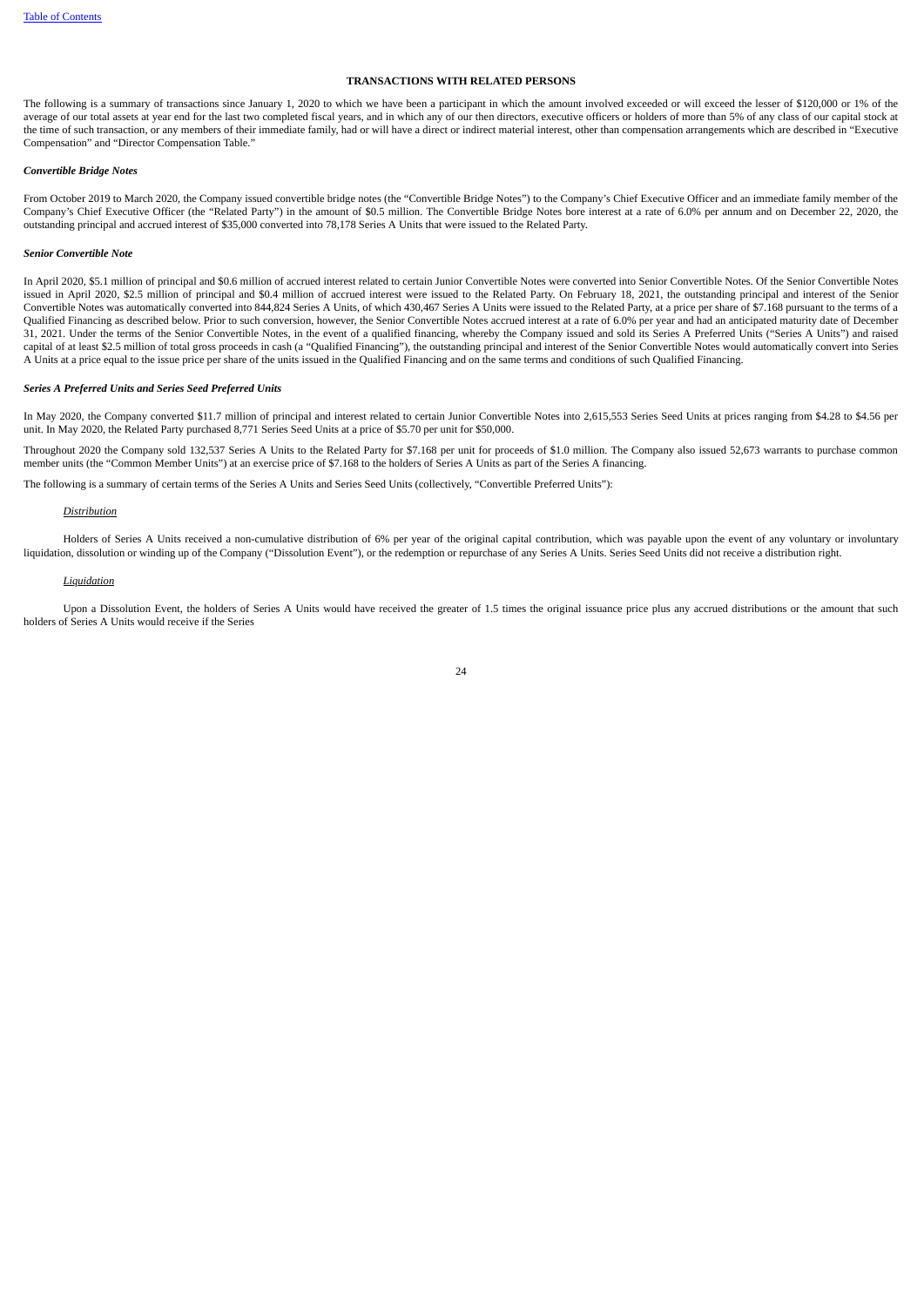# **TRANSACTIONS WITH RELATED PERSONS**

The following is a summary of transactions since January 1, 2020 to which we have been a participant in which the amount involved exceeded or will exceed the lesser of \$120,000 or 1% of the average of our total assets at year end for the last two completed fiscal years, and in which any of our then directors, executive officers or holders of more than 5% of any class of our capital stock at the time of such transaction, or any members of their immediate family, had or will have a direct or indirect material interest, other than compensation arrangements which are described in "Executive Compensation" and "Director Compensation Table."

#### *Convertible Bridge Notes*

From October 2019 to March 2020, the Company issued convertible bridge notes (the "Convertible Bridge Notes") to the Company's Chief Executive Officer and an immediate family member of the Company's Chief Executive Officer (the "Related Party") in the amount of \$0.5 million. The Convertible Bridge Notes bore interest at a rate of 6.0% per annum and on December 22, 2020, the outstanding principal and accrued interest of \$35,000 converted into 78,178 Series A Units that were issued to the Related Party.

## *Senior Convertible Note*

In April 2020, \$5.1 million of principal and \$0.6 million of accrued interest related to certain Junior Convertible Notes were converted into Senior Convertible Notes. Of the Senior Convertible Notes issued in April 2020, \$2.5 million of principal and \$0.4 million of accrued interest were issued to the Related Party. On February 18, 2021, the outstanding principal and interest of the Senior Convertible Notes was automatically converted into 844,824 Series A Units, of which 430,467 Series A Units were issued to the Related Party, at a price per share of \$7.168 pursuant to the terms of a Qualified Financing as described below. Prior to such conversion, however, the Senior Convertible Notes accrued interest at a rate of 6.0% per year and had an anticipated maturity date of December 31, 2021. Under the terms of the Senior Convertible Notes, in the event of a qualified financing, whereby the Company issued and sold its Series A Preferred Units ("Series A Units") and raised capital of at least \$2.5 million of total gross proceeds in cash (a "Qualified Financing"), the outstanding principal and interest of the Senior Convertible Notes would automatically convert into Series A Units at a price equal to the issue price per share of the units issued in the Qualified Financing and on the same terms and conditions of such Qualified Financing.

# *Series A Preferred Units and Series Seed Preferred Units*

In May 2020, the Company converted \$11.7 million of principal and interest related to certain Junior Convertible Notes into 2,615,553 Series Seed Units at prices ranging from \$4.28 to \$4.56 per unit. In May 2020, the Related Party purchased 8,771 Series Seed Units at a price of \$5.70 per unit for \$50,000.

Throughout 2020 the Company sold 132,537 Series A Units to the Related Party for \$7.168 per unit for proceeds of \$1.0 million. The Company also issued 52,673 warrants to purchase common<br>member units (the "Common Member Uni

The following is a summary of certain terms of the Series A Units and Series Seed Units (collectively, "Convertible Preferred Units"):

#### *Distribution*

Holders of Series A Units received a non-cumulative distribution of 6% per year of the original capital contribution, which was payable upon the event of any voluntary or involuntary liquidation, dissolution or winding up of the Company ("Dissolution Event"), or the redemption or repurchase of any Series A Units. Series Seed Units did not receive a distribution right.

#### *Liquidation*

Upon a Dissolution Event, the holders of Series A Units would have received the greater of 1.5 times the original issuance price plus any accrued distributions or the amount that such holders of Series A Units would receive if the Series

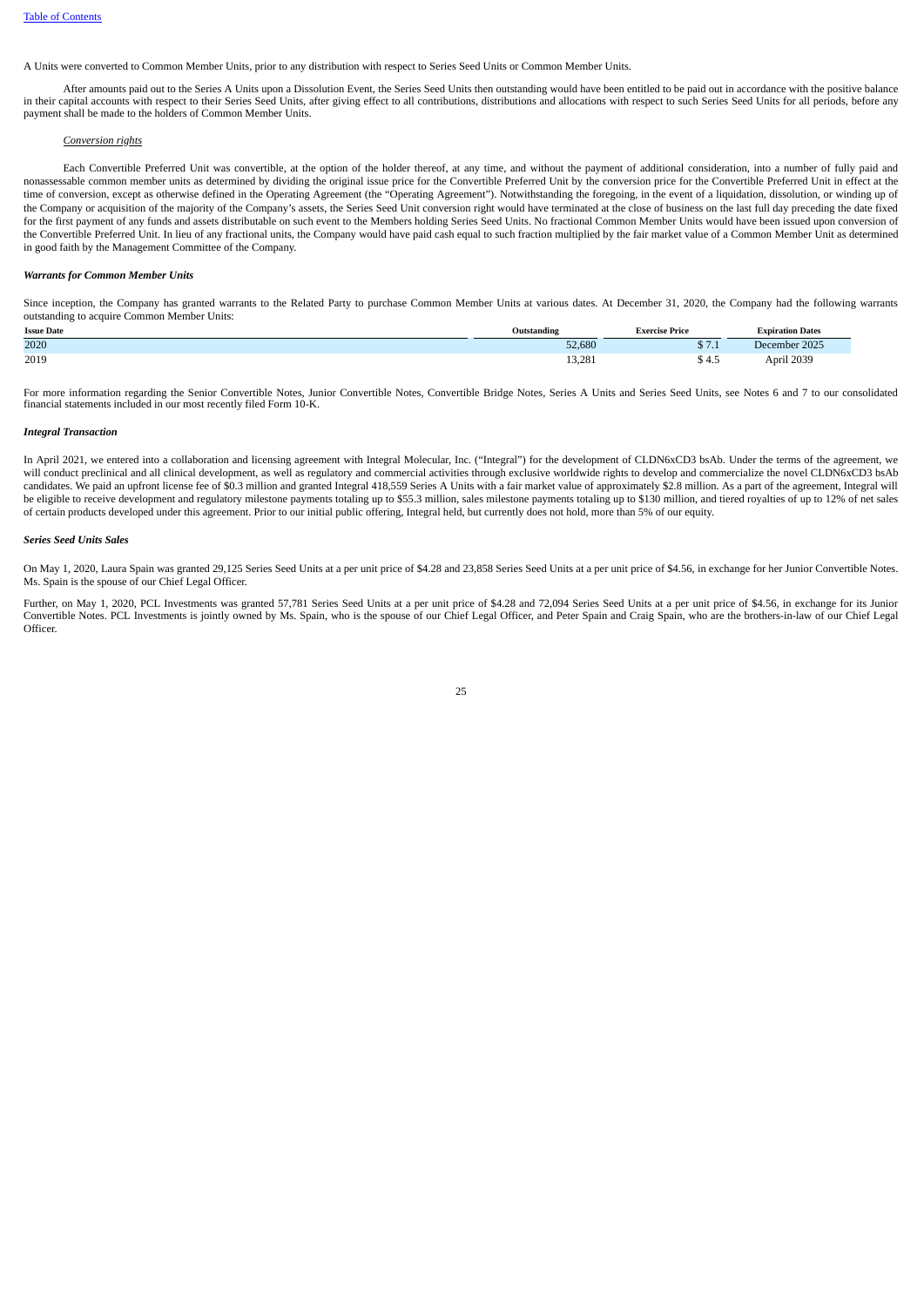A Units were converted to Common Member Units, prior to any distribution with respect to Series Seed Units or Common Member Units.

After amounts paid out to the Series A Units upon a Dissolution Event, the Series Seed Units then outstanding would have been entitled to be paid out in accordance with the positive balance in their capital accounts with respect to their Series Seed Units, after giving effect to all contributions, distributions and allocations with respect to such Series Seed Units for all periods, before any payment shall be made to the holders of Common Member Units.

# *Conversion rights*

Each Convertible Preferred Unit was convertible, at the option of the holder thereof, at any time, and without the payment of additional consideration, into a number of fully paid and nonassessable common member units as determined by dividing the original issue price for the Convertible Preferred Unit by the conversion price for the Convertible Preferred Unit in effect at the time of conversion, except as otherwise defined in the Operating Agreement (the "Operating Agreement"). Notwithstanding the foregoing, in the event of a liquidation, dissolution, or winding up of the Company or acquisition of the majority of the Company's assets, the Series Seed Unit conversion right would have terminated at the close of business on the last full day preceding the date fixed for the first payment of any funds and assets distributable on such event to the Members holding Series Seed Units. No fractional Common Member Units would have been issued upon conversion of the Convertible Preferred Unit. In lieu of any fractional units, the Company would have paid cash equal to such fraction multiplied by the fair market value of a Common Member Unit as determined in good faith by the Management Committee of the Company.

#### *Warrants for Common Member Units*

Since inception, the Company has granted warrants to the Related Party to purchase Common Member Units at various dates. At December 31, 2020, the Company had the following warrants outstanding to acquire Common Member Units:

| <b>Issue Date</b> | Outstanding | <b>Exercise Price</b> | <b>Expiration Dates</b> |
|-------------------|-------------|-----------------------|-------------------------|
| 2020              | 52,680      | A<br>$J \cdot 1$      | December 2025           |
| 2019              | 13,281      | \$4.5                 | April 2039              |

For more information regarding the Senior Convertible Notes, Junior Convertible Notes, Convertible Bridge Notes, Series A Units and Series Seed Units, see Notes 6 and 7 to our consolidated financial statements included in our most recently filed Form 10-K.

# *Integral Transaction*

In April 2021, we entered into a collaboration and licensing agreement with Integral Molecular, Inc. ("Integral") for the development of CLDN6xCD3 bsAb. Under the terms of the agreement, we will conduct preclinical and all clinical development, as well as regulatory and commercial activities through exclusive worldwide rights to develop and commercialize the novel CLDN6xCD3 bsAb candidates. We paid an upfront license fee of \$0.3 million and granted Integral 418,559 Series A Units with a fair market value of approximately \$2.8 million. As a part of the agreement, Integral will be eligible to receive development and regulatory milestone payments totaling up to \$55.3 million, sales milestone payments totaling up to \$130 million, and tiered royalties of up to 12% of net sales of certain products developed under this agreement. Prior to our initial public offering, Integral held, but currently does not hold, more than 5% of our equity.

### *Series Seed Units Sales*

On May 1, 2020, Laura Spain was granted 29,125 Series Seed Units at a per unit price of \$4.28 and 23,858 Series Seed Units at a per unit price of \$4.56, in exchange for her Junior Convertible Notes. Ms. Spain is the spouse of our Chief Legal Officer.

Further, on May 1, 2020, PCL Investments was granted 57,781 Series Seed Units at a per unit price of \$4.28 and 72,094 Series Seed Units at a per unit price of \$4.56, in exchange for its Junior Convertible Notes. PCL Investments is jointly owned by Ms. Spain, who is the spouse of our Chief Legal Officer, and Peter Spain and Craig Spain, who are the brothers-in-law of our Chief Legal Officer.

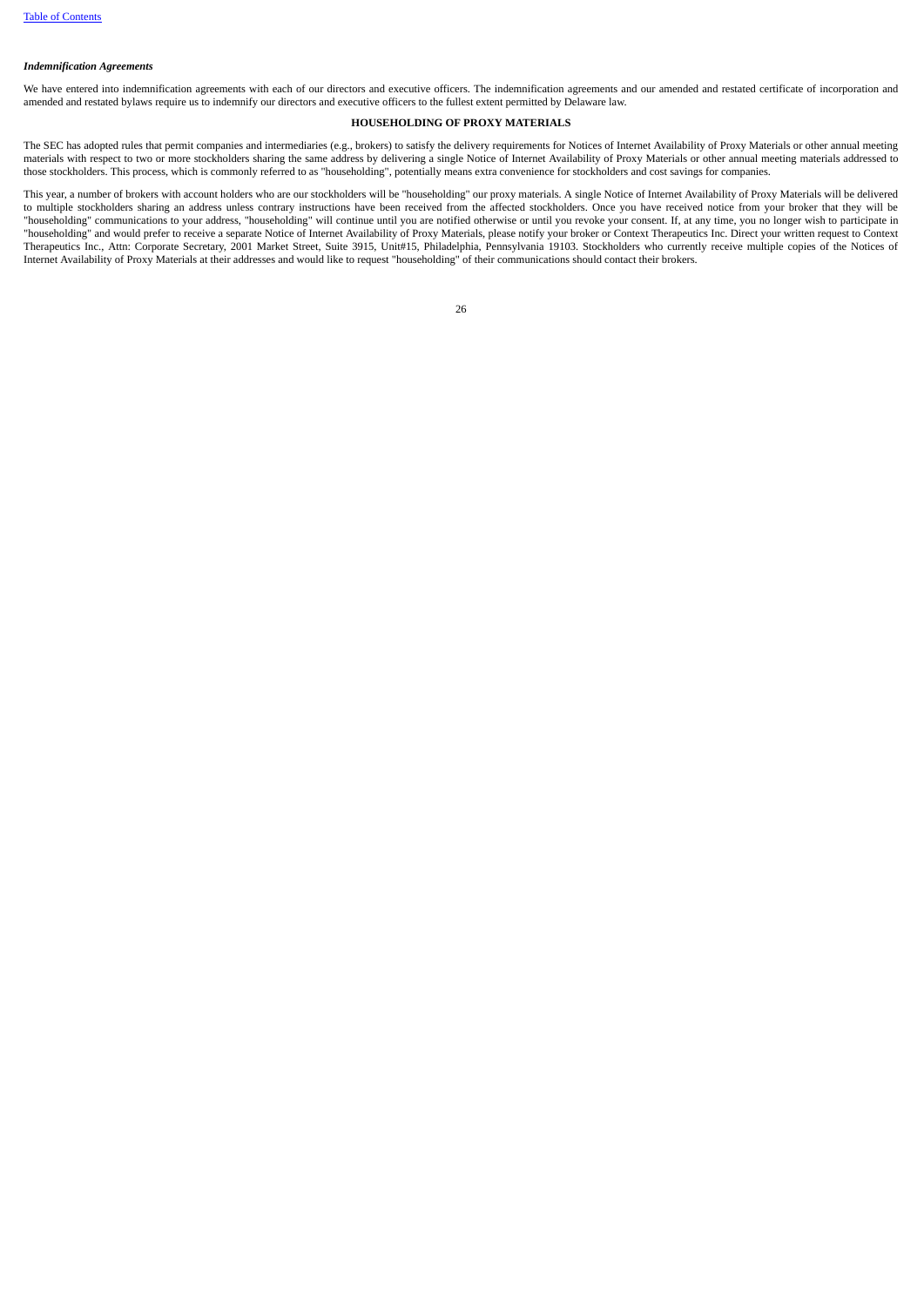# *Indemnification Agreements*

<span id="page-29-0"></span>We have entered into indemnification agreements with each of our directors and executive officers. The indemnification agreements and our amended and restated certificate of incorporation and amended and restated bylaws require us to indemnify our directors and executive officers to the fullest extent permitted by Delaware law.

# **HOUSEHOLDING OF PROXY MATERIALS**

The SEC has adopted rules that permit companies and intermediaries (e.g., brokers) to satisfy the delivery requirements for Notices of Internet Availability of Proxy Materials or other annual meeting materials with respect to two or more stockholders sharing the same address by delivering a single Notice of Internet Availability of Proxy Materials or other annual meeting materials addressed to those stockholders. This process, which is commonly referred to as "householding", potentially means extra convenience for stockholders and cost savings for companies.

<span id="page-29-1"></span>This year, a number of brokers with account holders who are our stockholders will be "householding" our proxy materials. A single Notice of Internet Availability of Proxy Materials will be delivered to multiple stockholders sharing an address unless contrary instructions have been received from the affected stockholders. Once you have received notice from your broker that they will be "householding" communications to your address, "householding" will continue until you are notified otherwise or until you revoke your consent. If, at any time, you no longer wish to participate in "householding" and would prefer to receive a separate Notice of Internet Availability of Proxy Materials, please notify your broker or Context Therapeutics Inc. Direct your written request to Context Therapeutics Inc., Attn: Corporate Secretary, 2001 Market Street, Suite 3915, Unit#15, Philadelphia, Pennsylvania 19103. Stockholders who currently receive multiple copies of the Notices of Internet Availability of Proxy Materials at their addresses and would like to request "householding" of their communications should contact their brokers.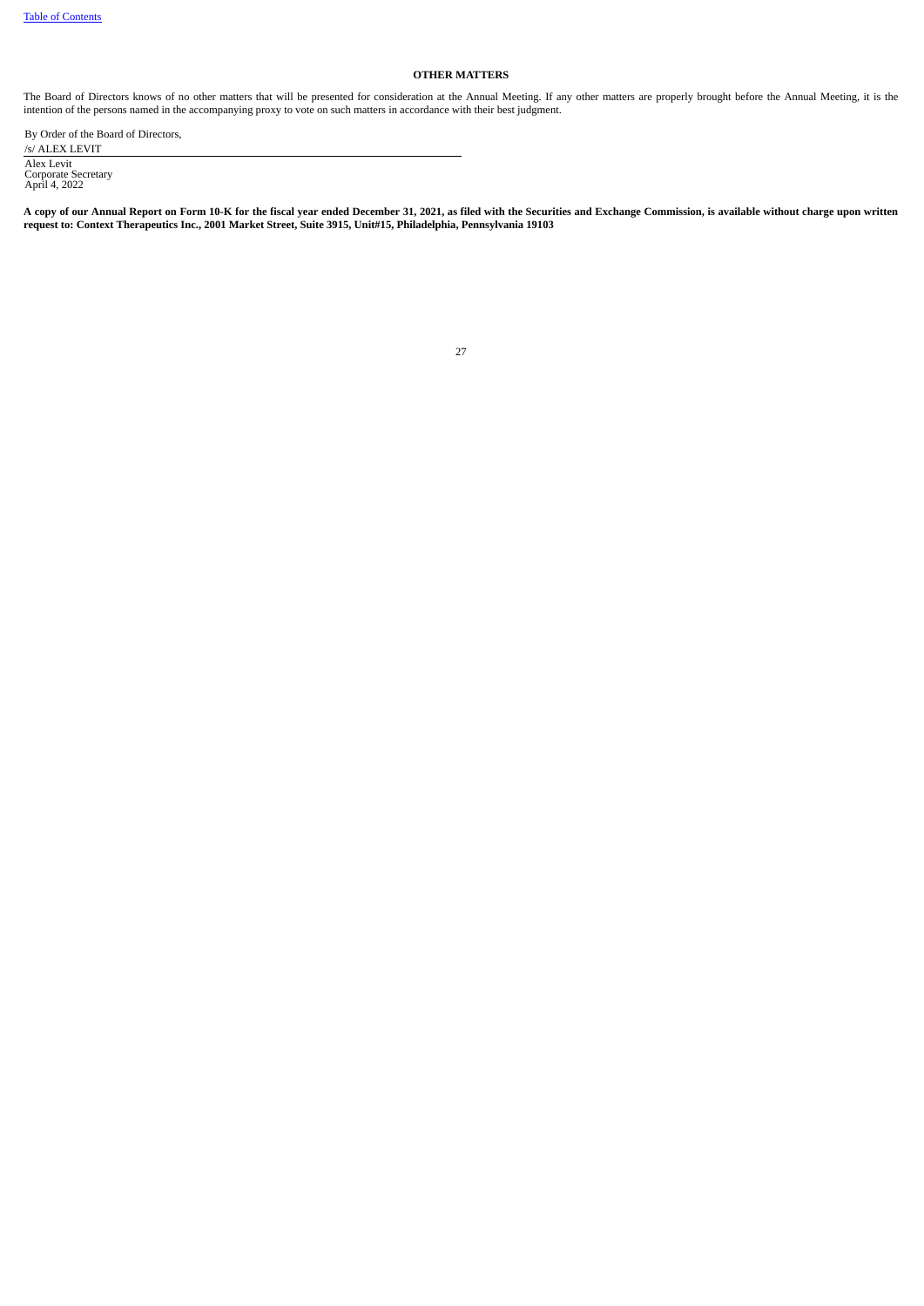# **OTHER MATTERS**

The Board of Directors knows of no other matters that will be presented for consideration at the Annual Meeting. If any other matters are properly brought before the Annual Meeting, it is the intention of the persons named in the accompanying proxy to vote on such matters in accordance with their best judgment.

By Order of the Board of Directors, /s/ ALEX LEVIT Alex Levit Corporate Secretary April 4, 2022

A copy of our Annual Report on Form 10-K for the fiscal year ended December 31, 2021, as filed with the Securities and Exchange Commission, is available without charge upon written **request to: Context Therapeutics Inc., 2001 Market Street, Suite 3915, Unit#15, Philadelphia, Pennsylvania 19103**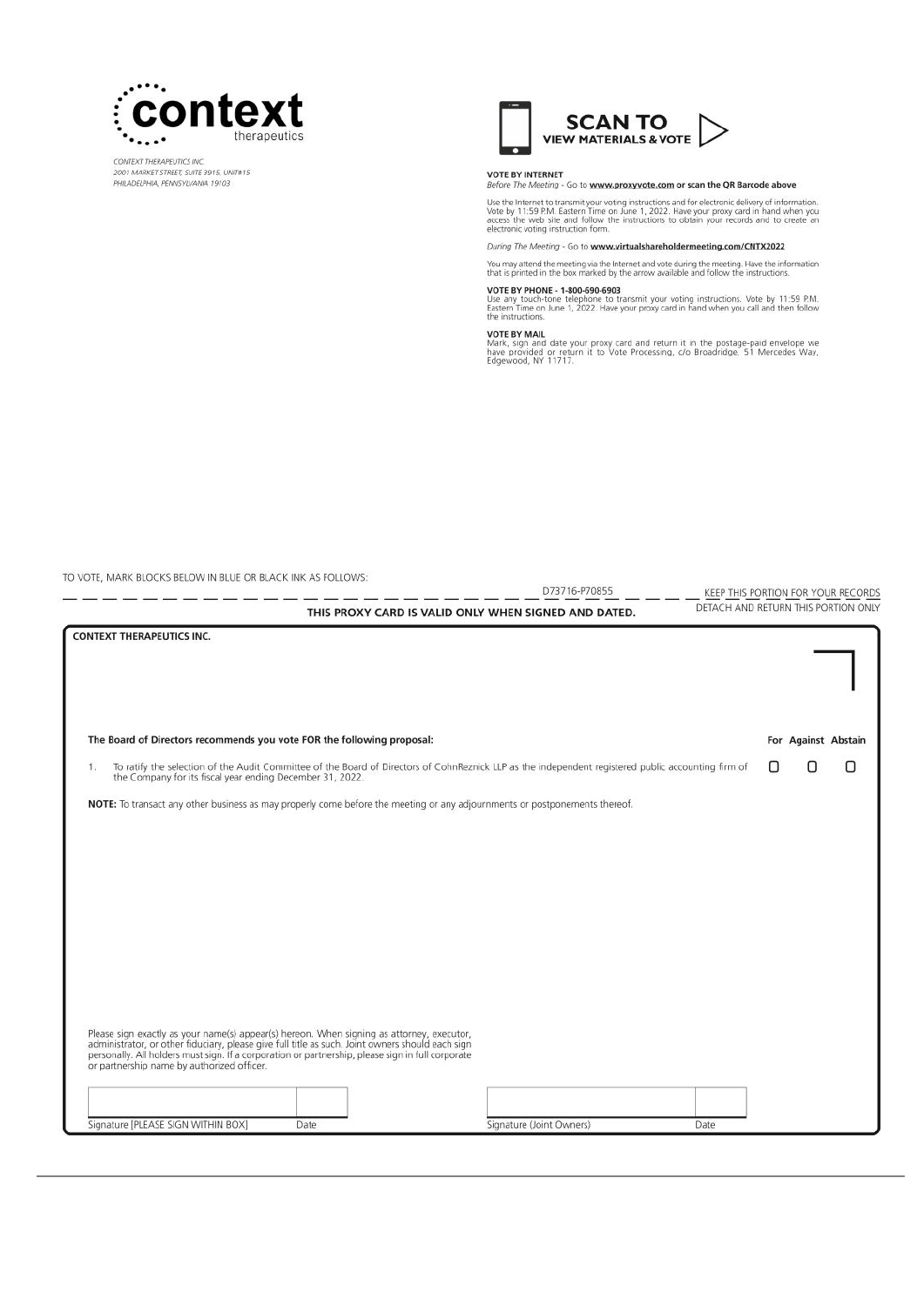

TO VOTE MARK BLOCKS BELOW IN BLUE OR BLACK INK AS FOLLOWS:

مواسيس المساريب

CONTEXT THERAPEUTICS INC.<br>2001 MARKET STREET, SUITE 3915, UNIT#15 PHILADELPHIA, PENNSYLVANIA 19103



VOTE BY INTERNET<br>Before The Meeting - Go to www.proxyvote.com or scan the QR Barcode above

Use the Internet to transmit your voting instructions and for electronic delivery of information.<br>Vote by 11:59 P.M. Eastern Time on June 1, 2022. Have your proxy card in hand when you<br>access the web site and follow the in

During The Meeting - Go to www.virtualshareholdermeeting.com/CNTX2022

You may attend the meeting via the Internet and vote during the meeting. Have the information<br>that is printed in the box marked by the arrow available and follow the instructions.

# VOTE BY PHONE - 1-800-690-6903

D73716-P70855

Voir B or Friedrich Change of the State and State and State and The State and The Lastern Time on June 1, 2022. Have your proxy card in hand when you call and then follow<br>the instructions.

#### **VOTE BY MAIL**

VOTE BY MAIL<br>Mark, sign and date your proxy card and return it in the postage-paid envelope we<br>have provided or return it to Vote Processing, c/o Broadridge, 51 Mercedes Way,<br>Edgewood, NY 11717.

KEEP THIS PORTION FOR YOUR RECORDS

For Against Abstain

0

 $\Box$ 

DETACH AND RETURN THIS PORTION ONLY

О

THIS PROXY CARD IS VALID ONLY WHEN SIGNED AND DATED. **CONTEXT THERAPEUTICS INC.** The Board of Directors recommends you vote FOR the following proposal: To ratify the selection of the Audit Committee of the Board of Directors of CohnReznick LLP as the independent registered public accounting firm of<br>the Company for its fiscal year ending December 31, 2022.  $\mathbb{1}$ NOTE: To transact any other business as may properly come before the meeting or any adjournments or postponements thereof.

Please sign exactly as your name(s) appear(s) hereon. When signing as attorney, executor, administrator, or other fiduciary, please give full title as such. Joint owners should each sign personally. All holders must sign. or partnership name by authorized officer.

| Signature [PLEASE SIGN WITHIN BOX] | Date | Signature (Joint Owners) | Date |
|------------------------------------|------|--------------------------|------|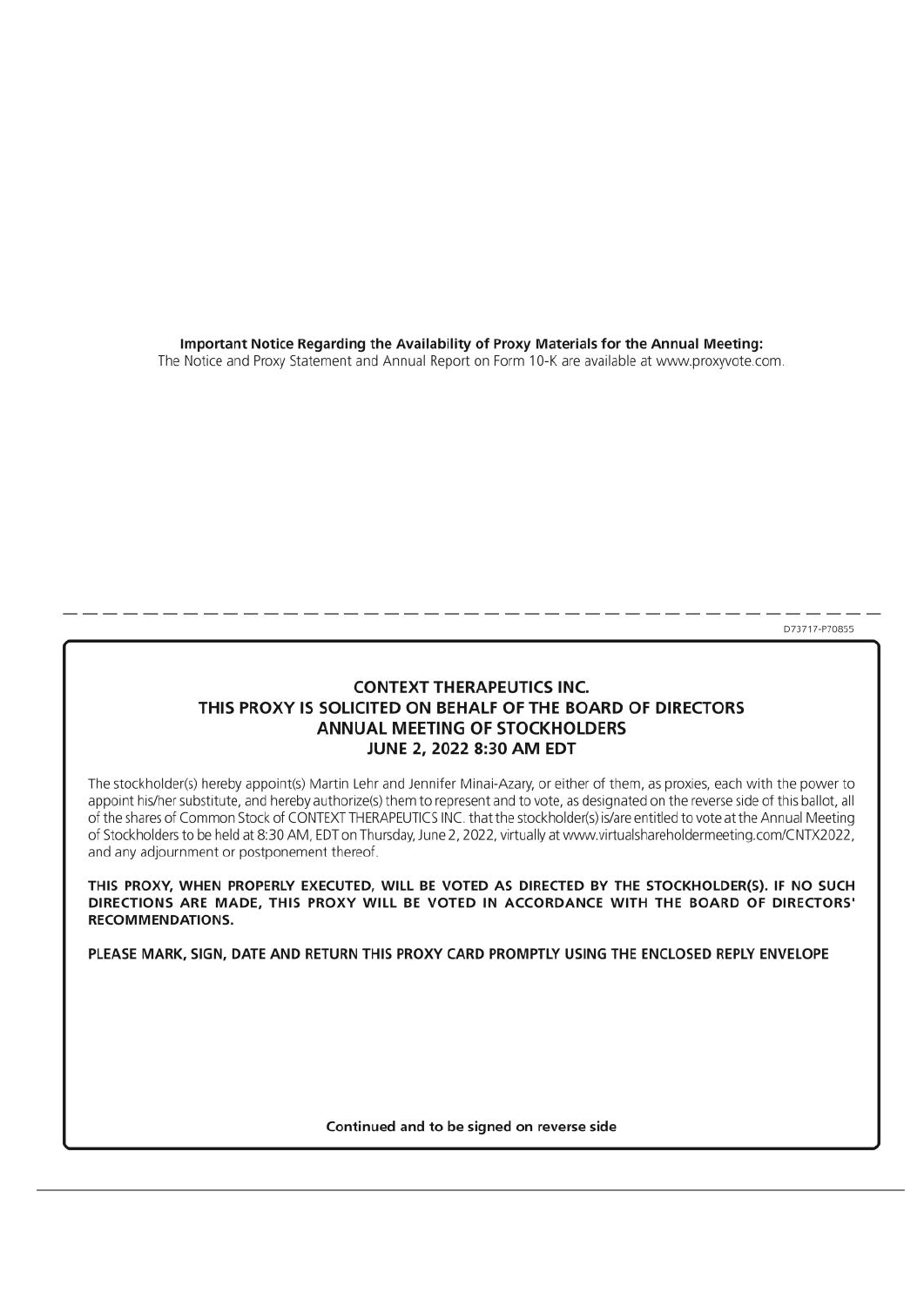Important Notice Regarding the Availability of Proxy Materials for the Annual Meeting: The Notice and Proxy Statement and Annual Report on Form 10-K are available at www.proxyvote.com.

D73717-P70855

# **CONTEXT THERAPEUTICS INC.** THIS PROXY IS SOLICITED ON BEHALF OF THE BOARD OF DIRECTORS ANNUAL MEETING OF STOCKHOLDERS JUNE 2, 2022 8:30 AM EDT

The stockholder(s) hereby appoint(s) Martin Lehr and Jennifer Minai-Azary, or either of them, as proxies, each with the power to appoint his/her substitute, and hereby authorize(s) them to represent and to vote, as designated on the reverse side of this ballot, all of the shares of Common Stock of CONTEXT THERAPEUTICS INC. that the stockholder(s) is/are entitled to vote at the Annual Meeting of Stockholders to be held at 8:30 AM, EDT on Thursday, June 2, 2022, virtually at www.virtualshareholdermeeting.com/CNTX2022, and any adjournment or postponement thereof.

THIS PROXY, WHEN PROPERLY EXECUTED, WILL BE VOTED AS DIRECTED BY THE STOCKHOLDER(S). IF NO SUCH DIRECTIONS ARE MADE, THIS PROXY WILL BE VOTED IN ACCORDANCE WITH THE BOARD OF DIRECTORS' **RECOMMENDATIONS.** 

PLEASE MARK, SIGN, DATE AND RETURN THIS PROXY CARD PROMPTLY USING THE ENCLOSED REPLY ENVELOPE

Continued and to be signed on reverse side